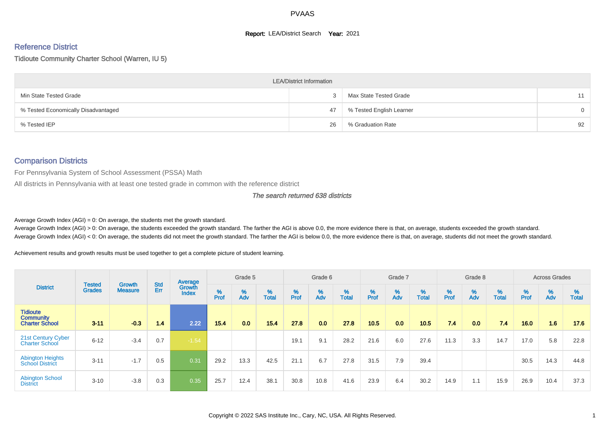#### **Report: LEA/District Search Year: 2021**

# Reference District

Tidioute Community Charter School (Warren, IU 5)

|                                     | <b>LEA/District Information</b> |                          |          |
|-------------------------------------|---------------------------------|--------------------------|----------|
| Min State Tested Grade              |                                 | Max State Tested Grade   | 11       |
| % Tested Economically Disadvantaged | 47                              | % Tested English Learner | $\Omega$ |
| % Tested IEP                        | 26                              | % Graduation Rate        | 92       |

# Comparison Districts

For Pennsylvania System of School Assessment (PSSA) Math

All districts in Pennsylvania with at least one tested grade in common with the reference district

The search returned 638 districts

Average Growth Index  $(AGI) = 0$ : On average, the students met the growth standard.

Average Growth Index (AGI) > 0: On average, the students exceeded the growth standard. The farther the AGI is above 0.0, the more evidence there is that, on average, students exceeded the growth standard. Average Growth Index (AGI) < 0: On average, the students did not meet the growth standard. The farther the AGI is below 0.0, the more evidence there is that, on average, students did not meet the growth standard.

Achievement results and growth results must be used together to get a complete picture of student learning.

|                                                              |                                |                                 |            | Average                |           | Grade 5  |                   |           | Grade 6  |                   |           | Grade 7  |                   |          | Grade 8  |                   |           | <b>Across Grades</b> |                   |
|--------------------------------------------------------------|--------------------------------|---------------------------------|------------|------------------------|-----------|----------|-------------------|-----------|----------|-------------------|-----------|----------|-------------------|----------|----------|-------------------|-----------|----------------------|-------------------|
| <b>District</b>                                              | <b>Tested</b><br><b>Grades</b> | <b>Growth</b><br><b>Measure</b> | Std<br>Err | Growth<br><b>Index</b> | %<br>Prof | %<br>Adv | %<br><b>Total</b> | %<br>Prof | %<br>Adv | %<br><b>Total</b> | %<br>Prof | %<br>Adv | %<br><b>Total</b> | $%$ Prof | %<br>Adv | %<br><b>Total</b> | %<br>Prof | %<br>Adv             | %<br><b>Total</b> |
| <b>Tidioute</b><br><b>Community</b><br><b>Charter School</b> | $3 - 11$                       | $-0.3$                          | 1.4        | 2.22                   | 15.4      | 0.0      | 15.4              | 27.8      | 0.0      | 27.8              | 10.5      | 0.0      | 10.5              | 7.4      | 0.0      | 74                | 16.0      | 1.6                  | 17.6              |
| 21st Century Cyber<br><b>Charter School</b>                  | $6 - 12$                       | $-3.4$                          | 0.7        | $-1.54$                |           |          |                   | 19.1      | 9.1      | 28.2              | 21.6      | 6.0      | 27.6              | 11.3     | 3.3      | 14.7              | 17.0      | 5.8                  | 22.8              |
| <b>Abington Heights</b><br><b>School District</b>            | $3 - 11$                       | $-1.7$                          | 0.5        | 0.31                   | 29.2      | 13.3     | 42.5              | 21.1      | 6.7      | 27.8              | 31.5      | 7.9      | 39.4              |          |          |                   | 30.5      | 14.3                 | 44.8              |
| <b>Abington School</b><br><b>District</b>                    | $3 - 10$                       | $-3.8$                          | 0.3        | 0.35                   | 25.7      | 12.4     | 38.1              | 30.8      | 10.8     | 41.6              | 23.9      | 6.4      | 30.2              | 14.9     | 1.1      | 15.9              | 26.9      | 10.4                 | 37.3              |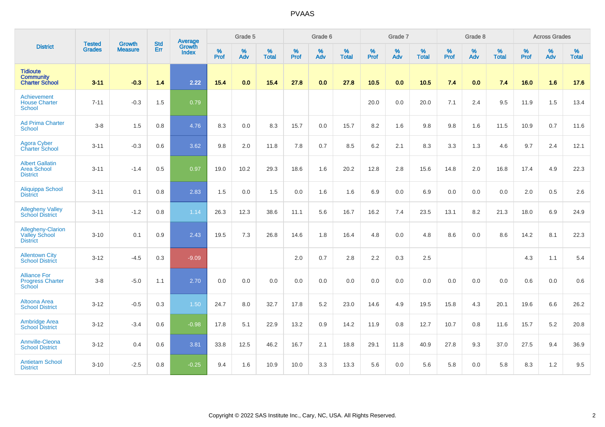|                                                                 |                                | <b>Growth</b>  | <b>Std</b> | Average                |                     | Grade 5  |                   |           | Grade 6  |                   |                  | Grade 7  |                   |                  | Grade 8  |                   |                  | <b>Across Grades</b> |                   |
|-----------------------------------------------------------------|--------------------------------|----------------|------------|------------------------|---------------------|----------|-------------------|-----------|----------|-------------------|------------------|----------|-------------------|------------------|----------|-------------------|------------------|----------------------|-------------------|
| <b>District</b>                                                 | <b>Tested</b><br><b>Grades</b> | <b>Measure</b> | Err        | Growth<br><b>Index</b> | $\%$<br><b>Prof</b> | %<br>Adv | %<br><b>Total</b> | %<br>Prof | %<br>Adv | %<br><b>Total</b> | %<br><b>Prof</b> | %<br>Adv | %<br><b>Total</b> | %<br><b>Prof</b> | %<br>Adv | %<br><b>Total</b> | %<br><b>Prof</b> | %<br>Adv             | %<br><b>Total</b> |
| <b>Tidioute</b><br><b>Community</b><br><b>Charter School</b>    | $3 - 11$                       | $-0.3$         | 1.4        | 2.22                   | $15.4$              | 0.0      | 15.4              | 27.8      | 0.0      | 27.8              | 10.5             | 0.0      | 10.5              | 7.4              | 0.0      | 7.4               | 16.0             | 1.6                  | 17.6              |
| Achievement<br><b>House Charter</b><br>School                   | $7 - 11$                       | $-0.3$         | 1.5        | 0.79                   |                     |          |                   |           |          |                   | 20.0             | 0.0      | 20.0              | 7.1              | 2.4      | 9.5               | 11.9             | 1.5                  | 13.4              |
| <b>Ad Prima Charter</b><br><b>School</b>                        | $3-8$                          | 1.5            | 0.8        | 4.76                   | 8.3                 | 0.0      | 8.3               | 15.7      | 0.0      | 15.7              | 8.2              | 1.6      | 9.8               | 9.8              | 1.6      | 11.5              | 10.9             | 0.7                  | 11.6              |
| <b>Agora Cyber</b><br><b>Charter School</b>                     | $3 - 11$                       | $-0.3$         | 0.6        | 3.62                   | 9.8                 | 2.0      | 11.8              | 7.8       | 0.7      | 8.5               | 6.2              | 2.1      | 8.3               | 3.3              | 1.3      | 4.6               | 9.7              | 2.4                  | 12.1              |
| <b>Albert Gallatin</b><br><b>Area School</b><br><b>District</b> | $3 - 11$                       | $-1.4$         | 0.5        | 0.97                   | 19.0                | 10.2     | 29.3              | 18.6      | 1.6      | 20.2              | 12.8             | 2.8      | 15.6              | 14.8             | 2.0      | 16.8              | 17.4             | 4.9                  | 22.3              |
| Aliquippa School<br><b>District</b>                             | $3 - 11$                       | 0.1            | 0.8        | 2.83                   | 1.5                 | 0.0      | 1.5               | 0.0       | 1.6      | 1.6               | 6.9              | 0.0      | 6.9               | 0.0              | 0.0      | 0.0               | 2.0              | 0.5                  | 2.6               |
| <b>Allegheny Valley</b><br><b>School District</b>               | $3 - 11$                       | $-1.2$         | 0.8        | 1.14                   | 26.3                | 12.3     | 38.6              | 11.1      | 5.6      | 16.7              | 16.2             | 7.4      | 23.5              | 13.1             | 8.2      | 21.3              | 18.0             | 6.9                  | 24.9              |
| Allegheny-Clarion<br><b>Valley School</b><br><b>District</b>    | $3 - 10$                       | 0.1            | 0.9        | 2.43                   | 19.5                | 7.3      | 26.8              | 14.6      | 1.8      | 16.4              | 4.8              | 0.0      | 4.8               | 8.6              | 0.0      | 8.6               | 14.2             | 8.1                  | 22.3              |
| <b>Allentown City</b><br><b>School District</b>                 | $3 - 12$                       | $-4.5$         | 0.3        | $-9.09$                |                     |          |                   | 2.0       | 0.7      | 2.8               | 2.2              | 0.3      | 2.5               |                  |          |                   | 4.3              | 1.1                  | 5.4               |
| <b>Alliance For</b><br><b>Progress Charter</b><br>School        | $3-8$                          | $-5.0$         | 1.1        | 2.70                   | 0.0                 | 0.0      | 0.0               | 0.0       | 0.0      | 0.0               | 0.0              | 0.0      | 0.0               | 0.0              | 0.0      | 0.0               | 0.6              | 0.0                  | 0.6               |
| <b>Altoona Area</b><br><b>School District</b>                   | $3 - 12$                       | $-0.5$         | 0.3        | 1.50                   | 24.7                | 8.0      | 32.7              | 17.8      | 5.2      | 23.0              | 14.6             | 4.9      | 19.5              | 15.8             | 4.3      | 20.1              | 19.6             | 6.6                  | 26.2              |
| <b>Ambridge Area</b><br><b>School District</b>                  | $3 - 12$                       | $-3.4$         | 0.6        | $-0.98$                | 17.8                | 5.1      | 22.9              | 13.2      | 0.9      | 14.2              | 11.9             | 0.8      | 12.7              | 10.7             | 0.8      | 11.6              | 15.7             | 5.2                  | 20.8              |
| Annville-Cleona<br><b>School District</b>                       | $3 - 12$                       | 0.4            | 0.6        | 3.81                   | 33.8                | 12.5     | 46.2              | 16.7      | 2.1      | 18.8              | 29.1             | 11.8     | 40.9              | 27.8             | 9.3      | 37.0              | 27.5             | 9.4                  | 36.9              |
| <b>Antietam School</b><br><b>District</b>                       | $3 - 10$                       | $-2.5$         | 0.8        | $-0.25$                | 9.4                 | 1.6      | 10.9              | 10.0      | 3.3      | 13.3              | 5.6              | 0.0      | 5.6               | 5.8              | 0.0      | 5.8               | 8.3              | 1.2                  | 9.5               |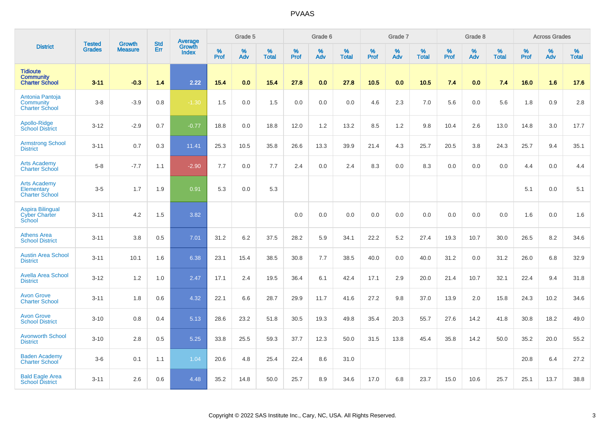|                                                              |                                |                                 | <b>Std</b> | Average                |              | Grade 5  |                   |           | Grade 6  |                   |           | Grade 7  |                   |           | Grade 8  |                   |           | <b>Across Grades</b> |                   |
|--------------------------------------------------------------|--------------------------------|---------------------------------|------------|------------------------|--------------|----------|-------------------|-----------|----------|-------------------|-----------|----------|-------------------|-----------|----------|-------------------|-----------|----------------------|-------------------|
| <b>District</b>                                              | <b>Tested</b><br><b>Grades</b> | <b>Growth</b><br><b>Measure</b> | Err        | Growth<br><b>Index</b> | $\%$<br>Prof | %<br>Adv | %<br><b>Total</b> | %<br>Prof | %<br>Adv | %<br><b>Total</b> | %<br>Prof | %<br>Adv | %<br><b>Total</b> | %<br>Prof | %<br>Adv | %<br><b>Total</b> | %<br>Prof | %<br>Adv             | %<br><b>Total</b> |
| <b>Tidioute</b><br><b>Community</b><br><b>Charter School</b> | $3 - 11$                       | $-0.3$                          | 1.4        | 2.22                   | 15.4         | 0.0      | 15.4              | 27.8      | 0.0      | 27.8              | 10.5      | 0.0      | 10.5              | 7.4       | 0.0      | 7.4               | 16.0      | 1.6                  | 17.6              |
| Antonia Pantoja<br>Community<br><b>Charter School</b>        | $3-8$                          | $-3.9$                          | 0.8        | $-1.30$                | 1.5          | 0.0      | 1.5               | 0.0       | 0.0      | 0.0               | 4.6       | 2.3      | 7.0               | 5.6       | 0.0      | 5.6               | 1.8       | $0.9\,$              | 2.8               |
| Apollo-Ridge<br><b>School District</b>                       | $3 - 12$                       | $-2.9$                          | 0.7        | $-0.77$                | 18.8         | 0.0      | 18.8              | 12.0      | 1.2      | 13.2              | 8.5       | 1.2      | 9.8               | 10.4      | 2.6      | 13.0              | 14.8      | 3.0                  | 17.7              |
| <b>Armstrong School</b><br><b>District</b>                   | $3 - 11$                       | 0.7                             | 0.3        | 11.41                  | 25.3         | 10.5     | 35.8              | 26.6      | 13.3     | 39.9              | 21.4      | 4.3      | 25.7              | 20.5      | 3.8      | 24.3              | 25.7      | 9.4                  | 35.1              |
| <b>Arts Academy</b><br><b>Charter School</b>                 | $5-8$                          | $-7.7$                          | 1.1        | $-2.90$                | 7.7          | 0.0      | 7.7               | 2.4       | 0.0      | 2.4               | 8.3       | 0.0      | 8.3               | 0.0       | 0.0      | 0.0               | 4.4       | 0.0                  | 4.4               |
| <b>Arts Academy</b><br>Elementary<br><b>Charter School</b>   | $3-5$                          | 1.7                             | 1.9        | 0.91                   | 5.3          | 0.0      | 5.3               |           |          |                   |           |          |                   |           |          |                   | 5.1       | 0.0                  | 5.1               |
| <b>Aspira Bilingual</b><br><b>Cyber Charter</b><br>School    | $3 - 11$                       | 4.2                             | 1.5        | 3.82                   |              |          |                   | 0.0       | 0.0      | 0.0               | 0.0       | 0.0      | 0.0               | 0.0       | 0.0      | 0.0               | 1.6       | 0.0                  | 1.6               |
| <b>Athens Area</b><br><b>School District</b>                 | $3 - 11$                       | 3.8                             | 0.5        | 7.01                   | 31.2         | 6.2      | 37.5              | 28.2      | 5.9      | 34.1              | 22.2      | 5.2      | 27.4              | 19.3      | 10.7     | 30.0              | 26.5      | 8.2                  | 34.6              |
| <b>Austin Area School</b><br><b>District</b>                 | $3 - 11$                       | 10.1                            | 1.6        | 6.38                   | 23.1         | 15.4     | 38.5              | 30.8      | 7.7      | 38.5              | 40.0      | 0.0      | 40.0              | 31.2      | 0.0      | 31.2              | 26.0      | 6.8                  | 32.9              |
| <b>Avella Area School</b><br><b>District</b>                 | $3 - 12$                       | 1.2                             | 1.0        | 2.47                   | 17.1         | 2.4      | 19.5              | 36.4      | 6.1      | 42.4              | 17.1      | 2.9      | 20.0              | 21.4      | 10.7     | 32.1              | 22.4      | 9.4                  | 31.8              |
| <b>Avon Grove</b><br><b>Charter School</b>                   | $3 - 11$                       | 1.8                             | 0.6        | 4.32                   | 22.1         | 6.6      | 28.7              | 29.9      | 11.7     | 41.6              | 27.2      | 9.8      | 37.0              | 13.9      | 2.0      | 15.8              | 24.3      | 10.2                 | 34.6              |
| <b>Avon Grove</b><br><b>School District</b>                  | $3 - 10$                       | 0.8                             | 0.4        | 5.13                   | 28.6         | 23.2     | 51.8              | 30.5      | 19.3     | 49.8              | 35.4      | 20.3     | 55.7              | 27.6      | 14.2     | 41.8              | 30.8      | 18.2                 | 49.0              |
| <b>Avonworth School</b><br><b>District</b>                   | $3 - 10$                       | 2.8                             | 0.5        | 5.25                   | 33.8         | 25.5     | 59.3              | 37.7      | 12.3     | 50.0              | 31.5      | 13.8     | 45.4              | 35.8      | 14.2     | 50.0              | 35.2      | 20.0                 | 55.2              |
| <b>Baden Academy</b><br><b>Charter School</b>                | $3-6$                          | 0.1                             | 1.1        | 1.04                   | 20.6         | 4.8      | 25.4              | 22.4      | 8.6      | 31.0              |           |          |                   |           |          |                   | 20.8      | 6.4                  | 27.2              |
| <b>Bald Eagle Area</b><br><b>School District</b>             | $3 - 11$                       | 2.6                             | 0.6        | 4.48                   | 35.2         | 14.8     | 50.0              | 25.7      | 8.9      | 34.6              | 17.0      | 6.8      | 23.7              | 15.0      | 10.6     | 25.7              | 25.1      | 13.7                 | 38.8              |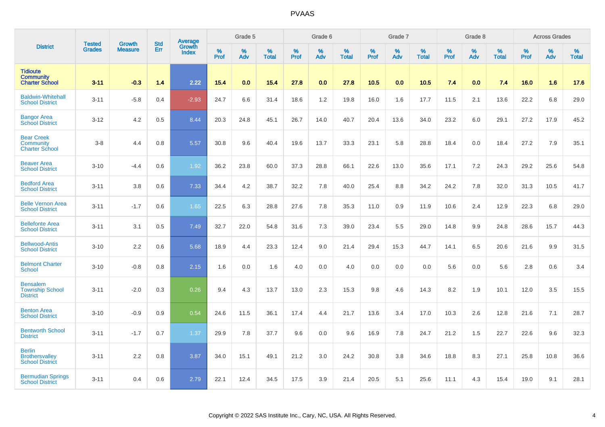|                                                                  |                                |                                 | <b>Std</b> | Average                |              | Grade 5  |                   |           | Grade 6  |                   |           | Grade 7  |                   |           | Grade 8  |                   |           | <b>Across Grades</b> |                   |
|------------------------------------------------------------------|--------------------------------|---------------------------------|------------|------------------------|--------------|----------|-------------------|-----------|----------|-------------------|-----------|----------|-------------------|-----------|----------|-------------------|-----------|----------------------|-------------------|
| <b>District</b>                                                  | <b>Tested</b><br><b>Grades</b> | <b>Growth</b><br><b>Measure</b> | Err        | Growth<br><b>Index</b> | $\%$<br>Prof | %<br>Adv | %<br><b>Total</b> | %<br>Prof | %<br>Adv | %<br><b>Total</b> | %<br>Prof | %<br>Adv | %<br><b>Total</b> | %<br>Prof | %<br>Adv | %<br><b>Total</b> | %<br>Prof | %<br>Adv             | %<br><b>Total</b> |
| <b>Tidioute</b><br><b>Community</b><br><b>Charter School</b>     | $3 - 11$                       | $-0.3$                          | 1.4        | 2.22                   | 15.4         | 0.0      | 15.4              | 27.8      | 0.0      | 27.8              | 10.5      | 0.0      | 10.5              | 7.4       | 0.0      | 7.4               | 16.0      | 1.6                  | 17.6              |
| <b>Baldwin-Whitehall</b><br><b>School District</b>               | $3 - 11$                       | $-5.8$                          | 0.4        | $-2.93$                | 24.7         | 6.6      | 31.4              | 18.6      | 1.2      | 19.8              | 16.0      | 1.6      | 17.7              | 11.5      | 2.1      | 13.6              | 22.2      | 6.8                  | 29.0              |
| <b>Bangor Area</b><br><b>School District</b>                     | $3 - 12$                       | 4.2                             | 0.5        | 8.44                   | 20.3         | 24.8     | 45.1              | 26.7      | 14.0     | 40.7              | 20.4      | 13.6     | 34.0              | 23.2      | 6.0      | 29.1              | 27.2      | 17.9                 | 45.2              |
| <b>Bear Creek</b><br>Community<br><b>Charter School</b>          | $3-8$                          | 4.4                             | 0.8        | 5.57                   | 30.8         | 9.6      | 40.4              | 19.6      | 13.7     | 33.3              | 23.1      | 5.8      | 28.8              | 18.4      | 0.0      | 18.4              | 27.2      | 7.9                  | 35.1              |
| <b>Beaver Area</b><br><b>School District</b>                     | $3 - 10$                       | $-4.4$                          | 0.6        | 1.92                   | 36.2         | 23.8     | 60.0              | 37.3      | 28.8     | 66.1              | 22.6      | 13.0     | 35.6              | 17.1      | 7.2      | 24.3              | 29.2      | 25.6                 | 54.8              |
| <b>Bedford Area</b><br><b>School District</b>                    | $3 - 11$                       | 3.8                             | 0.6        | 7.33                   | 34.4         | 4.2      | 38.7              | 32.2      | 7.8      | 40.0              | 25.4      | 8.8      | 34.2              | 24.2      | 7.8      | 32.0              | 31.3      | 10.5                 | 41.7              |
| <b>Belle Vernon Area</b><br><b>School District</b>               | $3 - 11$                       | $-1.7$                          | 0.6        | 1.65                   | 22.5         | 6.3      | 28.8              | 27.6      | 7.8      | 35.3              | 11.0      | 0.9      | 11.9              | 10.6      | 2.4      | 12.9              | 22.3      | 6.8                  | 29.0              |
| <b>Bellefonte Area</b><br><b>School District</b>                 | $3 - 11$                       | 3.1                             | 0.5        | 7.49                   | 32.7         | 22.0     | 54.8              | 31.6      | 7.3      | 39.0              | 23.4      | 5.5      | 29.0              | 14.8      | 9.9      | 24.8              | 28.6      | 15.7                 | 44.3              |
| <b>Bellwood-Antis</b><br><b>School District</b>                  | $3 - 10$                       | 2.2                             | 0.6        | 5.68                   | 18.9         | 4.4      | 23.3              | 12.4      | 9.0      | 21.4              | 29.4      | 15.3     | 44.7              | 14.1      | 6.5      | 20.6              | 21.6      | 9.9                  | 31.5              |
| <b>Belmont Charter</b><br>School                                 | $3 - 10$                       | $-0.8$                          | 0.8        | 2.15                   | 1.6          | 0.0      | 1.6               | 4.0       | 0.0      | 4.0               | 0.0       | 0.0      | 0.0               | 5.6       | 0.0      | 5.6               | 2.8       | 0.6                  | 3.4               |
| <b>Bensalem</b><br><b>Township School</b><br><b>District</b>     | $3 - 11$                       | $-2.0$                          | 0.3        | 0.26                   | 9.4          | 4.3      | 13.7              | 13.0      | 2.3      | 15.3              | 9.8       | 4.6      | 14.3              | 8.2       | 1.9      | 10.1              | 12.0      | 3.5                  | 15.5              |
| <b>Benton Area</b><br><b>School District</b>                     | $3 - 10$                       | $-0.9$                          | 0.9        | 0.54                   | 24.6         | 11.5     | 36.1              | 17.4      | 4.4      | 21.7              | 13.6      | 3.4      | 17.0              | 10.3      | 2.6      | 12.8              | 21.6      | 7.1                  | 28.7              |
| <b>Bentworth School</b><br><b>District</b>                       | $3 - 11$                       | $-1.7$                          | 0.7        | 1.37                   | 29.9         | 7.8      | 37.7              | 9.6       | 0.0      | 9.6               | 16.9      | 7.8      | 24.7              | 21.2      | 1.5      | 22.7              | 22.6      | 9.6                  | 32.3              |
| <b>Berlin</b><br><b>Brothersvalley</b><br><b>School District</b> | $3 - 11$                       | 2.2                             | 0.8        | 3.87                   | 34.0         | 15.1     | 49.1              | 21.2      | 3.0      | 24.2              | 30.8      | 3.8      | 34.6              | 18.8      | 8.3      | 27.1              | 25.8      | 10.8                 | 36.6              |
| <b>Bermudian Springs</b><br><b>School District</b>               | $3 - 11$                       | 0.4                             | 0.6        | 2.79                   | 22.1         | 12.4     | 34.5              | 17.5      | 3.9      | 21.4              | 20.5      | 5.1      | 25.6              | 11.1      | 4.3      | 15.4              | 19.0      | 9.1                  | 28.1              |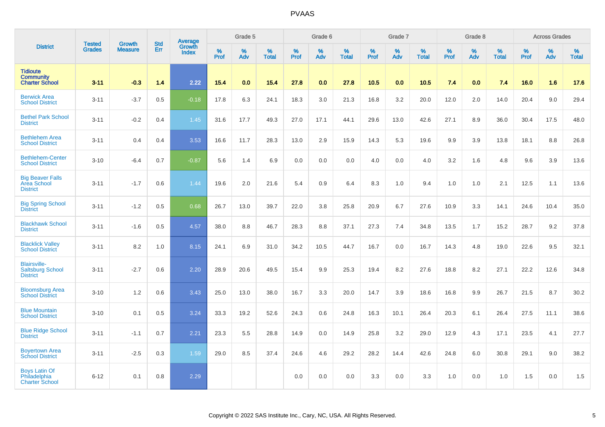|                                                                   |                                |                                 | <b>Std</b> | Average                |                     | Grade 5  |                   |                  | Grade 6  |                   |                  | Grade 7  |                   |           | Grade 8  |                   |           | <b>Across Grades</b> |                   |
|-------------------------------------------------------------------|--------------------------------|---------------------------------|------------|------------------------|---------------------|----------|-------------------|------------------|----------|-------------------|------------------|----------|-------------------|-----------|----------|-------------------|-----------|----------------------|-------------------|
| <b>District</b>                                                   | <b>Tested</b><br><b>Grades</b> | <b>Growth</b><br><b>Measure</b> | Err        | Growth<br><b>Index</b> | $\%$<br><b>Prof</b> | %<br>Adv | %<br><b>Total</b> | %<br><b>Prof</b> | %<br>Adv | %<br><b>Total</b> | %<br><b>Prof</b> | %<br>Adv | %<br><b>Total</b> | %<br>Prof | %<br>Adv | %<br><b>Total</b> | %<br>Prof | %<br>Adv             | %<br><b>Total</b> |
| <b>Tidioute</b><br><b>Community</b><br><b>Charter School</b>      | $3 - 11$                       | $-0.3$                          | 1.4        | 2.22                   | 15.4                | 0.0      | 15.4              | 27.8             | 0.0      | 27.8              | 10.5             | 0.0      | 10.5              | 7.4       | 0.0      | 7.4               | 16.0      | 1.6                  | 17.6              |
| <b>Berwick Area</b><br><b>School District</b>                     | $3 - 11$                       | $-3.7$                          | 0.5        | $-0.18$                | 17.8                | 6.3      | 24.1              | 18.3             | 3.0      | 21.3              | 16.8             | 3.2      | 20.0              | 12.0      | 2.0      | 14.0              | 20.4      | 9.0                  | 29.4              |
| <b>Bethel Park School</b><br><b>District</b>                      | $3 - 11$                       | $-0.2$                          | 0.4        | 1.45                   | 31.6                | 17.7     | 49.3              | 27.0             | 17.1     | 44.1              | 29.6             | 13.0     | 42.6              | 27.1      | 8.9      | 36.0              | 30.4      | 17.5                 | 48.0              |
| <b>Bethlehem Area</b><br><b>School District</b>                   | $3 - 11$                       | 0.4                             | 0.4        | 3.53                   | 16.6                | 11.7     | 28.3              | 13.0             | 2.9      | 15.9              | 14.3             | 5.3      | 19.6              | 9.9       | 3.9      | 13.8              | 18.1      | 8.8                  | 26.8              |
| <b>Bethlehem-Center</b><br><b>School District</b>                 | $3 - 10$                       | $-6.4$                          | 0.7        | $-0.87$                | 5.6                 | 1.4      | 6.9               | 0.0              | 0.0      | 0.0               | 4.0              | 0.0      | 4.0               | 3.2       | 1.6      | 4.8               | 9.6       | 3.9                  | 13.6              |
| <b>Big Beaver Falls</b><br><b>Area School</b><br><b>District</b>  | $3 - 11$                       | $-1.7$                          | 0.6        | 1.44                   | 19.6                | 2.0      | 21.6              | 5.4              | 0.9      | 6.4               | 8.3              | 1.0      | 9.4               | 1.0       | 1.0      | 2.1               | 12.5      | 1.1                  | 13.6              |
| <b>Big Spring School</b><br><b>District</b>                       | $3 - 11$                       | $-1.2$                          | 0.5        | 0.68                   | 26.7                | 13.0     | 39.7              | 22.0             | 3.8      | 25.8              | 20.9             | 6.7      | 27.6              | 10.9      | 3.3      | 14.1              | 24.6      | 10.4                 | 35.0              |
| <b>Blackhawk School</b><br><b>District</b>                        | $3 - 11$                       | $-1.6$                          | 0.5        | 4.57                   | 38.0                | 8.8      | 46.7              | 28.3             | 8.8      | 37.1              | 27.3             | 7.4      | 34.8              | 13.5      | 1.7      | 15.2              | 28.7      | 9.2                  | 37.8              |
| <b>Blacklick Valley</b><br><b>School District</b>                 | $3 - 11$                       | 8.2                             | 1.0        | 8.15                   | 24.1                | 6.9      | 31.0              | 34.2             | 10.5     | 44.7              | 16.7             | 0.0      | 16.7              | 14.3      | 4.8      | 19.0              | 22.6      | 9.5                  | 32.1              |
| <b>Blairsville-</b><br><b>Saltsburg School</b><br><b>District</b> | $3 - 11$                       | $-2.7$                          | 0.6        | 2.20                   | 28.9                | 20.6     | 49.5              | 15.4             | 9.9      | 25.3              | 19.4             | 8.2      | 27.6              | 18.8      | 8.2      | 27.1              | 22.2      | 12.6                 | 34.8              |
| <b>Bloomsburg Area</b><br><b>School District</b>                  | $3 - 10$                       | 1.2                             | 0.6        | 3.43                   | 25.0                | 13.0     | 38.0              | 16.7             | 3.3      | 20.0              | 14.7             | 3.9      | 18.6              | 16.8      | 9.9      | 26.7              | 21.5      | 8.7                  | 30.2              |
| <b>Blue Mountain</b><br><b>School District</b>                    | $3 - 10$                       | 0.1                             | 0.5        | 3.24                   | 33.3                | 19.2     | 52.6              | 24.3             | 0.6      | 24.8              | 16.3             | 10.1     | 26.4              | 20.3      | 6.1      | 26.4              | 27.5      | 11.1                 | 38.6              |
| <b>Blue Ridge School</b><br><b>District</b>                       | $3 - 11$                       | $-1.1$                          | 0.7        | 2.21                   | 23.3                | 5.5      | 28.8              | 14.9             | 0.0      | 14.9              | 25.8             | 3.2      | 29.0              | 12.9      | 4.3      | 17.1              | 23.5      | 4.1                  | 27.7              |
| <b>Boyertown Area</b><br><b>School District</b>                   | $3 - 11$                       | $-2.5$                          | 0.3        | 1.59                   | 29.0                | 8.5      | 37.4              | 24.6             | 4.6      | 29.2              | 28.2             | 14.4     | 42.6              | 24.8      | 6.0      | 30.8              | 29.1      | 9.0                  | 38.2              |
| <b>Boys Latin Of</b><br>Philadelphia<br><b>Charter School</b>     | $6 - 12$                       | 0.1                             | 0.8        | 2.29                   |                     |          |                   | 0.0              | 0.0      | 0.0               | 3.3              | 0.0      | 3.3               | 1.0       | 0.0      | 1.0               | 1.5       | 0.0                  | 1.5               |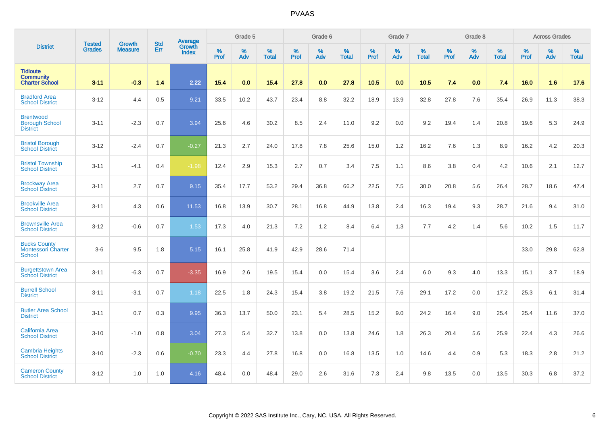|                                                              | <b>Tested</b> | <b>Growth</b>  | <b>Std</b> | Average                       |           | Grade 5  |                   |           | Grade 6  |                   |           | Grade 7  |                   |           | Grade 8  |                   |           | <b>Across Grades</b> |                   |
|--------------------------------------------------------------|---------------|----------------|------------|-------------------------------|-----------|----------|-------------------|-----------|----------|-------------------|-----------|----------|-------------------|-----------|----------|-------------------|-----------|----------------------|-------------------|
| <b>District</b>                                              | <b>Grades</b> | <b>Measure</b> | Err        | <b>Growth</b><br><b>Index</b> | %<br>Prof | %<br>Adv | %<br><b>Total</b> | %<br>Prof | %<br>Adv | %<br><b>Total</b> | %<br>Prof | %<br>Adv | %<br><b>Total</b> | %<br>Prof | %<br>Adv | %<br><b>Total</b> | %<br>Prof | %<br>Adv             | %<br><b>Total</b> |
| <b>Tidioute</b><br><b>Community</b><br><b>Charter School</b> | $3 - 11$      | $-0.3$         | 1.4        | 2.22                          | 15.4      | 0.0      | 15.4              | 27.8      | 0.0      | 27.8              | 10.5      | 0.0      | 10.5              | 7.4       | 0.0      | 7.4               | 16.0      | 1.6                  | 17.6              |
| <b>Bradford Area</b><br><b>School District</b>               | $3 - 12$      | 4.4            | 0.5        | 9.21                          | 33.5      | 10.2     | 43.7              | 23.4      | 8.8      | 32.2              | 18.9      | 13.9     | 32.8              | 27.8      | 7.6      | 35.4              | 26.9      | 11.3                 | 38.3              |
| <b>Brentwood</b><br><b>Borough School</b><br><b>District</b> | $3 - 11$      | $-2.3$         | 0.7        | 3.94                          | 25.6      | 4.6      | 30.2              | 8.5       | 2.4      | 11.0              | 9.2       | 0.0      | 9.2               | 19.4      | 1.4      | 20.8              | 19.6      | 5.3                  | 24.9              |
| <b>Bristol Borough</b><br><b>School District</b>             | $3 - 12$      | $-2.4$         | 0.7        | $-0.27$                       | 21.3      | 2.7      | 24.0              | 17.8      | 7.8      | 25.6              | 15.0      | 1.2      | 16.2              | 7.6       | 1.3      | 8.9               | 16.2      | 4.2                  | 20.3              |
| <b>Bristol Township</b><br><b>School District</b>            | $3 - 11$      | $-4.1$         | 0.4        | $-1.98$                       | 12.4      | 2.9      | 15.3              | 2.7       | 0.7      | 3.4               | 7.5       | 1.1      | 8.6               | 3.8       | 0.4      | 4.2               | 10.6      | 2.1                  | 12.7              |
| <b>Brockway Area</b><br><b>School District</b>               | $3 - 11$      | 2.7            | 0.7        | 9.15                          | 35.4      | 17.7     | 53.2              | 29.4      | 36.8     | 66.2              | 22.5      | 7.5      | 30.0              | 20.8      | 5.6      | 26.4              | 28.7      | 18.6                 | 47.4              |
| <b>Brookville Area</b><br><b>School District</b>             | $3 - 11$      | 4.3            | 0.6        | 11.53                         | 16.8      | 13.9     | 30.7              | 28.1      | 16.8     | 44.9              | 13.8      | 2.4      | 16.3              | 19.4      | 9.3      | 28.7              | 21.6      | 9.4                  | 31.0              |
| <b>Brownsville Area</b><br><b>School District</b>            | $3 - 12$      | $-0.6$         | 0.7        | 1.53                          | 17.3      | 4.0      | 21.3              | 7.2       | 1.2      | 8.4               | 6.4       | 1.3      | 7.7               | 4.2       | 1.4      | 5.6               | 10.2      | 1.5                  | 11.7              |
| <b>Bucks County</b><br>Montessori Charter<br>School          | $3-6$         | 9.5            | 1.8        | 5.15                          | 16.1      | 25.8     | 41.9              | 42.9      | 28.6     | 71.4              |           |          |                   |           |          |                   | 33.0      | 29.8                 | 62.8              |
| <b>Burgettstown Area</b><br><b>School District</b>           | $3 - 11$      | $-6.3$         | 0.7        | $-3.35$                       | 16.9      | 2.6      | 19.5              | 15.4      | 0.0      | 15.4              | 3.6       | 2.4      | 6.0               | 9.3       | 4.0      | 13.3              | 15.1      | 3.7                  | 18.9              |
| <b>Burrell School</b><br><b>District</b>                     | $3 - 11$      | $-3.1$         | 0.7        | 1.18                          | 22.5      | 1.8      | 24.3              | 15.4      | 3.8      | 19.2              | 21.5      | 7.6      | 29.1              | 17.2      | 0.0      | 17.2              | 25.3      | 6.1                  | 31.4              |
| <b>Butler Area School</b><br><b>District</b>                 | $3 - 11$      | 0.7            | 0.3        | 9.95                          | 36.3      | 13.7     | 50.0              | 23.1      | 5.4      | 28.5              | 15.2      | 9.0      | 24.2              | 16.4      | 9.0      | 25.4              | 25.4      | 11.6                 | 37.0              |
| California Area<br><b>School District</b>                    | $3 - 10$      | $-1.0$         | 0.8        | 3.04                          | 27.3      | 5.4      | 32.7              | 13.8      | 0.0      | 13.8              | 24.6      | 1.8      | 26.3              | 20.4      | 5.6      | 25.9              | 22.4      | 4.3                  | 26.6              |
| <b>Cambria Heights</b><br><b>School District</b>             | $3 - 10$      | $-2.3$         | 0.6        | $-0.70$                       | 23.3      | 4.4      | 27.8              | 16.8      | 0.0      | 16.8              | 13.5      | 1.0      | 14.6              | 4.4       | 0.9      | 5.3               | 18.3      | 2.8                  | 21.2              |
| <b>Cameron County</b><br><b>School District</b>              | $3 - 12$      | 1.0            | 1.0        | 4.16                          | 48.4      | 0.0      | 48.4              | 29.0      | 2.6      | 31.6              | 7.3       | 2.4      | 9.8               | 13.5      | 0.0      | 13.5              | 30.3      | 6.8                  | 37.2              |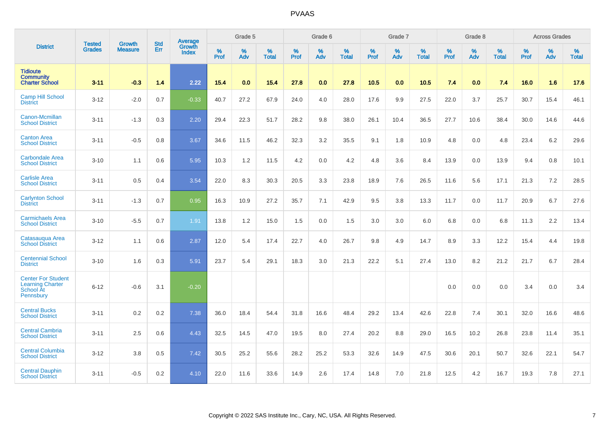|                                                                                |                                | <b>Growth</b>  | <b>Std</b> | Average                |           | Grade 5  |                   |           | Grade 6  |                   |           | Grade 7  |                   |           | Grade 8  |                   |           | <b>Across Grades</b> |                   |
|--------------------------------------------------------------------------------|--------------------------------|----------------|------------|------------------------|-----------|----------|-------------------|-----------|----------|-------------------|-----------|----------|-------------------|-----------|----------|-------------------|-----------|----------------------|-------------------|
| <b>District</b>                                                                | <b>Tested</b><br><b>Grades</b> | <b>Measure</b> | Err        | <b>Growth</b><br>Index | %<br>Prof | %<br>Adv | %<br><b>Total</b> | %<br>Prof | %<br>Adv | %<br><b>Total</b> | %<br>Prof | %<br>Adv | %<br><b>Total</b> | %<br>Prof | %<br>Adv | %<br><b>Total</b> | %<br>Prof | %<br>Adv             | %<br><b>Total</b> |
| <b>Tidioute</b><br><b>Community</b><br><b>Charter School</b>                   | $3 - 11$                       | $-0.3$         | 1.4        | 2.22                   | 15.4      | 0.0      | 15.4              | 27.8      | 0.0      | 27.8              | 10.5      | 0.0      | 10.5              | 7.4       | 0.0      | 7.4               | 16.0      | 1.6                  | 17.6              |
| <b>Camp Hill School</b><br><b>District</b>                                     | $3 - 12$                       | $-2.0$         | 0.7        | $-0.33$                | 40.7      | 27.2     | 67.9              | 24.0      | 4.0      | 28.0              | 17.6      | 9.9      | 27.5              | 22.0      | 3.7      | 25.7              | 30.7      | 15.4                 | 46.1              |
| Canon-Mcmillan<br><b>School District</b>                                       | $3 - 11$                       | $-1.3$         | 0.3        | 2.20                   | 29.4      | 22.3     | 51.7              | 28.2      | 9.8      | 38.0              | 26.1      | 10.4     | 36.5              | 27.7      | 10.6     | 38.4              | 30.0      | 14.6                 | 44.6              |
| <b>Canton Area</b><br><b>School District</b>                                   | $3 - 11$                       | $-0.5$         | 0.8        | 3.67                   | 34.6      | 11.5     | 46.2              | 32.3      | 3.2      | 35.5              | 9.1       | 1.8      | 10.9              | 4.8       | 0.0      | 4.8               | 23.4      | 6.2                  | 29.6              |
| <b>Carbondale Area</b><br><b>School District</b>                               | $3 - 10$                       | 1.1            | 0.6        | 5.95                   | 10.3      | 1.2      | 11.5              | 4.2       | 0.0      | 4.2               | 4.8       | 3.6      | 8.4               | 13.9      | 0.0      | 13.9              | 9.4       | 0.8                  | 10.1              |
| <b>Carlisle Area</b><br><b>School District</b>                                 | $3 - 11$                       | 0.5            | 0.4        | 3.54                   | 22.0      | 8.3      | 30.3              | 20.5      | 3.3      | 23.8              | 18.9      | 7.6      | 26.5              | 11.6      | 5.6      | 17.1              | 21.3      | 7.2                  | 28.5              |
| <b>Carlynton School</b><br><b>District</b>                                     | $3 - 11$                       | $-1.3$         | 0.7        | 0.95                   | 16.3      | 10.9     | 27.2              | 35.7      | 7.1      | 42.9              | 9.5       | 3.8      | 13.3              | 11.7      | 0.0      | 11.7              | 20.9      | 6.7                  | 27.6              |
| <b>Carmichaels Area</b><br><b>School District</b>                              | $3 - 10$                       | $-5.5$         | 0.7        | 1.91                   | 13.8      | 1.2      | 15.0              | 1.5       | 0.0      | 1.5               | 3.0       | 3.0      | 6.0               | 6.8       | 0.0      | 6.8               | 11.3      | $2.2\,$              | 13.4              |
| Catasaugua Area<br><b>School District</b>                                      | $3 - 12$                       | 1.1            | 0.6        | 2.87                   | 12.0      | 5.4      | 17.4              | 22.7      | 4.0      | 26.7              | 9.8       | 4.9      | 14.7              | 8.9       | 3.3      | 12.2              | 15.4      | 4.4                  | 19.8              |
| <b>Centennial School</b><br><b>District</b>                                    | $3 - 10$                       | 1.6            | 0.3        | 5.91                   | 23.7      | 5.4      | 29.1              | 18.3      | 3.0      | 21.3              | 22.2      | 5.1      | 27.4              | 13.0      | 8.2      | 21.2              | 21.7      | 6.7                  | 28.4              |
| <b>Center For Student</b><br><b>Learning Charter</b><br>School At<br>Pennsbury | $6 - 12$                       | $-0.6$         | 3.1        | $-0.20$                |           |          |                   |           |          |                   |           |          |                   | 0.0       | 0.0      | 0.0               | 3.4       | 0.0                  | 3.4               |
| <b>Central Bucks</b><br><b>School District</b>                                 | $3 - 11$                       | 0.2            | 0.2        | 7.38                   | 36.0      | 18.4     | 54.4              | 31.8      | 16.6     | 48.4              | 29.2      | 13.4     | 42.6              | 22.8      | 7.4      | 30.1              | 32.0      | 16.6                 | 48.6              |
| <b>Central Cambria</b><br><b>School District</b>                               | $3 - 11$                       | 2.5            | 0.6        | 4.43                   | 32.5      | 14.5     | 47.0              | 19.5      | 8.0      | 27.4              | 20.2      | 8.8      | 29.0              | 16.5      | 10.2     | 26.8              | 23.8      | 11.4                 | 35.1              |
| <b>Central Columbia</b><br><b>School District</b>                              | $3 - 12$                       | 3.8            | 0.5        | 7.42                   | 30.5      | 25.2     | 55.6              | 28.2      | 25.2     | 53.3              | 32.6      | 14.9     | 47.5              | 30.6      | 20.1     | 50.7              | 32.6      | 22.1                 | 54.7              |
| <b>Central Dauphin</b><br><b>School District</b>                               | $3 - 11$                       | $-0.5$         | 0.2        | 4.10                   | 22.0      | 11.6     | 33.6              | 14.9      | 2.6      | 17.4              | 14.8      | 7.0      | 21.8              | 12.5      | 4.2      | 16.7              | 19.3      | 7.8                  | 27.1              |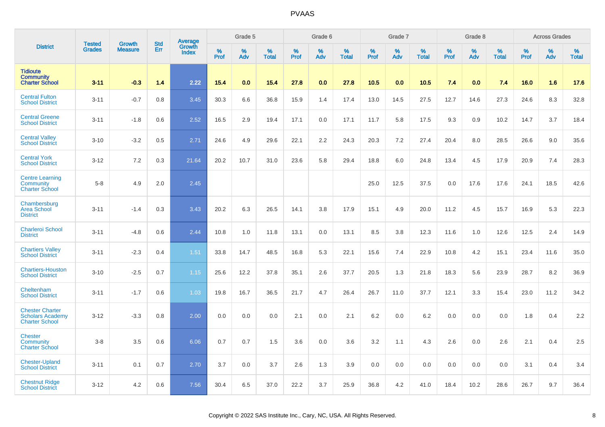|                                                                            |                                | <b>Growth</b>  | <b>Std</b> | Average                |                     | Grade 5     |                   |                  | Grade 6  |                   |           | Grade 7  |                   |              | Grade 8  |                   |              | <b>Across Grades</b> |                   |
|----------------------------------------------------------------------------|--------------------------------|----------------|------------|------------------------|---------------------|-------------|-------------------|------------------|----------|-------------------|-----------|----------|-------------------|--------------|----------|-------------------|--------------|----------------------|-------------------|
| <b>District</b>                                                            | <b>Tested</b><br><b>Grades</b> | <b>Measure</b> | Err        | Growth<br><b>Index</b> | $\%$<br><b>Prof</b> | $\%$<br>Adv | %<br><b>Total</b> | %<br><b>Prof</b> | %<br>Adv | %<br><b>Total</b> | %<br>Prof | %<br>Adv | %<br><b>Total</b> | $\%$<br>Prof | %<br>Adv | %<br><b>Total</b> | $\%$<br>Prof | $\%$<br>Adv          | %<br><b>Total</b> |
| <b>Tidioute</b><br><b>Community</b><br><b>Charter School</b>               | $3 - 11$                       | $-0.3$         | 1.4        | 2.22                   | 15.4                | 0.0         | 15.4              | 27.8             | 0.0      | 27.8              | 10.5      | 0.0      | 10.5              | 7.4          | 0.0      | 7.4               | 16.0         | 1.6                  | 17.6              |
| <b>Central Fulton</b><br><b>School District</b>                            | $3 - 11$                       | $-0.7$         | 0.8        | 3.45                   | 30.3                | 6.6         | 36.8              | 15.9             | 1.4      | 17.4              | 13.0      | 14.5     | 27.5              | 12.7         | 14.6     | 27.3              | 24.6         | 8.3                  | 32.8              |
| <b>Central Greene</b><br><b>School District</b>                            | $3 - 11$                       | $-1.8$         | 0.6        | 2.52                   | 16.5                | 2.9         | 19.4              | 17.1             | 0.0      | 17.1              | 11.7      | 5.8      | 17.5              | 9.3          | 0.9      | 10.2              | 14.7         | 3.7                  | 18.4              |
| <b>Central Valley</b><br><b>School District</b>                            | $3 - 10$                       | $-3.2$         | 0.5        | 2.71                   | 24.6                | 4.9         | 29.6              | 22.1             | 2.2      | 24.3              | 20.3      | 7.2      | 27.4              | 20.4         | 8.0      | 28.5              | 26.6         | 9.0                  | 35.6              |
| <b>Central York</b><br><b>School District</b>                              | $3 - 12$                       | 7.2            | 0.3        | $\overline{21.64}$     | 20.2                | 10.7        | 31.0              | 23.6             | 5.8      | 29.4              | 18.8      | 6.0      | 24.8              | 13.4         | 4.5      | 17.9              | 20.9         | 7.4                  | 28.3              |
| <b>Centre Learning</b><br><b>Community</b><br><b>Charter School</b>        | $5 - 8$                        | 4.9            | 2.0        | 2.45                   |                     |             |                   |                  |          |                   | 25.0      | 12.5     | 37.5              | 0.0          | 17.6     | 17.6              | 24.1         | 18.5                 | 42.6              |
| Chambersburg<br><b>Area School</b><br><b>District</b>                      | $3 - 11$                       | $-1.4$         | 0.3        | 3.43                   | 20.2                | 6.3         | 26.5              | 14.1             | 3.8      | 17.9              | 15.1      | 4.9      | 20.0              | 11.2         | 4.5      | 15.7              | 16.9         | 5.3                  | 22.3              |
| <b>Charleroi School</b><br><b>District</b>                                 | $3 - 11$                       | $-4.8$         | 0.6        | 2.44                   | 10.8                | 1.0         | 11.8              | 13.1             | 0.0      | 13.1              | 8.5       | 3.8      | 12.3              | 11.6         | 1.0      | 12.6              | 12.5         | 2.4                  | 14.9              |
| <b>Chartiers Valley</b><br><b>School District</b>                          | $3 - 11$                       | $-2.3$         | 0.4        | 1.51                   | 33.8                | 14.7        | 48.5              | 16.8             | 5.3      | 22.1              | 15.6      | 7.4      | 22.9              | 10.8         | 4.2      | 15.1              | 23.4         | 11.6                 | 35.0              |
| <b>Chartiers-Houston</b><br><b>School District</b>                         | $3 - 10$                       | $-2.5$         | 0.7        | 1.15                   | 25.6                | 12.2        | 37.8              | 35.1             | 2.6      | 37.7              | 20.5      | 1.3      | 21.8              | 18.3         | 5.6      | 23.9              | 28.7         | 8.2                  | 36.9              |
| Cheltenham<br><b>School District</b>                                       | $3 - 11$                       | $-1.7$         | 0.6        | 1.03                   | 19.8                | 16.7        | 36.5              | 21.7             | 4.7      | 26.4              | 26.7      | 11.0     | 37.7              | 12.1         | 3.3      | 15.4              | 23.0         | 11.2                 | 34.2              |
| <b>Chester Charter</b><br><b>Scholars Academy</b><br><b>Charter School</b> | $3 - 12$                       | $-3.3$         | 0.8        | 2.00                   | 0.0                 | 0.0         | 0.0               | 2.1              | 0.0      | 2.1               | 6.2       | 0.0      | 6.2               | 0.0          | 0.0      | 0.0               | 1.8          | 0.4                  | 2.2               |
| <b>Chester</b><br><b>Community</b><br><b>Charter School</b>                | $3 - 8$                        | 3.5            | 0.6        | 6.06                   | 0.7                 | 0.7         | 1.5               | 3.6              | 0.0      | 3.6               | 3.2       | 1.1      | 4.3               | 2.6          | 0.0      | 2.6               | 2.1          | 0.4                  | 2.5               |
| <b>Chester-Upland</b><br><b>School District</b>                            | $3 - 11$                       | 0.1            | 0.7        | 2.70                   | 3.7                 | 0.0         | 3.7               | 2.6              | 1.3      | 3.9               | 0.0       | 0.0      | 0.0               | 0.0          | 0.0      | 0.0               | 3.1          | 0.4                  | 3.4               |
| <b>Chestnut Ridge</b><br><b>School District</b>                            | $3 - 12$                       | 4.2            | 0.6        | 7.56                   | 30.4                | 6.5         | 37.0              | 22.2             | 3.7      | 25.9              | 36.8      | 4.2      | 41.0              | 18.4         | 10.2     | 28.6              | 26.7         | 9.7                  | 36.4              |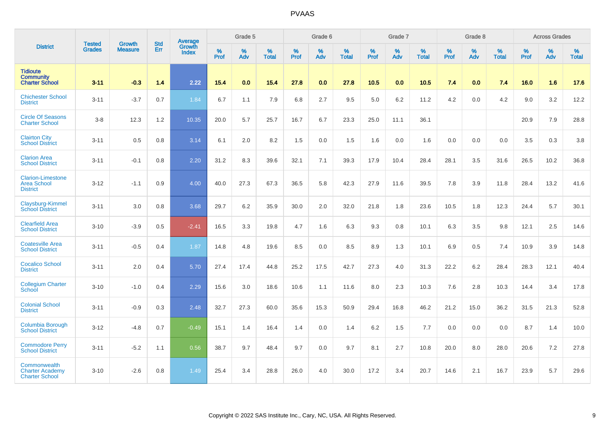|                                                                   |                                | <b>Growth</b>  | <b>Std</b> | Average                |           | Grade 5  |                   |           | Grade 6  |                   |           | Grade 7  |                   |           | Grade 8  |                   |           | <b>Across Grades</b> |                   |
|-------------------------------------------------------------------|--------------------------------|----------------|------------|------------------------|-----------|----------|-------------------|-----------|----------|-------------------|-----------|----------|-------------------|-----------|----------|-------------------|-----------|----------------------|-------------------|
| <b>District</b>                                                   | <b>Tested</b><br><b>Grades</b> | <b>Measure</b> | Err        | Growth<br><b>Index</b> | %<br>Prof | %<br>Adv | %<br><b>Total</b> | %<br>Prof | %<br>Adv | %<br><b>Total</b> | %<br>Prof | %<br>Adv | %<br><b>Total</b> | %<br>Prof | %<br>Adv | %<br><b>Total</b> | %<br>Prof | %<br>Adv             | %<br><b>Total</b> |
| <b>Tidioute</b><br><b>Community</b><br><b>Charter School</b>      | $3 - 11$                       | $-0.3$         | 1.4        | 2.22                   | 15.4      | 0.0      | 15.4              | 27.8      | 0.0      | 27.8              | 10.5      | 0.0      | 10.5              | 7.4       | 0.0      | 7.4               | 16.0      | 1.6                  | 17.6              |
| <b>Chichester School</b><br><b>District</b>                       | $3 - 11$                       | $-3.7$         | 0.7        | 1.84                   | 6.7       | 1.1      | 7.9               | 6.8       | 2.7      | 9.5               | 5.0       | 6.2      | 11.2              | 4.2       | 0.0      | 4.2               | 9.0       | 3.2                  | 12.2              |
| <b>Circle Of Seasons</b><br><b>Charter School</b>                 | $3-8$                          | 12.3           | 1.2        | 10.35                  | 20.0      | 5.7      | 25.7              | 16.7      | 6.7      | 23.3              | 25.0      | 11.1     | 36.1              |           |          |                   | 20.9      | 7.9                  | 28.8              |
| <b>Clairton City</b><br><b>School District</b>                    | $3 - 11$                       | 0.5            | 0.8        | 3.14                   | 6.1       | 2.0      | 8.2               | 1.5       | 0.0      | 1.5               | 1.6       | 0.0      | 1.6               | 0.0       | 0.0      | 0.0               | 3.5       | 0.3                  | $3.8\,$           |
| <b>Clarion Area</b><br><b>School District</b>                     | $3 - 11$                       | $-0.1$         | 0.8        | 2.20                   | 31.2      | 8.3      | 39.6              | 32.1      | 7.1      | 39.3              | 17.9      | 10.4     | 28.4              | 28.1      | 3.5      | 31.6              | 26.5      | 10.2                 | 36.8              |
| <b>Clarion-Limestone</b><br><b>Area School</b><br><b>District</b> | $3 - 12$                       | $-1.1$         | 0.9        | 4.00                   | 40.0      | 27.3     | 67.3              | 36.5      | 5.8      | 42.3              | 27.9      | 11.6     | 39.5              | 7.8       | 3.9      | 11.8              | 28.4      | 13.2                 | 41.6              |
| Claysburg-Kimmel<br><b>School District</b>                        | $3 - 11$                       | 3.0            | 0.8        | 3.68                   | 29.7      | 6.2      | 35.9              | 30.0      | 2.0      | 32.0              | 21.8      | 1.8      | 23.6              | 10.5      | 1.8      | 12.3              | 24.4      | 5.7                  | 30.1              |
| <b>Clearfield Area</b><br><b>School District</b>                  | $3 - 10$                       | $-3.9$         | 0.5        | $-2.41$                | 16.5      | 3.3      | 19.8              | 4.7       | 1.6      | 6.3               | 9.3       | 0.8      | 10.1              | 6.3       | 3.5      | 9.8               | 12.1      | 2.5                  | 14.6              |
| <b>Coatesville Area</b><br><b>School District</b>                 | $3 - 11$                       | $-0.5$         | 0.4        | 1.87                   | 14.8      | 4.8      | 19.6              | 8.5       | 0.0      | 8.5               | 8.9       | 1.3      | 10.1              | 6.9       | $0.5\,$  | 7.4               | 10.9      | 3.9                  | 14.8              |
| <b>Cocalico School</b><br><b>District</b>                         | $3 - 11$                       | 2.0            | 0.4        | 5.70                   | 27.4      | 17.4     | 44.8              | 25.2      | 17.5     | 42.7              | 27.3      | 4.0      | 31.3              | 22.2      | 6.2      | 28.4              | 28.3      | 12.1                 | 40.4              |
| <b>Collegium Charter</b><br>School                                | $3 - 10$                       | $-1.0$         | 0.4        | 2.29                   | 15.6      | 3.0      | 18.6              | 10.6      | 1.1      | 11.6              | 8.0       | 2.3      | 10.3              | 7.6       | 2.8      | 10.3              | 14.4      | 3.4                  | 17.8              |
| <b>Colonial School</b><br><b>District</b>                         | $3 - 11$                       | $-0.9$         | 0.3        | 2.48                   | 32.7      | 27.3     | 60.0              | 35.6      | 15.3     | 50.9              | 29.4      | 16.8     | 46.2              | 21.2      | 15.0     | 36.2              | 31.5      | 21.3                 | 52.8              |
| Columbia Borough<br><b>School District</b>                        | $3 - 12$                       | $-4.8$         | 0.7        | $-0.49$                | 15.1      | 1.4      | 16.4              | 1.4       | 0.0      | 1.4               | 6.2       | 1.5      | 7.7               | 0.0       | 0.0      | 0.0               | 8.7       | 1.4                  | 10.0              |
| <b>Commodore Perry</b><br><b>School District</b>                  | $3 - 11$                       | $-5.2$         | 1.1        | 0.56                   | 38.7      | 9.7      | 48.4              | 9.7       | 0.0      | 9.7               | 8.1       | 2.7      | 10.8              | 20.0      | 8.0      | 28.0              | 20.6      | 7.2                  | 27.8              |
| Commonwealth<br><b>Charter Academy</b><br><b>Charter School</b>   | $3 - 10$                       | $-2.6$         | 0.8        | 1.49                   | 25.4      | 3.4      | 28.8              | 26.0      | 4.0      | 30.0              | 17.2      | 3.4      | 20.7              | 14.6      | 2.1      | 16.7              | 23.9      | 5.7                  | 29.6              |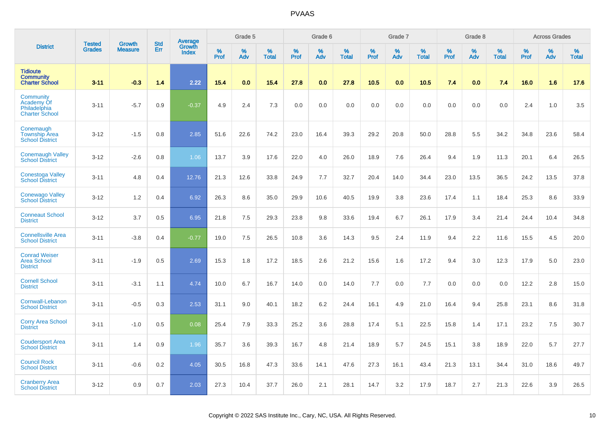|                                                                  | <b>Tested</b> | <b>Growth</b>  | <b>Std</b> | Average                |                  | Grade 5  |                   |                  | Grade 6  |                   |                  | Grade 7  |                   |           | Grade 8  |                   |           | <b>Across Grades</b> |                   |
|------------------------------------------------------------------|---------------|----------------|------------|------------------------|------------------|----------|-------------------|------------------|----------|-------------------|------------------|----------|-------------------|-----------|----------|-------------------|-----------|----------------------|-------------------|
| <b>District</b>                                                  | <b>Grades</b> | <b>Measure</b> | Err        | Growth<br><b>Index</b> | %<br><b>Prof</b> | %<br>Adv | %<br><b>Total</b> | %<br><b>Prof</b> | %<br>Adv | %<br><b>Total</b> | %<br><b>Prof</b> | %<br>Adv | %<br><b>Total</b> | %<br>Prof | %<br>Adv | %<br><b>Total</b> | %<br>Prof | %<br>Adv             | %<br><b>Total</b> |
| <b>Tidioute</b><br><b>Community</b><br><b>Charter School</b>     | $3 - 11$      | $-0.3$         | 1.4        | 2.22                   | 15.4             | 0.0      | 15.4              | 27.8             | 0.0      | 27.8              | 10.5             | 0.0      | 10.5              | 7.4       | 0.0      | 7.4               | 16.0      | 1.6                  | 17.6              |
| Community<br>Academy Of<br>Philadelphia<br><b>Charter School</b> | $3 - 11$      | $-5.7$         | 0.9        | $-0.37$                | 4.9              | 2.4      | 7.3               | 0.0              | 0.0      | 0.0               | 0.0              | 0.0      | 0.0               | 0.0       | 0.0      | 0.0               | 2.4       | 1.0                  | 3.5               |
| Conemaugh<br><b>Township Area</b><br><b>School District</b>      | $3 - 12$      | $-1.5$         | 0.8        | 2.85                   | 51.6             | 22.6     | 74.2              | 23.0             | 16.4     | 39.3              | 29.2             | 20.8     | 50.0              | 28.8      | 5.5      | 34.2              | 34.8      | 23.6                 | 58.4              |
| <b>Conemaugh Valley</b><br><b>School District</b>                | $3 - 12$      | $-2.6$         | 0.8        | 1.06                   | 13.7             | 3.9      | 17.6              | 22.0             | 4.0      | 26.0              | 18.9             | 7.6      | 26.4              | 9.4       | 1.9      | 11.3              | 20.1      | 6.4                  | 26.5              |
| <b>Conestoga Valley</b><br><b>School District</b>                | $3 - 11$      | 4.8            | 0.4        | 12.76                  | 21.3             | 12.6     | 33.8              | 24.9             | 7.7      | 32.7              | 20.4             | 14.0     | 34.4              | 23.0      | 13.5     | 36.5              | 24.2      | 13.5                 | 37.8              |
| <b>Conewago Valley</b><br><b>School District</b>                 | $3 - 12$      | 1.2            | 0.4        | 6.92                   | 26.3             | 8.6      | 35.0              | 29.9             | 10.6     | 40.5              | 19.9             | 3.8      | 23.6              | 17.4      | 1.1      | 18.4              | 25.3      | 8.6                  | 33.9              |
| <b>Conneaut School</b><br><b>District</b>                        | $3 - 12$      | 3.7            | 0.5        | 6.95                   | 21.8             | 7.5      | 29.3              | 23.8             | 9.8      | 33.6              | 19.4             | 6.7      | 26.1              | 17.9      | 3.4      | 21.4              | 24.4      | 10.4                 | 34.8              |
| <b>Connellsville Area</b><br><b>School District</b>              | $3 - 11$      | $-3.8$         | 0.4        | $-0.77$                | 19.0             | 7.5      | 26.5              | 10.8             | 3.6      | 14.3              | 9.5              | 2.4      | 11.9              | 9.4       | 2.2      | 11.6              | 15.5      | 4.5                  | 20.0              |
| <b>Conrad Weiser</b><br><b>Area School</b><br><b>District</b>    | $3 - 11$      | $-1.9$         | 0.5        | 2.69                   | 15.3             | 1.8      | 17.2              | 18.5             | 2.6      | 21.2              | 15.6             | 1.6      | 17.2              | 9.4       | 3.0      | 12.3              | 17.9      | $5.0\,$              | 23.0              |
| <b>Cornell School</b><br><b>District</b>                         | $3 - 11$      | $-3.1$         | 1.1        | 4.74                   | 10.0             | 6.7      | 16.7              | 14.0             | 0.0      | 14.0              | 7.7              | 0.0      | 7.7               | 0.0       | 0.0      | 0.0               | 12.2      | 2.8                  | 15.0              |
| Cornwall-Lebanon<br><b>School District</b>                       | $3 - 11$      | $-0.5$         | 0.3        | 2.53                   | 31.1             | 9.0      | 40.1              | 18.2             | 6.2      | 24.4              | 16.1             | 4.9      | 21.0              | 16.4      | 9.4      | 25.8              | 23.1      | 8.6                  | 31.8              |
| <b>Corry Area School</b><br><b>District</b>                      | $3 - 11$      | $-1.0$         | 0.5        | 0.08                   | 25.4             | 7.9      | 33.3              | 25.2             | 3.6      | 28.8              | 17.4             | 5.1      | 22.5              | 15.8      | 1.4      | 17.1              | 23.2      | 7.5                  | 30.7              |
| <b>Coudersport Area</b><br><b>School District</b>                | $3 - 11$      | 1.4            | 0.9        | 1.96                   | 35.7             | 3.6      | 39.3              | 16.7             | 4.8      | 21.4              | 18.9             | 5.7      | 24.5              | 15.1      | 3.8      | 18.9              | 22.0      | 5.7                  | 27.7              |
| <b>Council Rock</b><br><b>School District</b>                    | $3 - 11$      | $-0.6$         | 0.2        | 4.05                   | 30.5             | 16.8     | 47.3              | 33.6             | 14.1     | 47.6              | 27.3             | 16.1     | 43.4              | 21.3      | 13.1     | 34.4              | 31.0      | 18.6                 | 49.7              |
| <b>Cranberry Area</b><br><b>School District</b>                  | $3 - 12$      | 0.9            | 0.7        | 2.03                   | 27.3             | 10.4     | 37.7              | 26.0             | 2.1      | 28.1              | 14.7             | 3.2      | 17.9              | 18.7      | 2.7      | 21.3              | 22.6      | 3.9                  | 26.5              |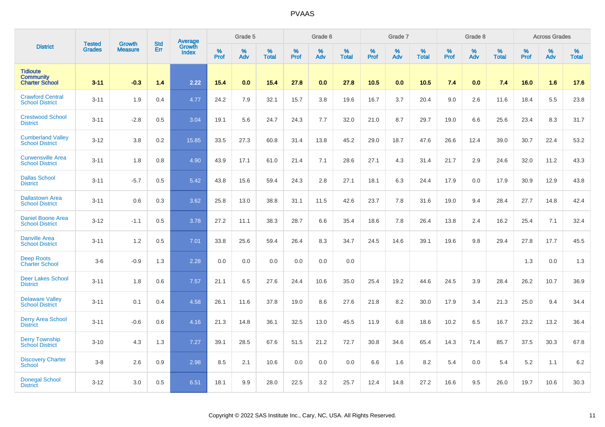|                                                              |                         | <b>Growth</b>  | <b>Std</b> | Average                |                     | Grade 5  |                      |                     | Grade 6  |                      |                     | Grade 7     |                      |                     | Grade 8     |                      |                     | <b>Across Grades</b> |                      |
|--------------------------------------------------------------|-------------------------|----------------|------------|------------------------|---------------------|----------|----------------------|---------------------|----------|----------------------|---------------------|-------------|----------------------|---------------------|-------------|----------------------|---------------------|----------------------|----------------------|
| <b>District</b>                                              | <b>Tested</b><br>Grades | <b>Measure</b> | Err        | Growth<br><b>Index</b> | $\%$<br><b>Prof</b> | %<br>Adv | $\%$<br><b>Total</b> | $\%$<br><b>Prof</b> | %<br>Adv | $\%$<br><b>Total</b> | $\%$<br><b>Prof</b> | $\%$<br>Adv | $\%$<br><b>Total</b> | $\%$<br><b>Prof</b> | $\%$<br>Adv | $\%$<br><b>Total</b> | $\%$<br><b>Prof</b> | %<br>Adv             | $\%$<br><b>Total</b> |
| <b>Tidioute</b><br><b>Community</b><br><b>Charter School</b> | $3 - 11$                | $-0.3$         | 1.4        | 2.22                   | 15.4                | 0.0      | 15.4                 | 27.8                | 0.0      | 27.8                 | 10.5                | 0.0         | 10.5                 | 7.4                 | 0.0         | 7.4                  | 16.0                | 1.6                  | 17.6                 |
| <b>Crawford Central</b><br><b>School District</b>            | $3 - 11$                | 1.9            | 0.4        | 4.77                   | 24.2                | 7.9      | 32.1                 | 15.7                | 3.8      | 19.6                 | 16.7                | 3.7         | 20.4                 | 9.0                 | 2.6         | 11.6                 | 18.4                | 5.5                  | 23.8                 |
| <b>Crestwood School</b><br><b>District</b>                   | $3 - 11$                | $-2.8$         | 0.5        | 3.04                   | 19.1                | 5.6      | 24.7                 | 24.3                | 7.7      | 32.0                 | 21.0                | 8.7         | 29.7                 | 19.0                | 6.6         | 25.6                 | 23.4                | 8.3                  | 31.7                 |
| <b>Cumberland Valley</b><br><b>School District</b>           | $3 - 12$                | 3.8            | 0.2        | 15.85                  | 33.5                | 27.3     | 60.8                 | 31.4                | 13.8     | 45.2                 | 29.0                | 18.7        | 47.6                 | 26.6                | 12.4        | 39.0                 | 30.7                | 22.4                 | 53.2                 |
| <b>Curwensville Area</b><br><b>School District</b>           | $3 - 11$                | 1.8            | 0.8        | 4.90                   | 43.9                | 17.1     | 61.0                 | 21.4                | 7.1      | 28.6                 | 27.1                | 4.3         | 31.4                 | 21.7                | 2.9         | 24.6                 | 32.0                | 11.2                 | 43.3                 |
| <b>Dallas School</b><br><b>District</b>                      | $3 - 11$                | $-5.7$         | 0.5        | 5.42                   | 43.8                | 15.6     | 59.4                 | 24.3                | 2.8      | 27.1                 | 18.1                | 6.3         | 24.4                 | 17.9                | 0.0         | 17.9                 | 30.9                | 12.9                 | 43.8                 |
| <b>Dallastown Area</b><br><b>School District</b>             | $3 - 11$                | 0.6            | 0.3        | 3.62                   | 25.8                | 13.0     | 38.8                 | 31.1                | 11.5     | 42.6                 | 23.7                | 7.8         | 31.6                 | 19.0                | 9.4         | 28.4                 | 27.7                | 14.8                 | 42.4                 |
| <b>Daniel Boone Area</b><br><b>School District</b>           | $3 - 12$                | $-1.1$         | 0.5        | 3.78                   | 27.2                | 11.1     | 38.3                 | 28.7                | 6.6      | 35.4                 | 18.6                | 7.8         | 26.4                 | 13.8                | 2.4         | 16.2                 | 25.4                | 7.1                  | 32.4                 |
| <b>Danville Area</b><br><b>School District</b>               | $3 - 11$                | 1.2            | 0.5        | 7.01                   | 33.8                | 25.6     | 59.4                 | 26.4                | 8.3      | 34.7                 | 24.5                | 14.6        | 39.1                 | 19.6                | 9.8         | 29.4                 | 27.8                | 17.7                 | 45.5                 |
| <b>Deep Roots</b><br><b>Charter School</b>                   | $3-6$                   | $-0.9$         | 1.3        | 2.28                   | 0.0                 | 0.0      | 0.0                  | 0.0                 | 0.0      | 0.0                  |                     |             |                      |                     |             |                      | 1.3                 | 0.0                  | 1.3                  |
| Deer Lakes School<br><b>District</b>                         | $3 - 11$                | 1.8            | 0.6        | 7.57                   | 21.1                | 6.5      | 27.6                 | 24.4                | 10.6     | 35.0                 | 25.4                | 19.2        | 44.6                 | 24.5                | 3.9         | 28.4                 | 26.2                | 10.7                 | 36.9                 |
| <b>Delaware Valley</b><br><b>School District</b>             | $3 - 11$                | 0.1            | 0.4        | 4.58                   | 26.1                | 11.6     | 37.8                 | 19.0                | 8.6      | 27.6                 | 21.8                | 8.2         | 30.0                 | 17.9                | 3.4         | 21.3                 | 25.0                | 9.4                  | 34.4                 |
| <b>Derry Area School</b><br><b>District</b>                  | $3 - 11$                | $-0.6$         | 0.6        | 4.16                   | 21.3                | 14.8     | 36.1                 | 32.5                | 13.0     | 45.5                 | 11.9                | 6.8         | 18.6                 | 10.2                | 6.5         | 16.7                 | 23.2                | 13.2                 | 36.4                 |
| <b>Derry Township</b><br>School District                     | $3 - 10$                | 4.3            | 1.3        | 7.27                   | 39.1                | 28.5     | 67.6                 | 51.5                | 21.2     | 72.7                 | 30.8                | 34.6        | 65.4                 | 14.3                | 71.4        | 85.7                 | 37.5                | 30.3                 | 67.8                 |
| <b>Discovery Charter</b><br><b>School</b>                    | $3-8$                   | 2.6            | 0.9        | 2.98                   | 8.5                 | 2.1      | 10.6                 | 0.0                 | 0.0      | 0.0                  | 6.6                 | 1.6         | 8.2                  | 5.4                 | 0.0         | 5.4                  | 5.2                 | 1.1                  | 6.2                  |
| <b>Donegal School</b><br><b>District</b>                     | $3 - 12$                | 3.0            | 0.5        | 6.51                   | 18.1                | 9.9      | 28.0                 | 22.5                | 3.2      | 25.7                 | 12.4                | 14.8        | 27.2                 | 16.6                | 9.5         | 26.0                 | 19.7                | 10.6                 | 30.3                 |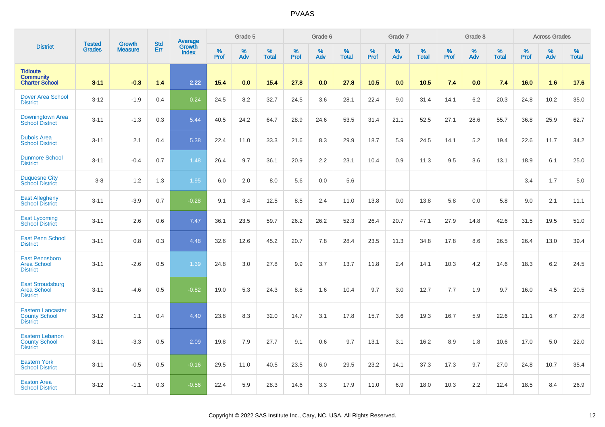|                                                                     | <b>Tested</b> | <b>Growth</b>  | <b>Std</b> |                                          |              | Grade 5  |                   |           | Grade 6  |                   |           | Grade 7  |                   |           | Grade 8  |                   |           | <b>Across Grades</b> |                   |
|---------------------------------------------------------------------|---------------|----------------|------------|------------------------------------------|--------------|----------|-------------------|-----------|----------|-------------------|-----------|----------|-------------------|-----------|----------|-------------------|-----------|----------------------|-------------------|
| <b>District</b>                                                     | <b>Grades</b> | <b>Measure</b> | Err        | <b>Average</b><br>Growth<br><b>Index</b> | $\%$<br>Prof | %<br>Adv | %<br><b>Total</b> | %<br>Prof | %<br>Adv | %<br><b>Total</b> | %<br>Prof | %<br>Adv | %<br><b>Total</b> | %<br>Prof | %<br>Adv | %<br><b>Total</b> | %<br>Prof | %<br>Adv             | %<br><b>Total</b> |
| <b>Tidioute</b><br><b>Community</b><br><b>Charter School</b>        | $3 - 11$      | $-0.3$         | 1.4        | 2.22                                     | 15.4         | 0.0      | 15.4              | 27.8      | 0.0      | 27.8              | 10.5      | 0.0      | 10.5              | 7.4       | 0.0      | 7.4               | 16.0      | 1.6                  | 17.6              |
| <b>Dover Area School</b><br><b>District</b>                         | $3 - 12$      | $-1.9$         | 0.4        | 0.24                                     | 24.5         | 8.2      | 32.7              | 24.5      | 3.6      | 28.1              | 22.4      | 9.0      | 31.4              | 14.1      | 6.2      | 20.3              | 24.8      | 10.2                 | 35.0              |
| Downingtown Area<br><b>School District</b>                          | $3 - 11$      | $-1.3$         | 0.3        | 5.44                                     | 40.5         | 24.2     | 64.7              | 28.9      | 24.6     | 53.5              | 31.4      | 21.1     | 52.5              | 27.1      | 28.6     | 55.7              | 36.8      | 25.9                 | 62.7              |
| <b>Dubois Area</b><br><b>School District</b>                        | $3 - 11$      | 2.1            | 0.4        | 5.38                                     | 22.4         | 11.0     | 33.3              | 21.6      | 8.3      | 29.9              | 18.7      | 5.9      | 24.5              | 14.1      | 5.2      | 19.4              | 22.6      | 11.7                 | 34.2              |
| <b>Dunmore School</b><br><b>District</b>                            | $3 - 11$      | $-0.4$         | 0.7        | 1.48                                     | 26.4         | 9.7      | 36.1              | 20.9      | 2.2      | 23.1              | 10.4      | 0.9      | 11.3              | 9.5       | 3.6      | 13.1              | 18.9      | 6.1                  | 25.0              |
| <b>Duquesne City</b><br><b>School District</b>                      | $3 - 8$       | 1.2            | 1.3        | 1.95                                     | 6.0          | 2.0      | 8.0               | 5.6       | 0.0      | 5.6               |           |          |                   |           |          |                   | 3.4       | 1.7                  | 5.0               |
| <b>East Allegheny</b><br><b>School District</b>                     | $3 - 11$      | $-3.9$         | 0.7        | $-0.28$                                  | 9.1          | 3.4      | 12.5              | 8.5       | 2.4      | 11.0              | 13.8      | 0.0      | 13.8              | 5.8       | 0.0      | 5.8               | 9.0       | 2.1                  | 11.1              |
| <b>East Lycoming</b><br><b>School District</b>                      | $3 - 11$      | 2.6            | 0.6        | 7.47                                     | 36.1         | 23.5     | 59.7              | 26.2      | 26.2     | 52.3              | 26.4      | 20.7     | 47.1              | 27.9      | 14.8     | 42.6              | 31.5      | 19.5                 | 51.0              |
| <b>East Penn School</b><br><b>District</b>                          | $3 - 11$      | 0.8            | 0.3        | 4.48                                     | 32.6         | 12.6     | 45.2              | 20.7      | 7.8      | 28.4              | 23.5      | 11.3     | 34.8              | 17.8      | 8.6      | 26.5              | 26.4      | 13.0                 | 39.4              |
| <b>East Pennsboro</b><br><b>Area School</b><br><b>District</b>      | $3 - 11$      | $-2.6$         | 0.5        | 1.39                                     | 24.8         | 3.0      | 27.8              | 9.9       | 3.7      | 13.7              | 11.8      | 2.4      | 14.1              | 10.3      | 4.2      | 14.6              | 18.3      | 6.2                  | 24.5              |
| <b>East Stroudsburg</b><br><b>Area School</b><br><b>District</b>    | $3 - 11$      | $-4.6$         | 0.5        | $-0.82$                                  | 19.0         | 5.3      | 24.3              | 8.8       | 1.6      | 10.4              | 9.7       | 3.0      | 12.7              | 7.7       | 1.9      | 9.7               | 16.0      | 4.5                  | 20.5              |
| <b>Eastern Lancaster</b><br><b>County School</b><br><b>District</b> | $3 - 12$      | 1.1            | 0.4        | 4.40                                     | 23.8         | 8.3      | 32.0              | 14.7      | 3.1      | 17.8              | 15.7      | 3.6      | 19.3              | 16.7      | 5.9      | 22.6              | 21.1      | 6.7                  | 27.8              |
| <b>Eastern Lebanon</b><br><b>County School</b><br><b>District</b>   | $3 - 11$      | $-3.3$         | 0.5        | 2.09                                     | 19.8         | 7.9      | 27.7              | 9.1       | 0.6      | 9.7               | 13.1      | 3.1      | 16.2              | 8.9       | 1.8      | 10.6              | 17.0      | 5.0                  | 22.0              |
| <b>Eastern York</b><br><b>School District</b>                       | $3 - 11$      | $-0.5$         | 0.5        | $-0.16$                                  | 29.5         | 11.0     | 40.5              | 23.5      | 6.0      | 29.5              | 23.2      | 14.1     | 37.3              | 17.3      | 9.7      | 27.0              | 24.8      | 10.7                 | 35.4              |
| <b>Easton Area</b><br><b>School District</b>                        | $3 - 12$      | $-1.1$         | 0.3        | $-0.56$                                  | 22.4         | 5.9      | 28.3              | 14.6      | 3.3      | 17.9              | 11.0      | 6.9      | 18.0              | 10.3      | 2.2      | 12.4              | 18.5      | 8.4                  | 26.9              |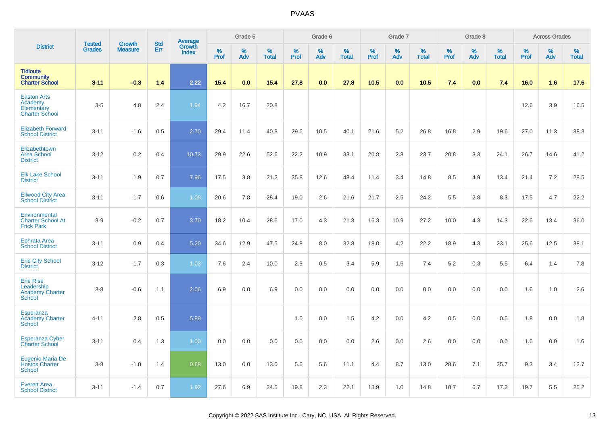|                                                                      | <b>Tested</b> | <b>Growth</b>  | <b>Std</b> | <b>Average</b><br>Growth |           | Grade 5  |                   |           | Grade 6  |                   |           | Grade 7  |                   |           | Grade 8  |                   |           | <b>Across Grades</b> |                   |
|----------------------------------------------------------------------|---------------|----------------|------------|--------------------------|-----------|----------|-------------------|-----------|----------|-------------------|-----------|----------|-------------------|-----------|----------|-------------------|-----------|----------------------|-------------------|
| <b>District</b>                                                      | <b>Grades</b> | <b>Measure</b> | Err        | <b>Index</b>             | %<br>Prof | %<br>Adv | %<br><b>Total</b> | %<br>Prof | %<br>Adv | %<br><b>Total</b> | %<br>Prof | %<br>Adv | %<br><b>Total</b> | %<br>Prof | %<br>Adv | %<br><b>Total</b> | %<br>Prof | %<br>Adv             | %<br><b>Total</b> |
| <b>Tidioute</b><br><b>Community</b><br><b>Charter School</b>         | $3 - 11$      | $-0.3$         | 1.4        | 2.22                     | 15.4      | 0.0      | 15.4              | 27.8      | 0.0      | 27.8              | 10.5      | 0.0      | 10.5              | 7.4       | 0.0      | 7.4               | 16.0      | 1.6                  | 17.6              |
| <b>Easton Arts</b><br>Academy<br>Elementary<br><b>Charter School</b> | $3-5$         | 4.8            | 2.4        | 1.94                     | 4.2       | 16.7     | 20.8              |           |          |                   |           |          |                   |           |          |                   | 12.6      | 3.9                  | 16.5              |
| <b>Elizabeth Forward</b><br><b>School District</b>                   | $3 - 11$      | $-1.6$         | 0.5        | 2.70                     | 29.4      | 11.4     | 40.8              | 29.6      | 10.5     | 40.1              | 21.6      | 5.2      | 26.8              | 16.8      | 2.9      | 19.6              | 27.0      | 11.3                 | 38.3              |
| Elizabethtown<br><b>Area School</b><br><b>District</b>               | $3 - 12$      | 0.2            | 0.4        | 10.73                    | 29.9      | 22.6     | 52.6              | 22.2      | 10.9     | 33.1              | 20.8      | 2.8      | 23.7              | 20.8      | 3.3      | 24.1              | 26.7      | 14.6                 | 41.2              |
| <b>Elk Lake School</b><br><b>District</b>                            | $3 - 11$      | 1.9            | 0.7        | 7.96                     | 17.5      | 3.8      | 21.2              | 35.8      | 12.6     | 48.4              | 11.4      | 3.4      | 14.8              | 8.5       | 4.9      | 13.4              | 21.4      | 7.2                  | 28.5              |
| <b>Ellwood City Area</b><br><b>School District</b>                   | $3 - 11$      | $-1.7$         | 0.6        | 1.08                     | 20.6      | 7.8      | 28.4              | 19.0      | 2.6      | 21.6              | 21.7      | 2.5      | 24.2              | 5.5       | 2.8      | 8.3               | 17.5      | 4.7                  | 22.2              |
| Environmental<br><b>Charter School At</b><br><b>Frick Park</b>       | $3-9$         | $-0.2$         | 0.7        | 3.70                     | 18.2      | 10.4     | 28.6              | 17.0      | 4.3      | 21.3              | 16.3      | 10.9     | 27.2              | 10.0      | 4.3      | 14.3              | 22.6      | 13.4                 | 36.0              |
| <b>Ephrata Area</b><br><b>School District</b>                        | $3 - 11$      | 0.9            | 0.4        | 5.20                     | 34.6      | 12.9     | 47.5              | 24.8      | 8.0      | 32.8              | 18.0      | 4.2      | 22.2              | 18.9      | 4.3      | 23.1              | 25.6      | 12.5                 | 38.1              |
| <b>Erie City School</b><br><b>District</b>                           | $3 - 12$      | $-1.7$         | 0.3        | 1.03                     | 7.6       | 2.4      | 10.0              | 2.9       | 0.5      | 3.4               | 5.9       | 1.6      | 7.4               | 5.2       | 0.3      | 5.5               | 6.4       | 1.4                  | 7.8               |
| <b>Erie Rise</b><br>Leadership<br><b>Academy Charter</b><br>School   | $3 - 8$       | $-0.6$         | 1.1        | 2.06                     | 6.9       | 0.0      | 6.9               | 0.0       | 0.0      | 0.0               | 0.0       | 0.0      | 0.0               | 0.0       | 0.0      | 0.0               | 1.6       | 1.0                  | 2.6               |
| Esperanza<br><b>Academy Charter</b><br><b>School</b>                 | $4 - 11$      | 2.8            | 0.5        | 5.89                     |           |          |                   | 1.5       | 0.0      | 1.5               | 4.2       | 0.0      | 4.2               | 0.5       | 0.0      | 0.5               | 1.8       | 0.0                  | 1.8               |
| <b>Esperanza Cyber</b><br><b>Charter School</b>                      | $3 - 11$      | 0.4            | 1.3        | 1.00                     | 0.0       | 0.0      | 0.0               | 0.0       | 0.0      | 0.0               | 2.6       | 0.0      | 2.6               | 0.0       | 0.0      | 0.0               | 1.6       | 0.0                  | 1.6               |
| <b>Eugenio Maria De</b><br><b>Hostos Charter</b><br><b>School</b>    | $3 - 8$       | $-1.0$         | 1.4        | 0.68                     | 13.0      | 0.0      | 13.0              | 5.6       | 5.6      | 11.1              | 4.4       | 8.7      | 13.0              | 28.6      | 7.1      | 35.7              | 9.3       | 3.4                  | 12.7              |
| <b>Everett Area</b><br><b>School District</b>                        | $3 - 11$      | $-1.4$         | 0.7        | 1.92                     | 27.6      | 6.9      | 34.5              | 19.8      | 2.3      | 22.1              | 13.9      | 1.0      | 14.8              | 10.7      | 6.7      | 17.3              | 19.7      | 5.5                  | 25.2              |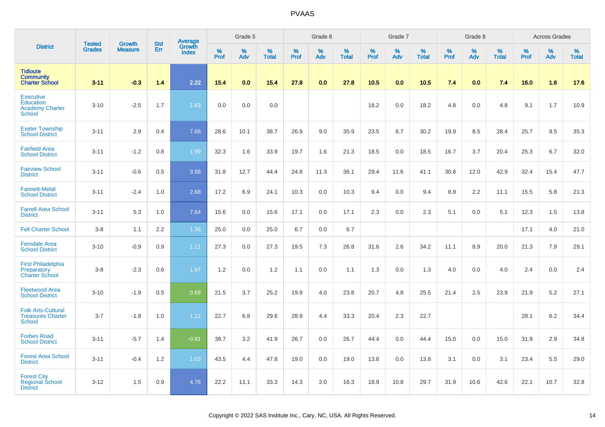|                                                                                 | <b>Tested</b> | Growth         | <b>Std</b> | <b>Average</b><br>Growth |           | Grade 5  |                   |           | Grade 6  |                   |           | Grade 7  |                   |           | Grade 8  |                   |           | <b>Across Grades</b> |                   |
|---------------------------------------------------------------------------------|---------------|----------------|------------|--------------------------|-----------|----------|-------------------|-----------|----------|-------------------|-----------|----------|-------------------|-----------|----------|-------------------|-----------|----------------------|-------------------|
| <b>District</b>                                                                 | <b>Grades</b> | <b>Measure</b> | Err        | <b>Index</b>             | %<br>Prof | %<br>Adv | %<br><b>Total</b> | %<br>Prof | %<br>Adv | %<br><b>Total</b> | %<br>Prof | %<br>Adv | %<br><b>Total</b> | %<br>Prof | %<br>Adv | %<br><b>Total</b> | %<br>Prof | %<br>Adv             | %<br><b>Total</b> |
| <b>Tidioute</b><br><b>Community</b><br><b>Charter School</b>                    | $3 - 11$      | $-0.3$         | 1.4        | 2.22                     | 15.4      | 0.0      | 15.4              | 27.8      | 0.0      | 27.8              | 10.5      | 0.0      | 10.5              | 7.4       | 0.0      | 7.4               | 16.0      | 1.6                  | 17.6              |
| <b>Executive</b><br><b>Education</b><br><b>Academy Charter</b><br><b>School</b> | $3 - 10$      | $-2.5$         | 1.7        | 1.63                     | 0.0       | 0.0      | 0.0               |           |          |                   | 18.2      | 0.0      | 18.2              | 4.8       | 0.0      | 4.8               | 9.1       | 1.7                  | 10.9              |
| <b>Exeter Township</b><br><b>School District</b>                                | $3 - 11$      | 2.9            | 0.4        | 7.68                     | 28.6      | 10.1     | 38.7              | 26.9      | 9.0      | 35.9              | 23.5      | 6.7      | 30.2              | 19.9      | 8.5      | 28.4              | 25.7      | 9.5                  | 35.3              |
| <b>Fairfield Area</b><br><b>School District</b>                                 | $3 - 11$      | $-1.2$         | 0.8        | 1.99                     | 32.3      | 1.6      | 33.9              | 19.7      | 1.6      | 21.3              | 18.5      | 0.0      | 18.5              | 16.7      | 3.7      | 20.4              | 25.3      | 6.7                  | 32.0              |
| <b>Fairview School</b><br><b>District</b>                                       | $3 - 11$      | $-0.6$         | 0.5        | 3.58                     | 31.8      | 12.7     | 44.4              | 24.8      | 11.3     | 36.1              | 29.4      | 11.6     | 41.1              | 30.8      | 12.0     | 42.9              | 32.4      | 15.4                 | 47.7              |
| <b>Fannett-Metal</b><br><b>School District</b>                                  | $3 - 11$      | $-2.4$         | 1.0        | 2.68                     | 17.2      | 6.9      | 24.1              | 10.3      | 0.0      | 10.3              | 9.4       | 0.0      | 9.4               | 8.9       | 2.2      | 11.1              | 15.5      | 5.8                  | 21.3              |
| <b>Farrell Area School</b><br><b>District</b>                                   | $3 - 11$      | 5.3            | 1.0        | 7.64                     | 15.6      | 0.0      | 15.6              | 17.1      | 0.0      | 17.1              | 2.3       | 0.0      | 2.3               | 5.1       | 0.0      | 5.1               | 12.3      | 1.5                  | 13.8              |
| <b>Fell Charter School</b>                                                      | $3-8$         | 1.1            | 2.2        | 1.36                     | 25.0      | 0.0      | 25.0              | 6.7       | 0.0      | 6.7               |           |          |                   |           |          |                   | 17.1      | 4.0                  | 21.0              |
| <b>Ferndale Area</b><br><b>School District</b>                                  | $3 - 10$      | $-0.9$         | 0.9        | 1.11                     | 27.3      | 0.0      | 27.3              | 19.5      | 7.3      | 26.8              | 31.6      | 2.6      | 34.2              | 11.1      | 8.9      | 20.0              | 21.3      | 7.9                  | 29.1              |
| <b>First Philadelphia</b><br>Preparatory<br><b>Charter School</b>               | $3-8$         | $-2.3$         | 0.6        | 1.67                     | 1.2       | 0.0      | 1.2               | 1.1       | 0.0      | 1.1               | 1.3       | 0.0      | 1.3               | 4.0       | 0.0      | 4.0               | 2.4       | 0.0                  | 2.4               |
| <b>Fleetwood Area</b><br><b>School District</b>                                 | $3 - 10$      | $-1.9$         | 0.5        | 0.68                     | 21.5      | 3.7      | 25.2              | 19.9      | 4.0      | 23.8              | 20.7      | 4.8      | 25.5              | 21.4      | 2.5      | 23.9              | 21.9      | 5.2                  | 27.1              |
| <b>Folk Arts-Cultural</b><br><b>Treasures Charter</b><br><b>School</b>          | $3 - 7$       | $-1.8$         | 1.0        | 1.12                     | 22.7      | 6.8      | 29.6              | 28.9      | 4.4      | 33.3              | 20.4      | 2.3      | 22.7              |           |          |                   | 28.1      | 6.2                  | 34.4              |
| <b>Forbes Road</b><br><b>School District</b>                                    | $3 - 11$      | $-5.7$         | 1.4        | $-0.81$                  | 38.7      | 3.2      | 41.9              | 26.7      | 0.0      | 26.7              | 44.4      | 0.0      | 44.4              | 15.0      | 0.0      | 15.0              | 31.9      | 2.9                  | 34.8              |
| <b>Forest Area School</b><br><b>District</b>                                    | $3 - 11$      | $-0.4$         | 1.2        | 1.03                     | 43.5      | 4.4      | 47.8              | 19.0      | 0.0      | 19.0              | 13.8      | 0.0      | 13.8              | 3.1       | 0.0      | 3.1               | 23.4      | 5.5                  | 29.0              |
| <b>Forest City</b><br><b>Regional School</b><br><b>District</b>                 | $3 - 12$      | 1.5            | 0.9        | 4.76                     | 22.2      | 11.1     | 33.3              | 14.3      | 2.0      | 16.3              | 18.9      | 10.8     | 29.7              | 31.9      | 10.6     | 42.6              | 22.1      | 10.7                 | 32.8              |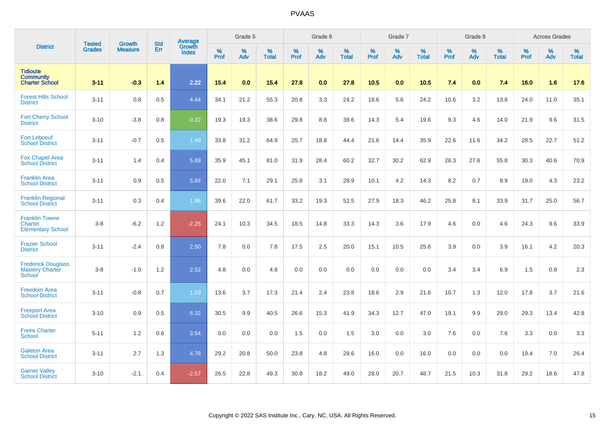|                                                                      | <b>Tested</b> | <b>Growth</b>  | <b>Std</b> | Average                |           | Grade 5  |                   |           | Grade 6  |                   |           | Grade 7  |                   |           | Grade 8  |                   |           | <b>Across Grades</b> |                   |
|----------------------------------------------------------------------|---------------|----------------|------------|------------------------|-----------|----------|-------------------|-----------|----------|-------------------|-----------|----------|-------------------|-----------|----------|-------------------|-----------|----------------------|-------------------|
| <b>District</b>                                                      | <b>Grades</b> | <b>Measure</b> | Err        | <b>Growth</b><br>Index | %<br>Prof | %<br>Adv | %<br><b>Total</b> | %<br>Prof | %<br>Adv | %<br><b>Total</b> | %<br>Prof | %<br>Adv | %<br><b>Total</b> | %<br>Prof | %<br>Adv | %<br><b>Total</b> | %<br>Prof | %<br>Adv             | %<br><b>Total</b> |
| <b>Tidioute</b><br><b>Community</b><br><b>Charter School</b>         | $3 - 11$      | $-0.3$         | 1.4        | 2.22                   | 15.4      | 0.0      | 15.4              | 27.8      | 0.0      | 27.8              | 10.5      | 0.0      | 10.5              | 7.4       | 0.0      | 7.4               | 16.0      | 1.6                  | 17.6              |
| <b>Forest Hills School</b><br><b>District</b>                        | $3 - 11$      | 0.8            | 0.5        | 4.44                   | 34.1      | 21.2     | 55.3              | 20.8      | 3.3      | 24.2              | 18.6      | 5.6      | 24.2              | 10.6      | 3.2      | 13.8              | 24.0      | 11.0                 | 35.1              |
| <b>Fort Cherry School</b><br><b>District</b>                         | $3 - 10$      | $-3.8$         | 0.8        | $-0.22$                | 19.3      | 19.3     | 38.6              | 29.8      | 8.8      | 38.6              | 14.3      | 5.4      | 19.6              | 9.3       | 4.6      | 14.0              | 21.9      | 9.6                  | 31.5              |
| <b>Fort Leboeuf</b><br><b>School District</b>                        | $3 - 11$      | $-0.7$         | 0.5        | 1.49                   | 33.8      | 31.2     | 64.9              | 25.7      | 18.8     | 44.4              | 21.6      | 14.4     | 35.9              | 22.6      | 11.6     | 34.2              | 28.5      | 22.7                 | 51.2              |
| <b>Fox Chapel Area</b><br><b>School District</b>                     | $3 - 11$      | 1.4            | 0.4        | 5.89                   | 35.9      | 45.1     | 81.0              | 31.9      | 28.4     | 60.2              | 32.7      | 30.2     | 62.9              | 28.3      | 27.6     | 55.8              | 30.3      | 40.6                 | 70.9              |
| <b>Franklin Area</b><br><b>School District</b>                       | $3 - 11$      | 0.9            | 0.5        | 5.84                   | 22.0      | 7.1      | 29.1              | 25.8      | 3.1      | 28.9              | 10.1      | 4.2      | 14.3              | 8.2       | 0.7      | 8.9               | 19.0      | 4.3                  | 23.2              |
| <b>Franklin Regional</b><br><b>School District</b>                   | $3 - 11$      | 0.3            | 0.4        | 1.98                   | 39.6      | 22.0     | 61.7              | 33.2      | 19.3     | 52.5              | 27.9      | 18.3     | 46.2              | 25.8      | 8.1      | 33.9              | 31.7      | 25.0                 | 56.7              |
| <b>Franklin Towne</b><br>Charter<br><b>Elementary School</b>         | $3-8$         | $-6.2$         | 1.2        | $-2.25$                | 24.1      | 10.3     | 34.5              | 18.5      | 14.8     | 33.3              | 14.3      | 3.6      | 17.9              | 4.6       | 0.0      | 4.6               | 24.3      | 9.6                  | 33.9              |
| <b>Frazier School</b><br><b>District</b>                             | $3 - 11$      | $-2.4$         | 0.8        | 2.50                   | 7.8       | 0.0      | 7.8               | 17.5      | 2.5      | 20.0              | 15.1      | 10.5     | 25.6              | 3.9       | 0.0      | 3.9               | 16.1      | 4.2                  | 20.3              |
| <b>Frederick Douglass</b><br><b>Mastery Charter</b><br><b>School</b> | $3-8$         | $-1.0$         | 1.2        | 2.52                   | 4.8       | 0.0      | 4.8               | 0.0       | 0.0      | 0.0               | 0.0       | 0.0      | 0.0               | 3.4       | 3.4      | 6.9               | 1.5       | 0.8                  | 2.3               |
| <b>Freedom Area</b><br><b>School District</b>                        | $3 - 11$      | $-0.8$         | 0.7        | 1.59                   | 13.6      | 3.7      | 17.3              | 21.4      | 2.4      | 23.8              | 18.6      | 2.9      | 21.6              | 10.7      | 1.3      | 12.0              | 17.8      | 3.7                  | 21.6              |
| <b>Freeport Area</b><br><b>School District</b>                       | $3 - 10$      | 0.9            | 0.5        | 6.32                   | 30.5      | 9.9      | 40.5              | 26.6      | 15.3     | 41.9              | 34.3      | 12.7     | 47.0              | 19.1      | 9.9      | 29.0              | 29.3      | 13.4                 | 42.8              |
| <b>Freire Charter</b><br>School                                      | $5 - 11$      | 1.2            | 0.6        | 3.54                   | 0.0       | 0.0      | 0.0               | 1.5       | 0.0      | 1.5               | 3.0       | 0.0      | 3.0               | 7.6       | 0.0      | 7.6               | 3.3       | 0.0                  | 3.3               |
| <b>Galeton Area</b><br><b>School District</b>                        | $3 - 11$      | 2.7            | 1.3        | 4.78                   | 29.2      | 20.8     | 50.0              | 23.8      | 4.8      | 28.6              | 16.0      | 0.0      | 16.0              | 0.0       | 0.0      | 0.0               | 19.4      | 7.0                  | 26.4              |
| <b>Garnet Valley</b><br><b>School District</b>                       | $3 - 10$      | $-2.1$         | 0.4        | $-2.57$                | 26.5      | 22.8     | 49.3              | 30.8      | 18.2     | 49.0              | 28.0      | 20.7     | 48.7              | 21.5      | 10.3     | 31.8              | 29.2      | 18.6                 | 47.8              |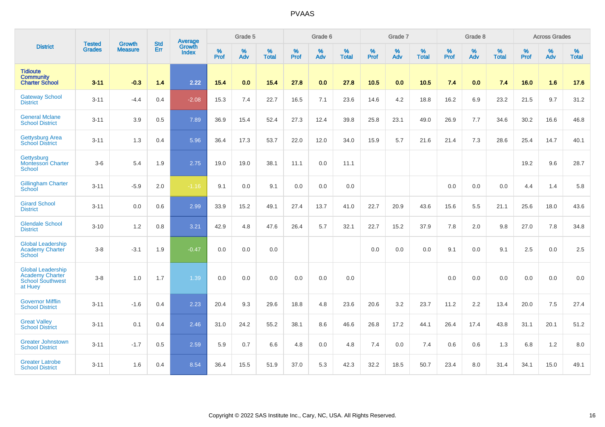|                                                                                          | <b>Tested</b> | <b>Growth</b>  | <b>Std</b> | Average                |                     | Grade 5  |                   |                     | Grade 6  |                   |                     | Grade 7  |                   |                     | Grade 8  |                      |                     | <b>Across Grades</b> |                   |
|------------------------------------------------------------------------------------------|---------------|----------------|------------|------------------------|---------------------|----------|-------------------|---------------------|----------|-------------------|---------------------|----------|-------------------|---------------------|----------|----------------------|---------------------|----------------------|-------------------|
| <b>District</b>                                                                          | <b>Grades</b> | <b>Measure</b> | Err        | Growth<br><b>Index</b> | $\%$<br><b>Prof</b> | %<br>Adv | %<br><b>Total</b> | $\%$<br><b>Prof</b> | %<br>Adv | %<br><b>Total</b> | $\%$<br><b>Prof</b> | %<br>Adv | %<br><b>Total</b> | $\%$<br><b>Prof</b> | %<br>Adv | $\%$<br><b>Total</b> | $\%$<br><b>Prof</b> | $\%$<br>Adv          | %<br><b>Total</b> |
| <b>Tidioute</b><br><b>Community</b><br><b>Charter School</b>                             | $3 - 11$      | $-0.3$         | 1.4        | 2.22                   | 15.4                | 0.0      | 15.4              | 27.8                | 0.0      | 27.8              | 10.5                | 0.0      | 10.5              | 7.4                 | 0.0      | 7.4                  | 16.0                | 1.6                  | 17.6              |
| <b>Gateway School</b><br><b>District</b>                                                 | $3 - 11$      | $-4.4$         | 0.4        | $-2.08$                | 15.3                | 7.4      | 22.7              | 16.5                | 7.1      | 23.6              | 14.6                | 4.2      | 18.8              | 16.2                | 6.9      | 23.2                 | 21.5                | 9.7                  | 31.2              |
| <b>General Mclane</b><br><b>School District</b>                                          | $3 - 11$      | 3.9            | 0.5        | 7.89                   | 36.9                | 15.4     | 52.4              | 27.3                | 12.4     | 39.8              | 25.8                | 23.1     | 49.0              | 26.9                | 7.7      | 34.6                 | 30.2                | 16.6                 | 46.8              |
| <b>Gettysburg Area</b><br><b>School District</b>                                         | $3 - 11$      | 1.3            | 0.4        | 5.96                   | 36.4                | 17.3     | 53.7              | 22.0                | 12.0     | 34.0              | 15.9                | 5.7      | 21.6              | 21.4                | 7.3      | 28.6                 | 25.4                | 14.7                 | 40.1              |
| Gettysburg<br>Montessori Charter<br><b>School</b>                                        | $3-6$         | 5.4            | 1.9        | 2.75                   | 19.0                | 19.0     | 38.1              | 11.1                | 0.0      | 11.1              |                     |          |                   |                     |          |                      | 19.2                | 9.6                  | 28.7              |
| <b>Gillingham Charter</b><br><b>School</b>                                               | $3 - 11$      | $-5.9$         | 2.0        | $-1.16$                | 9.1                 | 0.0      | 9.1               | 0.0                 | 0.0      | 0.0               |                     |          |                   | 0.0                 | 0.0      | 0.0                  | 4.4                 | 1.4                  | 5.8               |
| <b>Girard School</b><br><b>District</b>                                                  | $3 - 11$      | 0.0            | 0.6        | 2.99                   | 33.9                | 15.2     | 49.1              | 27.4                | 13.7     | 41.0              | 22.7                | 20.9     | 43.6              | 15.6                | 5.5      | 21.1                 | 25.6                | 18.0                 | 43.6              |
| <b>Glendale School</b><br><b>District</b>                                                | $3 - 10$      | 1.2            | 0.8        | 3.21                   | 42.9                | 4.8      | 47.6              | 26.4                | 5.7      | 32.1              | 22.7                | 15.2     | 37.9              | 7.8                 | 2.0      | 9.8                  | 27.0                | 7.8                  | 34.8              |
| <b>Global Leadership</b><br><b>Academy Charter</b><br><b>School</b>                      | $3-8$         | $-3.1$         | 1.9        | $-0.47$                | 0.0                 | 0.0      | 0.0               |                     |          |                   | 0.0                 | 0.0      | 0.0               | 9.1                 | 0.0      | 9.1                  | 2.5                 | 0.0                  | 2.5               |
| <b>Global Leadership</b><br><b>Academy Charter</b><br><b>School Southwest</b><br>at Huey | $3-8$         | 1.0            | 1.7        | 1.39                   | 0.0                 | 0.0      | 0.0               | 0.0                 | 0.0      | 0.0               |                     |          |                   | 0.0                 | 0.0      | 0.0                  | 0.0                 | 0.0                  | 0.0               |
| <b>Governor Mifflin</b><br><b>School District</b>                                        | $3 - 11$      | $-1.6$         | 0.4        | 2.23                   | 20.4                | 9.3      | 29.6              | 18.8                | 4.8      | 23.6              | 20.6                | 3.2      | 23.7              | 11.2                | 2.2      | 13.4                 | 20.0                | 7.5                  | 27.4              |
| <b>Great Valley</b><br><b>School District</b>                                            | $3 - 11$      | 0.1            | 0.4        | 2.46                   | 31.0                | 24.2     | 55.2              | 38.1                | 8.6      | 46.6              | 26.8                | 17.2     | 44.1              | 26.4                | 17.4     | 43.8                 | 31.1                | 20.1                 | 51.2              |
| <b>Greater Johnstown</b><br><b>School District</b>                                       | $3 - 11$      | $-1.7$         | 0.5        | 2.59                   | 5.9                 | 0.7      | 6.6               | 4.8                 | 0.0      | 4.8               | 7.4                 | 0.0      | 7.4               | 0.6                 | 0.6      | 1.3                  | 6.8                 | 1.2                  | 8.0               |
| <b>Greater Latrobe</b><br><b>School District</b>                                         | $3 - 11$      | 1.6            | 0.4        | 8.54                   | 36.4                | 15.5     | 51.9              | 37.0                | 5.3      | 42.3              | 32.2                | 18.5     | 50.7              | 23.4                | 8.0      | 31.4                 | 34.1                | 15.0                 | 49.1              |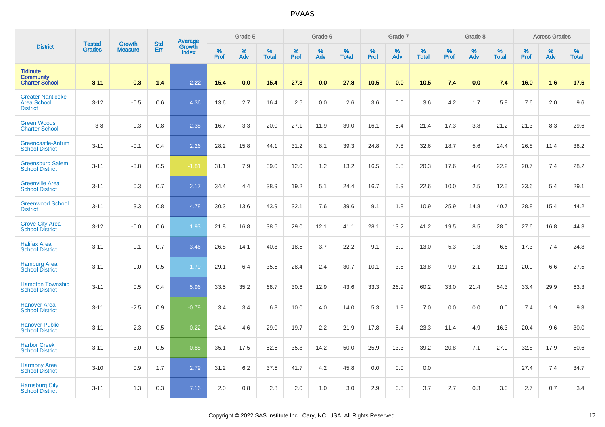|                                                                   | <b>Tested</b> | <b>Growth</b>  | <b>Std</b> |                                   |           | Grade 5  |                   |           | Grade 6  |                   |           | Grade 7  |                   |           | Grade 8  |                   |           | <b>Across Grades</b> |                   |
|-------------------------------------------------------------------|---------------|----------------|------------|-----------------------------------|-----------|----------|-------------------|-----------|----------|-------------------|-----------|----------|-------------------|-----------|----------|-------------------|-----------|----------------------|-------------------|
| <b>District</b>                                                   | <b>Grades</b> | <b>Measure</b> | Err        | Average<br>Growth<br><b>Index</b> | %<br>Prof | %<br>Adv | %<br><b>Total</b> | %<br>Prof | %<br>Adv | %<br><b>Total</b> | %<br>Prof | %<br>Adv | %<br><b>Total</b> | %<br>Prof | %<br>Adv | %<br><b>Total</b> | %<br>Prof | %<br>Adv             | %<br><b>Total</b> |
| <b>Tidioute</b><br><b>Community</b><br><b>Charter School</b>      | $3 - 11$      | $-0.3$         | 1.4        | 2.22                              | 15.4      | 0.0      | 15.4              | 27.8      | 0.0      | 27.8              | 10.5      | 0.0      | 10.5              | 7.4       | 0.0      | 7.4               | 16.0      | 1.6                  | 17.6              |
| <b>Greater Nanticoke</b><br><b>Area School</b><br><b>District</b> | $3 - 12$      | $-0.5$         | 0.6        | 4.36                              | 13.6      | 2.7      | 16.4              | 2.6       | 0.0      | 2.6               | 3.6       | 0.0      | 3.6               | 4.2       | 1.7      | 5.9               | 7.6       | 2.0                  | 9.6               |
| <b>Green Woods</b><br><b>Charter School</b>                       | $3-8$         | $-0.3$         | 0.8        | 2.38                              | 16.7      | 3.3      | 20.0              | 27.1      | 11.9     | 39.0              | 16.1      | 5.4      | 21.4              | 17.3      | 3.8      | 21.2              | 21.3      | 8.3                  | 29.6              |
| Greencastle-Antrim<br><b>School District</b>                      | $3 - 11$      | $-0.1$         | 0.4        | 2.26                              | 28.2      | 15.8     | 44.1              | 31.2      | 8.1      | 39.3              | 24.8      | 7.8      | 32.6              | 18.7      | 5.6      | 24.4              | 26.8      | 11.4                 | 38.2              |
| <b>Greensburg Salem</b><br><b>School District</b>                 | $3 - 11$      | $-3.8$         | 0.5        | $-1.81$                           | 31.1      | 7.9      | 39.0              | 12.0      | 1.2      | 13.2              | 16.5      | 3.8      | 20.3              | 17.6      | 4.6      | 22.2              | 20.7      | 7.4                  | 28.2              |
| <b>Greenville Area</b><br><b>School District</b>                  | $3 - 11$      | 0.3            | 0.7        | 2.17                              | 34.4      | 4.4      | 38.9              | 19.2      | 5.1      | 24.4              | 16.7      | 5.9      | 22.6              | 10.0      | 2.5      | 12.5              | 23.6      | 5.4                  | 29.1              |
| <b>Greenwood School</b><br><b>District</b>                        | $3 - 11$      | 3.3            | 0.8        | 4.78                              | 30.3      | 13.6     | 43.9              | 32.1      | 7.6      | 39.6              | 9.1       | 1.8      | 10.9              | 25.9      | 14.8     | 40.7              | 28.8      | 15.4                 | 44.2              |
| <b>Grove City Area</b><br><b>School District</b>                  | $3 - 12$      | $-0.0$         | 0.6        | 1.93                              | 21.8      | 16.8     | 38.6              | 29.0      | 12.1     | 41.1              | 28.1      | 13.2     | 41.2              | 19.5      | 8.5      | 28.0              | 27.6      | 16.8                 | 44.3              |
| <b>Halifax Area</b><br><b>School District</b>                     | $3 - 11$      | 0.1            | 0.7        | 3.46                              | 26.8      | 14.1     | 40.8              | 18.5      | 3.7      | 22.2              | 9.1       | 3.9      | 13.0              | 5.3       | 1.3      | 6.6               | 17.3      | 7.4                  | 24.8              |
| <b>Hamburg Area</b><br><b>School District</b>                     | $3 - 11$      | $-0.0$         | 0.5        | 1.79                              | 29.1      | 6.4      | 35.5              | 28.4      | 2.4      | 30.7              | 10.1      | 3.8      | 13.8              | 9.9       | 2.1      | 12.1              | 20.9      | 6.6                  | 27.5              |
| <b>Hampton Township</b><br><b>School District</b>                 | $3 - 11$      | 0.5            | 0.4        | 5.96                              | 33.5      | 35.2     | 68.7              | 30.6      | 12.9     | 43.6              | 33.3      | 26.9     | 60.2              | 33.0      | 21.4     | 54.3              | 33.4      | 29.9                 | 63.3              |
| <b>Hanover Area</b><br><b>School District</b>                     | $3 - 11$      | $-2.5$         | 0.9        | $-0.79$                           | 3.4       | 3.4      | 6.8               | 10.0      | 4.0      | 14.0              | 5.3       | 1.8      | 7.0               | 0.0       | 0.0      | 0.0               | 7.4       | 1.9                  | 9.3               |
| <b>Hanover Public</b><br><b>School District</b>                   | $3 - 11$      | $-2.3$         | 0.5        | $-0.22$                           | 24.4      | 4.6      | 29.0              | 19.7      | 2.2      | 21.9              | 17.8      | 5.4      | 23.3              | 11.4      | 4.9      | 16.3              | 20.4      | 9.6                  | 30.0              |
| <b>Harbor Creek</b><br><b>School District</b>                     | $3 - 11$      | $-3.0$         | 0.5        | 0.88                              | 35.1      | 17.5     | 52.6              | 35.8      | 14.2     | 50.0              | 25.9      | 13.3     | 39.2              | 20.8      | 7.1      | 27.9              | 32.8      | 17.9                 | 50.6              |
| <b>Harmony Area</b><br><b>School District</b>                     | $3 - 10$      | 0.9            | 1.7        | 2.79                              | 31.2      | 6.2      | 37.5              | 41.7      | 4.2      | 45.8              | 0.0       | 0.0      | 0.0               |           |          |                   | 27.4      | 7.4                  | 34.7              |
| <b>Harrisburg City</b><br><b>School District</b>                  | $3 - 11$      | 1.3            | 0.3        | 7.16                              | 2.0       | 0.8      | 2.8               | 2.0       | 1.0      | 3.0               | 2.9       | 0.8      | 3.7               | 2.7       | 0.3      | 3.0               | 2.7       | 0.7                  | 3.4               |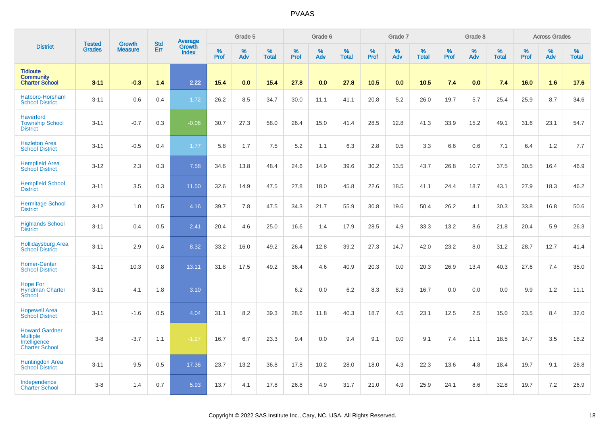|                                                                                   | <b>Tested</b> | <b>Growth</b>  | <b>Std</b> | Average                |                     | Grade 5  |                   |                  | Grade 6  |                   |                  | Grade 7  |                   |           | Grade 8  |                   |           | <b>Across Grades</b> |                   |
|-----------------------------------------------------------------------------------|---------------|----------------|------------|------------------------|---------------------|----------|-------------------|------------------|----------|-------------------|------------------|----------|-------------------|-----------|----------|-------------------|-----------|----------------------|-------------------|
| <b>District</b>                                                                   | <b>Grades</b> | <b>Measure</b> | Err        | Growth<br><b>Index</b> | $\%$<br><b>Prof</b> | %<br>Adv | %<br><b>Total</b> | %<br><b>Prof</b> | %<br>Adv | %<br><b>Total</b> | %<br><b>Prof</b> | %<br>Adv | %<br><b>Total</b> | %<br>Prof | %<br>Adv | %<br><b>Total</b> | %<br>Prof | %<br>Adv             | %<br><b>Total</b> |
| <b>Tidioute</b><br><b>Community</b><br><b>Charter School</b>                      | $3 - 11$      | $-0.3$         | 1.4        | 2.22                   | 15.4                | 0.0      | 15.4              | 27.8             | 0.0      | 27.8              | 10.5             | 0.0      | 10.5              | 7.4       | 0.0      | 7.4               | 16.0      | 1.6                  | 17.6              |
| Hatboro-Horsham<br><b>School District</b>                                         | $3 - 11$      | 0.6            | 0.4        | 1.72                   | 26.2                | 8.5      | 34.7              | 30.0             | 11.1     | 41.1              | 20.8             | 5.2      | 26.0              | 19.7      | 5.7      | 25.4              | 25.9      | 8.7                  | 34.6              |
| <b>Haverford</b><br><b>Township School</b><br><b>District</b>                     | $3 - 11$      | $-0.7$         | 0.3        | $-0.06$                | 30.7                | 27.3     | 58.0              | 26.4             | 15.0     | 41.4              | 28.5             | 12.8     | 41.3              | 33.9      | 15.2     | 49.1              | 31.6      | 23.1                 | 54.7              |
| <b>Hazleton Area</b><br><b>School District</b>                                    | $3 - 11$      | $-0.5$         | 0.4        | 1.77                   | 5.8                 | 1.7      | 7.5               | 5.2              | 1.1      | 6.3               | 2.8              | 0.5      | 3.3               | 6.6       | 0.6      | 7.1               | 6.4       | 1.2                  | 7.7               |
| <b>Hempfield Area</b><br><b>School District</b>                                   | $3 - 12$      | 2.3            | 0.3        | 7.58                   | 34.6                | 13.8     | 48.4              | 24.6             | 14.9     | 39.6              | 30.2             | 13.5     | 43.7              | 26.8      | 10.7     | 37.5              | 30.5      | 16.4                 | 46.9              |
| <b>Hempfield School</b><br><b>District</b>                                        | $3 - 11$      | 3.5            | 0.3        | 11.50                  | 32.6                | 14.9     | 47.5              | 27.8             | 18.0     | 45.8              | 22.6             | 18.5     | 41.1              | 24.4      | 18.7     | 43.1              | 27.9      | 18.3                 | 46.2              |
| <b>Hermitage School</b><br><b>District</b>                                        | $3 - 12$      | 1.0            | 0.5        | 4.16                   | 39.7                | 7.8      | 47.5              | 34.3             | 21.7     | 55.9              | 30.8             | 19.6     | 50.4              | 26.2      | 4.1      | 30.3              | 33.8      | 16.8                 | 50.6              |
| <b>Highlands School</b><br><b>District</b>                                        | $3 - 11$      | 0.4            | 0.5        | 2.41                   | 20.4                | 4.6      | 25.0              | 16.6             | 1.4      | 17.9              | 28.5             | 4.9      | 33.3              | 13.2      | 8.6      | 21.8              | 20.4      | 5.9                  | 26.3              |
| <b>Hollidaysburg Area</b><br><b>School District</b>                               | $3 - 11$      | 2.9            | 0.4        | 8.32                   | 33.2                | 16.0     | 49.2              | 26.4             | 12.8     | 39.2              | 27.3             | 14.7     | 42.0              | 23.2      | 8.0      | 31.2              | 28.7      | 12.7                 | 41.4              |
| <b>Homer-Center</b><br><b>School District</b>                                     | $3 - 11$      | 10.3           | 0.8        | 13.11                  | 31.8                | 17.5     | 49.2              | 36.4             | 4.6      | 40.9              | 20.3             | 0.0      | 20.3              | 26.9      | 13.4     | 40.3              | 27.6      | 7.4                  | 35.0              |
| <b>Hope For</b><br><b>Hyndman Charter</b><br>School                               | $3 - 11$      | 4.1            | 1.8        | 3.10                   |                     |          |                   | 6.2              | 0.0      | 6.2               | 8.3              | 8.3      | 16.7              | 0.0       | 0.0      | 0.0               | 9.9       | 1.2                  | 11.1              |
| <b>Hopewell Area</b><br><b>School District</b>                                    | $3 - 11$      | $-1.6$         | 0.5        | 4.04                   | 31.1                | 8.2      | 39.3              | 28.6             | 11.8     | 40.3              | 18.7             | 4.5      | 23.1              | 12.5      | 2.5      | 15.0              | 23.5      | 8.4                  | 32.0              |
| <b>Howard Gardner</b><br><b>Multiple</b><br>Intelligence<br><b>Charter School</b> | $3 - 8$       | $-3.7$         | 1.1        | $-1.27$                | 16.7                | 6.7      | 23.3              | 9.4              | 0.0      | 9.4               | 9.1              | 0.0      | 9.1               | 7.4       | 11.1     | 18.5              | 14.7      | 3.5                  | 18.2              |
| <b>Huntingdon Area</b><br><b>School District</b>                                  | $3 - 11$      | 9.5            | 0.5        | 17.36                  | 23.7                | 13.2     | 36.8              | 17.8             | 10.2     | 28.0              | 18.0             | 4.3      | 22.3              | 13.6      | 4.8      | 18.4              | 19.7      | 9.1                  | 28.8              |
| Independence<br><b>Charter School</b>                                             | $3 - 8$       | 1.4            | 0.7        | 5.93                   | 13.7                | 4.1      | 17.8              | 26.8             | 4.9      | 31.7              | 21.0             | 4.9      | 25.9              | 24.1      | 8.6      | 32.8              | 19.7      | 7.2                  | 26.9              |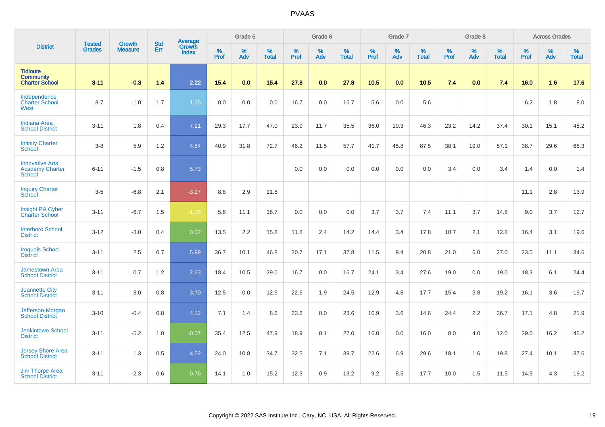|                                                                   | <b>Tested</b> | <b>Growth</b>  | <b>Std</b> | Average                       |              | Grade 5  |                   |           | Grade 6  |                   |           | Grade 7  |                   |           | Grade 8  |                   |           | <b>Across Grades</b> |                   |
|-------------------------------------------------------------------|---------------|----------------|------------|-------------------------------|--------------|----------|-------------------|-----------|----------|-------------------|-----------|----------|-------------------|-----------|----------|-------------------|-----------|----------------------|-------------------|
| <b>District</b>                                                   | <b>Grades</b> | <b>Measure</b> | Err        | <b>Growth</b><br><b>Index</b> | $\%$<br>Prof | %<br>Adv | %<br><b>Total</b> | %<br>Prof | %<br>Adv | %<br><b>Total</b> | %<br>Prof | %<br>Adv | %<br><b>Total</b> | %<br>Prof | %<br>Adv | %<br><b>Total</b> | %<br>Prof | %<br>Adv             | %<br><b>Total</b> |
| <b>Tidioute</b><br><b>Community</b><br><b>Charter School</b>      | $3 - 11$      | $-0.3$         | 1.4        | 2.22                          | 15.4         | 0.0      | 15.4              | 27.8      | 0.0      | 27.8              | 10.5      | 0.0      | 10.5              | 7.4       | 0.0      | 7.4               | 16.0      | 1.6                  | 17.6              |
| Independence<br><b>Charter School</b><br>West                     | $3 - 7$       | $-1.0$         | 1.7        | 1.35                          | 0.0          | 0.0      | 0.0               | 16.7      | 0.0      | 16.7              | 5.6       | 0.0      | 5.6               |           |          |                   | 6.2       | 1.8                  | 8.0               |
| <b>Indiana Area</b><br><b>School District</b>                     | $3 - 11$      | 1.8            | 0.4        | 7.21                          | 29.3         | 17.7     | 47.0              | 23.9      | 11.7     | 35.5              | 36.0      | 10.3     | 46.3              | 23.2      | 14.2     | 37.4              | 30.1      | 15.1                 | 45.2              |
| <b>Infinity Charter</b><br>School                                 | $3-8$         | 5.9            | 1.2        | 4.84                          | 40.9         | 31.8     | 72.7              | 46.2      | 11.5     | 57.7              | 41.7      | 45.8     | 87.5              | 38.1      | 19.0     | 57.1              | 38.7      | 29.6                 | 68.3              |
| <b>Innovative Arts</b><br><b>Academy Charter</b><br><b>School</b> | $6 - 11$      | $-1.5$         | 0.8        | 5.73                          |              |          |                   | 0.0       | 0.0      | 0.0               | 0.0       | 0.0      | 0.0               | 3.4       | 0.0      | 3.4               | 1.4       | 0.0                  | 1.4               |
| <b>Inquiry Charter</b><br>School                                  | $3-5$         | $-6.8$         | 2.1        | $-3.27$                       | 8.8          | 2.9      | 11.8              |           |          |                   |           |          |                   |           |          |                   | 11.1      | 2.8                  | 13.9              |
| Insight PA Cyber<br><b>Charter School</b>                         | $3 - 11$      | $-6.7$         | 1.5        | $-1.06$                       | 5.6          | 11.1     | 16.7              | 0.0       | 0.0      | 0.0               | 3.7       | 3.7      | 7.4               | 11.1      | 3.7      | 14.8              | 9.0       | 3.7                  | 12.7              |
| <b>Interboro School</b><br><b>District</b>                        | $3 - 12$      | $-3.0$         | 0.4        | 0.02                          | 13.5         | 2.2      | 15.8              | 11.8      | 2.4      | 14.2              | 14.4      | 3.4      | 17.8              | 10.7      | 2.1      | 12.8              | 16.4      | 3.1                  | 19.6              |
| <b>Iroquois School</b><br><b>District</b>                         | $3 - 11$      | 2.5            | 0.7        | 5.99                          | 36.7         | 10.1     | 46.8              | 20.7      | 17.1     | 37.8              | 11.5      | 9.4      | 20.8              | 21.0      | 6.0      | 27.0              | 23.5      | 11.1                 | 34.6              |
| <b>Jamestown Area</b><br><b>School District</b>                   | $3 - 11$      | 0.7            | 1.2        | 2.23                          | 18.4         | 10.5     | 29.0              | 16.7      | 0.0      | 16.7              | 24.1      | 3.4      | 27.6              | 19.0      | 0.0      | 19.0              | 18.3      | 6.1                  | 24.4              |
| <b>Jeannette City</b><br><b>School District</b>                   | $3 - 11$      | 3.0            | 0.8        | 3.70                          | 12.5         | 0.0      | 12.5              | 22.6      | 1.9      | 24.5              | 12.9      | 4.8      | 17.7              | 15.4      | 3.8      | 19.2              | 16.1      | 3.6                  | 19.7              |
| Jefferson-Morgan<br><b>School District</b>                        | $3 - 10$      | $-0.4$         | 0.8        | 4.12                          | 7.1          | 1.4      | 8.6               | 23.6      | 0.0      | 23.6              | 10.9      | 3.6      | 14.6              | 24.4      | 2.2      | 26.7              | 17.1      | 4.8                  | 21.9              |
| <b>Jenkintown School</b><br><b>District</b>                       | $3 - 11$      | $-5.2$         | 1.0        | $-0.07$                       | 35.4         | 12.5     | 47.9              | 18.9      | 8.1      | 27.0              | 16.0      | 0.0      | 16.0              | 8.0       | 4.0      | 12.0              | 29.0      | 16.2                 | 45.2              |
| <b>Jersey Shore Area</b><br><b>School District</b>                | $3 - 11$      | 1.3            | 0.5        | 4.52                          | 24.0         | 10.8     | 34.7              | 32.5      | 7.1      | 39.7              | 22.6      | 6.9      | 29.6              | 18.1      | 1.6      | 19.8              | 27.4      | 10.1                 | 37.6              |
| <b>Jim Thorpe Area</b><br><b>School District</b>                  | $3 - 11$      | $-2.3$         | 0.6        | 0.76                          | 14.1         | 1.0      | 15.2              | 12.3      | 0.9      | 13.2              | 9.2       | 8.5      | 17.7              | 10.0      | 1.5      | 11.5              | 14.9      | 4.3                  | 19.2              |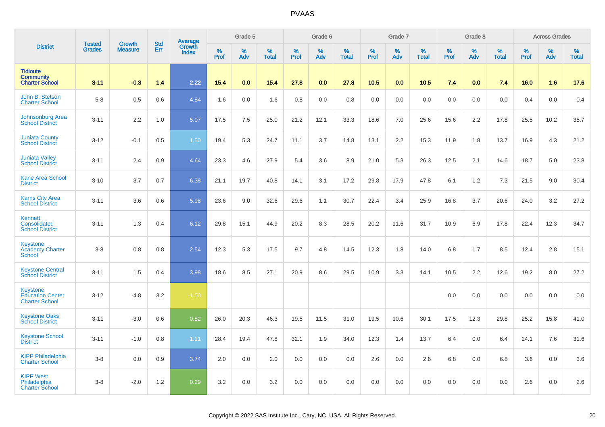|                                                              |                                |                                 | <b>Std</b> | Average                |                  | Grade 5  |                   |           | Grade 6  |                   |           | Grade 7  |                   |                  | Grade 8  |                   |                  | <b>Across Grades</b> |                   |
|--------------------------------------------------------------|--------------------------------|---------------------------------|------------|------------------------|------------------|----------|-------------------|-----------|----------|-------------------|-----------|----------|-------------------|------------------|----------|-------------------|------------------|----------------------|-------------------|
| <b>District</b>                                              | <b>Tested</b><br><b>Grades</b> | <b>Growth</b><br><b>Measure</b> | Err        | Growth<br><b>Index</b> | %<br><b>Prof</b> | %<br>Adv | %<br><b>Total</b> | %<br>Prof | %<br>Adv | %<br><b>Total</b> | %<br>Prof | %<br>Adv | %<br><b>Total</b> | %<br><b>Prof</b> | %<br>Adv | %<br><b>Total</b> | %<br><b>Prof</b> | %<br>Adv             | %<br><b>Total</b> |
| <b>Tidioute</b><br><b>Community</b><br><b>Charter School</b> | $3 - 11$                       | $-0.3$                          | 1.4        | 2.22                   | 15.4             | 0.0      | 15.4              | 27.8      | 0.0      | 27.8              | 10.5      | 0.0      | 10.5              | 7.4              | 0.0      | 7.4               | 16.0             | 1.6                  | 17.6              |
| John B. Stetson<br><b>Charter School</b>                     | $5-8$                          | 0.5                             | 0.6        | 4.84                   | 1.6              | 0.0      | 1.6               | 0.8       | 0.0      | 0.8               | 0.0       | 0.0      | 0.0               | 0.0              | 0.0      | 0.0               | 0.4              | 0.0                  | 0.4               |
| <b>Johnsonburg Area</b><br><b>School District</b>            | $3 - 11$                       | 2.2                             | 1.0        | 5.07                   | 17.5             | 7.5      | 25.0              | 21.2      | 12.1     | 33.3              | 18.6      | 7.0      | 25.6              | 15.6             | 2.2      | 17.8              | 25.5             | 10.2                 | 35.7              |
| <b>Juniata County</b><br><b>School District</b>              | $3-12$                         | $-0.1$                          | 0.5        | 1.50                   | 19.4             | 5.3      | 24.7              | 11.1      | 3.7      | 14.8              | 13.1      | 2.2      | 15.3              | 11.9             | 1.8      | 13.7              | 16.9             | 4.3                  | 21.2              |
| <b>Juniata Valley</b><br><b>School District</b>              | $3 - 11$                       | 2.4                             | 0.9        | 4.64                   | 23.3             | 4.6      | 27.9              | 5.4       | 3.6      | 8.9               | 21.0      | 5.3      | 26.3              | 12.5             | 2.1      | 14.6              | 18.7             | 5.0                  | 23.8              |
| <b>Kane Area School</b><br><b>District</b>                   | $3 - 10$                       | 3.7                             | 0.7        | 6.38                   | 21.1             | 19.7     | 40.8              | 14.1      | 3.1      | 17.2              | 29.8      | 17.9     | 47.8              | 6.1              | 1.2      | 7.3               | 21.5             | 9.0                  | 30.4              |
| <b>Karns City Area</b><br><b>School District</b>             | $3 - 11$                       | 3.6                             | 0.6        | 5.98                   | 23.6             | 9.0      | 32.6              | 29.6      | 1.1      | 30.7              | 22.4      | 3.4      | 25.9              | 16.8             | 3.7      | 20.6              | 24.0             | 3.2                  | 27.2              |
| Kennett<br>Consolidated<br><b>School District</b>            | $3 - 11$                       | 1.3                             | 0.4        | 6.12                   | 29.8             | 15.1     | 44.9              | 20.2      | 8.3      | 28.5              | 20.2      | 11.6     | 31.7              | 10.9             | 6.9      | 17.8              | 22.4             | 12.3                 | 34.7              |
| Keystone<br><b>Academy Charter</b><br><b>School</b>          | $3-8$                          | 0.8                             | 0.8        | 2.54                   | 12.3             | 5.3      | 17.5              | 9.7       | 4.8      | 14.5              | 12.3      | 1.8      | 14.0              | 6.8              | 1.7      | 8.5               | 12.4             | 2.8                  | 15.1              |
| <b>Keystone Central</b><br><b>School District</b>            | $3 - 11$                       | 1.5                             | 0.4        | 3.98                   | 18.6             | 8.5      | 27.1              | 20.9      | 8.6      | 29.5              | 10.9      | 3.3      | 14.1              | 10.5             | 2.2      | 12.6              | 19.2             | 8.0                  | 27.2              |
| Keystone<br><b>Education Center</b><br><b>Charter School</b> | $3 - 12$                       | $-4.8$                          | 3.2        | $-1.50$                |                  |          |                   |           |          |                   |           |          |                   | 0.0              | 0.0      | 0.0               | 0.0              | 0.0                  | 0.0               |
| <b>Keystone Oaks</b><br><b>School District</b>               | $3 - 11$                       | $-3.0$                          | 0.6        | 0.82                   | 26.0             | 20.3     | 46.3              | 19.5      | 11.5     | 31.0              | 19.5      | 10.6     | 30.1              | 17.5             | 12.3     | 29.8              | 25.2             | 15.8                 | 41.0              |
| <b>Keystone School</b><br><b>District</b>                    | $3 - 11$                       | $-1.0$                          | 0.8        | 1.11                   | 28.4             | 19.4     | 47.8              | 32.1      | 1.9      | 34.0              | 12.3      | 1.4      | 13.7              | 6.4              | 0.0      | 6.4               | 24.1             | 7.6                  | 31.6              |
| <b>KIPP Philadelphia</b><br><b>Charter School</b>            | $3-8$                          | 0.0                             | 0.9        | 3.74                   | 2.0              | 0.0      | 2.0               | 0.0       | 0.0      | 0.0               | 2.6       | 0.0      | 2.6               | 6.8              | 0.0      | 6.8               | 3.6              | 0.0                  | 3.6               |
| <b>KIPP West</b><br>Philadelphia<br><b>Charter School</b>    | $3-8$                          | $-2.0$                          | 1.2        | 0.29                   | 3.2              | 0.0      | 3.2               | 0.0       | 0.0      | 0.0               | 0.0       | 0.0      | 0.0               | 0.0              | 0.0      | 0.0               | 2.6              | 0.0                  | 2.6               |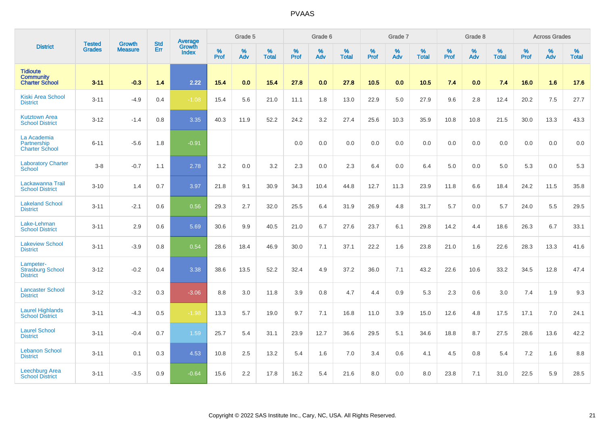|                                                              | <b>Tested</b> | <b>Growth</b>  | <b>Std</b> | Average                |           | Grade 5  |                   |           | Grade 6  |                   |           | Grade 7  |                   |           | Grade 8  |                   |           | <b>Across Grades</b> |                   |
|--------------------------------------------------------------|---------------|----------------|------------|------------------------|-----------|----------|-------------------|-----------|----------|-------------------|-----------|----------|-------------------|-----------|----------|-------------------|-----------|----------------------|-------------------|
| <b>District</b>                                              | <b>Grades</b> | <b>Measure</b> | Err        | <b>Growth</b><br>Index | %<br>Prof | %<br>Adv | %<br><b>Total</b> | %<br>Prof | %<br>Adv | %<br><b>Total</b> | %<br>Prof | %<br>Adv | %<br><b>Total</b> | %<br>Prof | %<br>Adv | %<br><b>Total</b> | %<br>Prof | %<br>Adv             | %<br><b>Total</b> |
| <b>Tidioute</b><br><b>Community</b><br><b>Charter School</b> | $3 - 11$      | $-0.3$         | 1.4        | 2.22                   | 15.4      | 0.0      | 15.4              | 27.8      | 0.0      | 27.8              | 10.5      | 0.0      | 10.5              | 7.4       | 0.0      | 7.4               | 16.0      | 1.6                  | 17.6              |
| <b>Kiski Area School</b><br><b>District</b>                  | $3 - 11$      | $-4.9$         | 0.4        | $-1.08$                | 15.4      | 5.6      | 21.0              | 11.1      | 1.8      | 13.0              | 22.9      | 5.0      | 27.9              | 9.6       | 2.8      | 12.4              | 20.2      | 7.5                  | 27.7              |
| <b>Kutztown Area</b><br><b>School District</b>               | $3 - 12$      | $-1.4$         | 0.8        | 3.35                   | 40.3      | 11.9     | 52.2              | 24.2      | 3.2      | 27.4              | 25.6      | 10.3     | 35.9              | 10.8      | 10.8     | 21.5              | 30.0      | 13.3                 | 43.3              |
| La Academia<br>Partnership<br><b>Charter School</b>          | $6 - 11$      | $-5.6$         | 1.8        | $-0.91$                |           |          |                   | 0.0       | 0.0      | 0.0               | 0.0       | 0.0      | 0.0               | 0.0       | 0.0      | 0.0               | 0.0       | 0.0                  | $0.0\,$           |
| <b>Laboratory Charter</b><br><b>School</b>                   | $3-8$         | $-0.7$         | 1.1        | 2.78                   | 3.2       | 0.0      | 3.2               | 2.3       | 0.0      | 2.3               | 6.4       | 0.0      | 6.4               | 5.0       | 0.0      | 5.0               | 5.3       | 0.0                  | 5.3               |
| Lackawanna Trail<br><b>School District</b>                   | $3 - 10$      | 1.4            | 0.7        | 3.97                   | 21.8      | 9.1      | 30.9              | 34.3      | 10.4     | 44.8              | 12.7      | 11.3     | 23.9              | 11.8      | 6.6      | 18.4              | 24.2      | 11.5                 | 35.8              |
| <b>Lakeland School</b><br><b>District</b>                    | $3 - 11$      | $-2.1$         | 0.6        | 0.56                   | 29.3      | 2.7      | 32.0              | 25.5      | 6.4      | 31.9              | 26.9      | 4.8      | 31.7              | 5.7       | 0.0      | 5.7               | 24.0      | 5.5                  | 29.5              |
| Lake-Lehman<br><b>School District</b>                        | $3 - 11$      | 2.9            | 0.6        | 5.69                   | 30.6      | 9.9      | 40.5              | 21.0      | 6.7      | 27.6              | 23.7      | 6.1      | 29.8              | 14.2      | 4.4      | 18.6              | 26.3      | 6.7                  | 33.1              |
| <b>Lakeview School</b><br><b>District</b>                    | $3 - 11$      | $-3.9$         | 0.8        | 0.54                   | 28.6      | 18.4     | 46.9              | 30.0      | 7.1      | 37.1              | 22.2      | 1.6      | 23.8              | 21.0      | 1.6      | 22.6              | 28.3      | 13.3                 | 41.6              |
| Lampeter-<br><b>Strasburg School</b><br><b>District</b>      | $3 - 12$      | $-0.2$         | 0.4        | 3.38                   | 38.6      | 13.5     | 52.2              | 32.4      | 4.9      | 37.2              | 36.0      | 7.1      | 43.2              | 22.6      | 10.6     | 33.2              | 34.5      | 12.8                 | 47.4              |
| <b>Lancaster School</b><br><b>District</b>                   | $3 - 12$      | $-3.2$         | 0.3        | $-3.06$                | 8.8       | 3.0      | 11.8              | 3.9       | 0.8      | 4.7               | 4.4       | 0.9      | 5.3               | 2.3       | 0.6      | 3.0               | 7.4       | 1.9                  | 9.3               |
| <b>Laurel Highlands</b><br><b>School District</b>            | $3 - 11$      | $-4.3$         | 0.5        | $-1.98$                | 13.3      | 5.7      | 19.0              | 9.7       | 7.1      | 16.8              | 11.0      | 3.9      | 15.0              | 12.6      | 4.8      | 17.5              | 17.1      | 7.0                  | 24.1              |
| <b>Laurel School</b><br><b>District</b>                      | $3 - 11$      | $-0.4$         | 0.7        | 1.59                   | 25.7      | 5.4      | 31.1              | 23.9      | 12.7     | 36.6              | 29.5      | 5.1      | 34.6              | 18.8      | 8.7      | 27.5              | 28.6      | 13.6                 | 42.2              |
| <b>Lebanon School</b><br><b>District</b>                     | $3 - 11$      | 0.1            | 0.3        | 4.53                   | 10.8      | 2.5      | 13.2              | 5.4       | 1.6      | 7.0               | 3.4       | 0.6      | 4.1               | 4.5       | 0.8      | 5.4               | 7.2       | 1.6                  | 8.8               |
| <b>Leechburg Area</b><br><b>School District</b>              | $3 - 11$      | $-3.5$         | 0.9        | $-0.64$                | 15.6      | 2.2      | 17.8              | 16.2      | 5.4      | 21.6              | 8.0       | 0.0      | 8.0               | 23.8      | 7.1      | 31.0              | 22.5      | 5.9                  | 28.5              |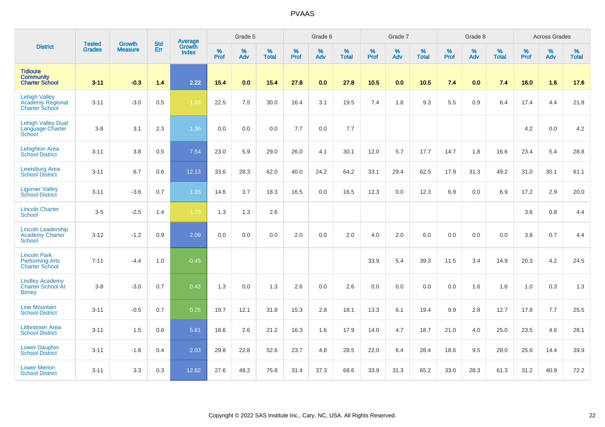|                                                                          | <b>Tested</b> | <b>Growth</b>  | <b>Std</b> | Average                |                     | Grade 5  |                   |              | Grade 6  |                   |              | Grade 7  |                   |              | Grade 8  |                   |           | <b>Across Grades</b> |                   |
|--------------------------------------------------------------------------|---------------|----------------|------------|------------------------|---------------------|----------|-------------------|--------------|----------|-------------------|--------------|----------|-------------------|--------------|----------|-------------------|-----------|----------------------|-------------------|
| <b>District</b>                                                          | <b>Grades</b> | <b>Measure</b> | Err        | Growth<br><b>Index</b> | $\%$<br><b>Prof</b> | %<br>Adv | %<br><b>Total</b> | $\%$<br>Prof | %<br>Adv | %<br><b>Total</b> | $\%$<br>Prof | %<br>Adv | %<br><b>Total</b> | $\%$<br>Prof | %<br>Adv | %<br><b>Total</b> | %<br>Prof | %<br>Adv             | %<br><b>Total</b> |
| <b>Tidioute</b><br><b>Community</b><br><b>Charter School</b>             | $3 - 11$      | $-0.3$         | 1.4        | 2.22                   | 15.4                | 0.0      | 15.4              | 27.8         | 0.0      | 27.8              | 10.5         | 0.0      | 10.5              | 7.4          | 0.0      | 7.4               | 16.0      | 1.6                  | 17.6              |
| <b>Lehigh Valley</b><br><b>Academy Regional</b><br><b>Charter School</b> | $3 - 11$      | $-3.0$         | 0.5        | $-1.04$                | 22.5                | 7.5      | 30.0              | 16.4         | 3.1      | 19.5              | 7.4          | 1.8      | 9.3               | 5.5          | 0.9      | 6.4               | 17.4      | 4.4                  | 21.8              |
| <b>Lehigh Valley Dual</b><br><b>Language Charter</b><br>School           | $3-8$         | 3.1            | 2.3        | 1.36                   | 0.0                 | 0.0      | 0.0               | 7.7          | 0.0      | 7.7               |              |          |                   |              |          |                   | 4.2       | 0.0                  | 4.2               |
| <b>Lehighton Area</b><br><b>School District</b>                          | $3 - 11$      | 3.8            | 0.5        | 7.54                   | 23.0                | 5.9      | 29.0              | 26.0         | 4.1      | 30.1              | 12.0         | 5.7      | 17.7              | 14.7         | 1.8      | 16.6              | 23.4      | 5.4                  | 28.8              |
| <b>Lewisburg Area</b><br><b>School District</b>                          | $3 - 11$      | 6.7            | 0.6        | 12.13                  | 33.6                | 28.3     | 62.0              | 40.0         | 24.2     | 64.2              | 33.1         | 29.4     | 62.5              | 17.9         | 31.3     | 49.2              | 31.0      | 30.1                 | 61.1              |
| <b>Ligonier Valley</b><br><b>School District</b>                         | $3 - 11$      | $-3.6$         | 0.7        | 1.35                   | 14.6                | 3.7      | 18.3              | 16.5         | 0.0      | 16.5              | 12.3         | 0.0      | 12.3              | 6.9          | 0.0      | 6.9               | 17.2      | 2.9                  | 20.0              |
| <b>Lincoln Charter</b><br><b>School</b>                                  | $3-5$         | $-2.5$         | 1.4        | $-1.78$                | 1.3                 | 1.3      | 2.6               |              |          |                   |              |          |                   |              |          |                   | 3.6       | 0.8                  | 4.4               |
| <b>Lincoln Leadership</b><br><b>Academy Charter</b><br><b>School</b>     | $3 - 12$      | $-1.2$         | 0.9        | 2.09                   | 0.0                 | 0.0      | 0.0               | 2.0          | 0.0      | 2.0               | 4.0          | 2.0      | 6.0               | 0.0          | 0.0      | 0.0               | 3.8       | 0.7                  | 4.4               |
| <b>Lincoln Park</b><br><b>Performing Arts</b><br><b>Charter School</b>   | $7 - 11$      | $-4.4$         | 1.0        | $-0.45$                |                     |          |                   |              |          |                   | 33.9         | 5.4      | 39.3              | 11.5         | 3.4      | 14.9              | 20.3      | 4.2                  | 24.5              |
| <b>Lindley Academy</b><br>Charter School At<br><b>Birney</b>             | $3-8$         | $-3.0$         | 0.7        | 0.43                   | 1.3                 | 0.0      | 1.3               | 2.6          | 0.0      | 2.6               | 0.0          | 0.0      | 0.0               | 0.0          | 1.6      | 1.6               | 1.0       | 0.3                  | 1.3               |
| <b>Line Mountain</b><br><b>School District</b>                           | $3 - 11$      | $-0.5$         | 0.7        | 0.25                   | 19.7                | 12.1     | 31.8              | 15.3         | 2.8      | 18.1              | 13.3         | 6.1      | 19.4              | 9.9          | 2.8      | 12.7              | 17.8      | 7.7                  | 25.5              |
| <b>Littlestown Area</b><br><b>School District</b>                        | $3 - 11$      | 1.5            | 0.6        | 5.61                   | 18.6                | 2.6      | 21.2              | 16.3         | 1.6      | 17.9              | 14.0         | 4.7      | 18.7              | 21.0         | 4.0      | 25.0              | 23.5      | 4.6                  | 28.1              |
| <b>Lower Dauphin</b><br><b>School District</b>                           | $3 - 11$      | $-1.8$         | 0.4        | 2.03                   | 29.8                | 22.8     | 52.6              | 23.7         | 4.8      | 28.5              | 22.0         | 6.4      | 28.4              | 18.6         | 9.5      | 28.0              | 25.6      | 14.4                 | 39.9              |
| <b>Lower Merion</b><br><b>School District</b>                            | $3 - 11$      | 3.3            | 0.3        | 12.62                  | 27.6                | 48.2     | 75.8              | 31.4         | 37.3     | 68.6              | 33.9         | 31.3     | 65.2              | 33.0         | 28.3     | 61.3              | 31.2      | 40.9                 | 72.2              |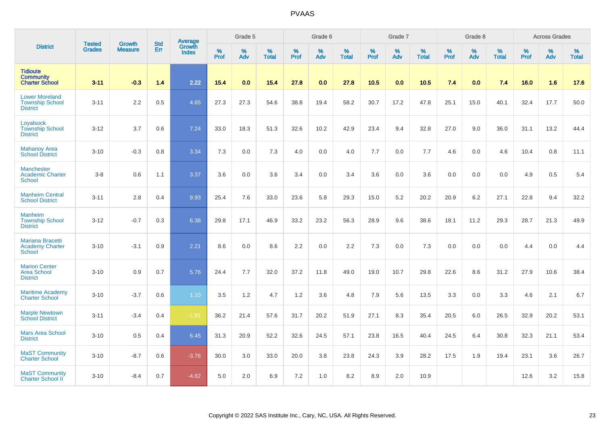|                                                                    |                                |                                 | <b>Std</b> | Average         |           | Grade 5  |                      |              | Grade 6  |                   |              | Grade 7  |                   |           | Grade 8  |                   |                  | <b>Across Grades</b> |                   |
|--------------------------------------------------------------------|--------------------------------|---------------------------------|------------|-----------------|-----------|----------|----------------------|--------------|----------|-------------------|--------------|----------|-------------------|-----------|----------|-------------------|------------------|----------------------|-------------------|
| <b>District</b>                                                    | <b>Tested</b><br><b>Grades</b> | <b>Growth</b><br><b>Measure</b> | Err        | Growth<br>Index | %<br>Prof | %<br>Adv | $\%$<br><b>Total</b> | $\%$<br>Prof | %<br>Adv | %<br><b>Total</b> | $\%$<br>Prof | %<br>Adv | %<br><b>Total</b> | %<br>Prof | %<br>Adv | %<br><b>Total</b> | %<br><b>Prof</b> | %<br>Adv             | %<br><b>Total</b> |
| <b>Tidioute</b><br><b>Community</b><br><b>Charter School</b>       | $3 - 11$                       | $-0.3$                          | 1.4        | 2.22            | 15.4      | 0.0      | 15.4                 | 27.8         | 0.0      | 27.8              | 10.5         | 0.0      | 10.5              | 7.4       | 0.0      | 7.4               | 16.0             | 1.6                  | 17.6              |
| <b>Lower Moreland</b><br><b>Township School</b><br><b>District</b> | $3 - 11$                       | 2.2                             | 0.5        | 4.65            | 27.3      | 27.3     | 54.6                 | 38.8         | 19.4     | 58.2              | 30.7         | 17.2     | 47.8              | 25.1      | 15.0     | 40.1              | 32.4             | 17.7                 | 50.0              |
| Loyalsock<br><b>Township School</b><br><b>District</b>             | $3 - 12$                       | 3.7                             | 0.6        | 7.24            | 33.0      | 18.3     | 51.3                 | 32.6         | 10.2     | 42.9              | 23.4         | 9.4      | 32.8              | 27.0      | 9.0      | 36.0              | 31.1             | 13.2                 | 44.4              |
| <b>Mahanoy Area</b><br><b>School District</b>                      | $3 - 10$                       | $-0.3$                          | 0.8        | 3.34            | 7.3       | 0.0      | 7.3                  | 4.0          | 0.0      | 4.0               | 7.7          | 0.0      | 7.7               | 4.6       | 0.0      | 4.6               | 10.4             | 0.8                  | 11.1              |
| <b>Manchester</b><br><b>Academic Charter</b><br><b>School</b>      | $3-8$                          | 0.6                             | 1.1        | 3.37            | 3.6       | 0.0      | 3.6                  | 3.4          | 0.0      | 3.4               | 3.6          | 0.0      | 3.6               | 0.0       | 0.0      | 0.0               | 4.9              | 0.5                  | 5.4               |
| <b>Manheim Central</b><br><b>School District</b>                   | $3 - 11$                       | 2.8                             | 0.4        | 9.93            | 25.4      | 7.6      | 33.0                 | 23.6         | 5.8      | 29.3              | 15.0         | 5.2      | 20.2              | 20.9      | 6.2      | 27.1              | 22.8             | 9.4                  | 32.2              |
| <b>Manheim</b><br><b>Township School</b><br><b>District</b>        | $3 - 12$                       | $-0.7$                          | 0.3        | 6.38            | 29.8      | 17.1     | 46.9                 | 33.2         | 23.2     | 56.3              | 28.9         | 9.6      | 38.6              | 18.1      | 11.2     | 29.3              | 28.7             | 21.3                 | 49.9              |
| Mariana Bracetti<br><b>Academy Charter</b><br><b>School</b>        | $3 - 10$                       | $-3.1$                          | 0.9        | 2.21            | 8.6       | 0.0      | 8.6                  | 2.2          | 0.0      | 2.2               | 7.3          | 0.0      | 7.3               | 0.0       | 0.0      | 0.0               | 4.4              | 0.0                  | 4.4               |
| <b>Marion Center</b><br><b>Area School</b><br><b>District</b>      | $3 - 10$                       | 0.9                             | 0.7        | 5.76            | 24.4      | 7.7      | 32.0                 | 37.2         | 11.8     | 49.0              | 19.0         | 10.7     | 29.8              | 22.6      | 8.6      | 31.2              | 27.9             | 10.6                 | 38.4              |
| <b>Maritime Academy</b><br><b>Charter School</b>                   | $3 - 10$                       | $-3.7$                          | 0.6        | 1.10            | 3.5       | 1.2      | 4.7                  | 1.2          | 3.6      | 4.8               | 7.9          | 5.6      | 13.5              | 3.3       | 0.0      | 3.3               | 4.6              | 2.1                  | 6.7               |
| <b>Marple Newtown</b><br><b>School District</b>                    | $3 - 11$                       | $-3.4$                          | 0.4        | $-1.81$         | 36.2      | 21.4     | 57.6                 | 31.7         | 20.2     | 51.9              | 27.1         | 8.3      | 35.4              | 20.5      | 6.0      | 26.5              | 32.9             | 20.2                 | 53.1              |
| <b>Mars Area School</b><br><b>District</b>                         | $3 - 10$                       | 0.5                             | 0.4        | 6.45            | 31.3      | 20.9     | 52.2                 | 32.6         | 24.5     | 57.1              | 23.8         | 16.5     | 40.4              | 24.5      | 6.4      | 30.8              | 32.3             | 21.1                 | 53.4              |
| <b>MaST Community</b><br><b>Charter School</b>                     | $3 - 10$                       | $-8.7$                          | 0.6        | $-3.76$         | 30.0      | 3.0      | 33.0                 | 20.0         | 3.8      | 23.8              | 24.3         | 3.9      | 28.2              | 17.5      | 1.9      | 19.4              | 23.1             | 3.6                  | 26.7              |
| <b>MaST Community</b><br><b>Charter School II</b>                  | $3 - 10$                       | $-8.4$                          | 0.7        | $-4.62$         | 5.0       | 2.0      | 6.9                  | 7.2          | 1.0      | 8.2               | 8.9          | 2.0      | 10.9              |           |          |                   | 12.6             | 3.2                  | 15.8              |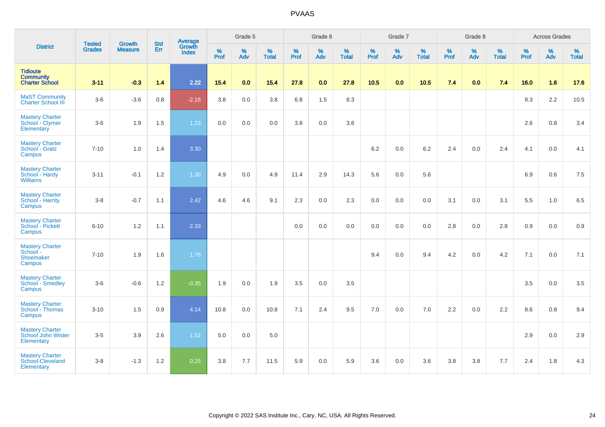|                                                              | <b>Tested</b> | <b>Growth</b>  | <b>Std</b> | Average                |              | Grade 5     |                   |              | Grade 6     |                      |              | Grade 7  |                   |              | Grade 8  |                   |              | <b>Across Grades</b> |                      |
|--------------------------------------------------------------|---------------|----------------|------------|------------------------|--------------|-------------|-------------------|--------------|-------------|----------------------|--------------|----------|-------------------|--------------|----------|-------------------|--------------|----------------------|----------------------|
| <b>District</b>                                              | <b>Grades</b> | <b>Measure</b> | Err        | Growth<br><b>Index</b> | $\%$<br>Prof | $\%$<br>Adv | %<br><b>Total</b> | $\%$<br>Prof | $\%$<br>Adv | $\%$<br><b>Total</b> | $\%$<br>Prof | %<br>Adv | %<br><b>Total</b> | $\%$<br>Prof | %<br>Adv | %<br><b>Total</b> | $\%$<br>Prof | $\%$<br>Adv          | $\%$<br><b>Total</b> |
| <b>Tidioute</b><br><b>Community</b><br><b>Charter School</b> | $3 - 11$      | $-0.3$         | 1.4        | 2.22                   | 15.4         | 0.0         | 15.4              | 27.8         | 0.0         | 27.8                 | $10.5$       | 0.0      | 10.5              | 7.4          | 0.0      | 7.4               | 16.0         | 1.6                  | 17.6                 |
| <b>MaST Community</b><br><b>Charter School III</b>           | $3-6$         | $-3.6$         | 0.8        | $-2.16$                | 3.8          | 0.0         | 3.8               | 6.8          | 1.5         | 8.3                  |              |          |                   |              |          |                   | 8.3          | 2.2                  | 10.5                 |
| <b>Mastery Charter</b><br>School - Clymer<br>Elementary      | $3-6$         | 1.9            | 1.5        | 1.23                   | 0.0          | 0.0         | 0.0               | 3.8          | 0.0         | 3.8                  |              |          |                   |              |          |                   | 2.6          | 0.8                  | 3.4                  |
| <b>Mastery Charter</b><br>School - Gratz<br>Campus           | $7 - 10$      | 1.0            | 1.4        | 3.30                   |              |             |                   |              |             |                      | 6.2          | 0.0      | 6.2               | 2.4          | 0.0      | 2.4               | 4.1          | 0.0                  | 4.1                  |
| <b>Mastery Charter</b><br>School - Hardy<br><b>Williams</b>  | $3 - 11$      | $-0.1$         | 1.2        | 1.30                   | 4.9          | 0.0         | 4.9               | 11.4         | 2.9         | 14.3                 | 5.6          | 0.0      | 5.6               |              |          |                   | 6.9          | 0.6                  | 7.5                  |
| <b>Mastery Charter</b><br>School - Harrity<br>Campus         | $3-8$         | $-0.7$         | 1.1        | 2.42                   | 4.6          | 4.6         | 9.1               | 2.3          | 0.0         | 2.3                  | 0.0          | 0.0      | 0.0               | 3.1          | 0.0      | 3.1               | 5.5          | 1.0                  | 6.5                  |
| <b>Mastery Charter</b><br>School - Pickett<br>Campus         | $6 - 10$      | 1.2            | 1.1        | 2.33                   |              |             |                   | 0.0          | 0.0         | 0.0                  | 0.0          | 0.0      | 0.0               | 2.8          | 0.0      | 2.8               | 0.9          | 0.0                  | 0.9                  |
| <b>Mastery Charter</b><br>School -<br>Shoemaker<br>Campus    | $7 - 10$      | 1.9            | 1.6        | 1.76                   |              |             |                   |              |             |                      | 9.4          | 0.0      | 9.4               | 4.2          | 0.0      | 4.2               | 7.1          | 0.0                  | 7.1                  |
| <b>Mastery Charter</b><br><b>School - Smedley</b><br>Campus  | $3-6$         | $-0.6$         | 1.2        | $-0.35$                | 1.9          | 0.0         | 1.9               | 3.5          | 0.0         | 3.5                  |              |          |                   |              |          |                   | 3.5          | 0.0                  | 3.5                  |
| <b>Mastery Charter</b><br>School - Thomas<br>Campus          | $3 - 10$      | 1.5            | 0.9        | 4.14                   | 10.8         | 0.0         | 10.8              | 7.1          | 2.4         | 9.5                  | 7.0          | 0.0      | 7.0               | 2.2          | 0.0      | 2.2               | 8.6          | 0.8                  | 9.4                  |
| <b>Mastery Charter</b><br>School John Wister<br>Elementary   | $3-5$         | 3.9            | 2.6        | 1.52                   | 5.0          | 0.0         | 5.0               |              |             |                      |              |          |                   |              |          |                   | 2.9          | 0.0                  | 2.9                  |
| <b>Mastery Charter</b><br>School-Cleveland<br>Elementary     | $3-8$         | $-1.3$         | 1.2        | 0.25                   | 3.8          | 7.7         | 11.5              | 5.9          | 0.0         | 5.9                  | 3.6          | 0.0      | 3.6               | 3.8          | 3.8      | 7.7               | 2.4          | 1.8                  | 4.3                  |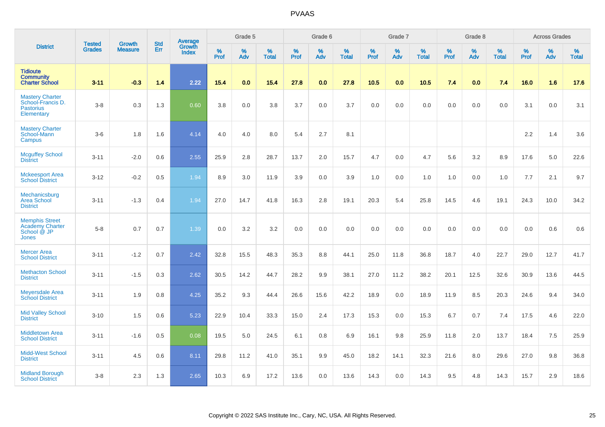|                                                                               |                                |                                 | <b>Std</b> | Average                |           | Grade 5  |                      |           | Grade 6  |                   |              | Grade 7  |                   |           | Grade 8  |                   |           | <b>Across Grades</b> |                   |
|-------------------------------------------------------------------------------|--------------------------------|---------------------------------|------------|------------------------|-----------|----------|----------------------|-----------|----------|-------------------|--------------|----------|-------------------|-----------|----------|-------------------|-----------|----------------------|-------------------|
| <b>District</b>                                                               | <b>Tested</b><br><b>Grades</b> | <b>Growth</b><br><b>Measure</b> | Err        | Growth<br><b>Index</b> | %<br>Prof | %<br>Adv | $\%$<br><b>Total</b> | %<br>Prof | %<br>Adv | %<br><b>Total</b> | $\%$<br>Prof | %<br>Adv | %<br><b>Total</b> | %<br>Prof | %<br>Adv | %<br><b>Total</b> | %<br>Prof | $\%$<br>Adv          | %<br><b>Total</b> |
| <b>Tidioute</b><br><b>Community</b><br><b>Charter School</b>                  | $3 - 11$                       | $-0.3$                          | 1.4        | 2.22                   | 15.4      | 0.0      | 15.4                 | 27.8      | 0.0      | 27.8              | 10.5         | 0.0      | 10.5              | 7.4       | 0.0      | 7.4               | 16.0      | 1.6                  | 17.6              |
| <b>Mastery Charter</b><br>School-Francis D.<br><b>Pastorius</b><br>Elementary | $3-8$                          | 0.3                             | 1.3        | 0.60                   | 3.8       | 0.0      | 3.8                  | 3.7       | 0.0      | 3.7               | 0.0          | 0.0      | 0.0               | 0.0       | 0.0      | 0.0               | 3.1       | 0.0                  | 3.1               |
| <b>Mastery Charter</b><br>School-Mann<br>Campus                               | $3-6$                          | 1.8                             | 1.6        | 4.14                   | 4.0       | 4.0      | 8.0                  | 5.4       | 2.7      | 8.1               |              |          |                   |           |          |                   | 2.2       | 1.4                  | 3.6               |
| <b>Mcguffey School</b><br><b>District</b>                                     | $3 - 11$                       | $-2.0$                          | 0.6        | 2.55                   | 25.9      | 2.8      | 28.7                 | 13.7      | 2.0      | 15.7              | 4.7          | 0.0      | 4.7               | 5.6       | 3.2      | 8.9               | 17.6      | 5.0                  | 22.6              |
| <b>Mckeesport Area</b><br><b>School District</b>                              | $3 - 12$                       | $-0.2$                          | 0.5        | 1.94                   | 8.9       | 3.0      | 11.9                 | 3.9       | 0.0      | 3.9               | 1.0          | 0.0      | 1.0               | 1.0       | 0.0      | 1.0               | 7.7       | 2.1                  | 9.7               |
| Mechanicsburg<br><b>Area School</b><br><b>District</b>                        | $3 - 11$                       | $-1.3$                          | 0.4        | 1.94                   | 27.0      | 14.7     | 41.8                 | 16.3      | 2.8      | 19.1              | 20.3         | 5.4      | 25.8              | 14.5      | 4.6      | 19.1              | 24.3      | 10.0                 | 34.2              |
| <b>Memphis Street</b><br><b>Academy Charter</b><br>School @ JP<br>Jones       | $5-8$                          | 0.7                             | 0.7        | 1.39                   | 0.0       | 3.2      | 3.2                  | 0.0       | 0.0      | 0.0               | 0.0          | 0.0      | 0.0               | 0.0       | 0.0      | 0.0               | 0.0       | 0.6                  | 0.6               |
| <b>Mercer Area</b><br><b>School District</b>                                  | $3 - 11$                       | $-1.2$                          | 0.7        | 2.42                   | 32.8      | 15.5     | 48.3                 | 35.3      | 8.8      | 44.1              | 25.0         | 11.8     | 36.8              | 18.7      | 4.0      | 22.7              | 29.0      | 12.7                 | 41.7              |
| <b>Methacton School</b><br><b>District</b>                                    | $3 - 11$                       | $-1.5$                          | 0.3        | 2.62                   | 30.5      | 14.2     | 44.7                 | 28.2      | 9.9      | 38.1              | 27.0         | 11.2     | 38.2              | 20.1      | 12.5     | 32.6              | 30.9      | 13.6                 | 44.5              |
| <b>Meyersdale Area</b><br><b>School District</b>                              | $3 - 11$                       | 1.9                             | 0.8        | 4.25                   | 35.2      | 9.3      | 44.4                 | 26.6      | 15.6     | 42.2              | 18.9         | 0.0      | 18.9              | 11.9      | 8.5      | 20.3              | 24.6      | 9.4                  | 34.0              |
| <b>Mid Valley School</b><br><b>District</b>                                   | $3 - 10$                       | 1.5                             | 0.6        | 5.23                   | 22.9      | 10.4     | 33.3                 | 15.0      | 2.4      | 17.3              | 15.3         | 0.0      | 15.3              | 6.7       | 0.7      | 7.4               | 17.5      | 4.6                  | 22.0              |
| Middletown Area<br><b>School District</b>                                     | $3 - 11$                       | $-1.6$                          | 0.5        | 0.08                   | 19.5      | 5.0      | 24.5                 | 6.1       | 0.8      | 6.9               | 16.1         | 9.8      | 25.9              | 11.8      | 2.0      | 13.7              | 18.4      | 7.5                  | 25.9              |
| <b>Midd-West School</b><br><b>District</b>                                    | $3 - 11$                       | 4.5                             | 0.6        | 8.11                   | 29.8      | 11.2     | 41.0                 | 35.1      | 9.9      | 45.0              | 18.2         | 14.1     | 32.3              | 21.6      | 8.0      | 29.6              | 27.0      | 9.8                  | 36.8              |
| <b>Midland Borough</b><br><b>School District</b>                              | $3-8$                          | 2.3                             | 1.3        | 2.65                   | 10.3      | 6.9      | 17.2                 | 13.6      | 0.0      | 13.6              | 14.3         | 0.0      | 14.3              | 9.5       | 4.8      | 14.3              | 15.7      | 2.9                  | 18.6              |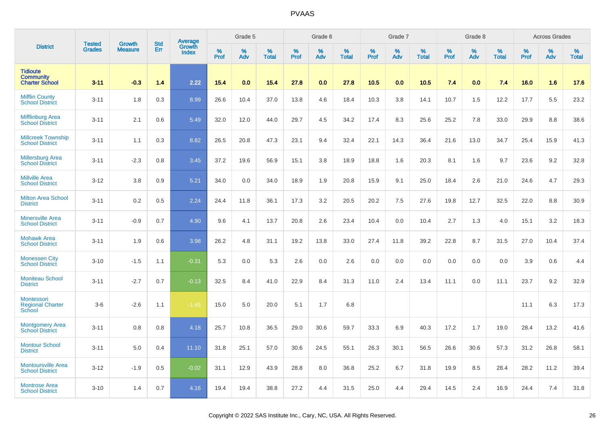|                                                               | <b>Tested</b> | <b>Growth</b>  | <b>Std</b> | Average                       |                     | Grade 5     |                   |                  | Grade 6  |                   |                     | Grade 7  |                   |              | Grade 8  |                   |              | <b>Across Grades</b> |                   |
|---------------------------------------------------------------|---------------|----------------|------------|-------------------------------|---------------------|-------------|-------------------|------------------|----------|-------------------|---------------------|----------|-------------------|--------------|----------|-------------------|--------------|----------------------|-------------------|
| <b>District</b>                                               | <b>Grades</b> | <b>Measure</b> | Err        | <b>Growth</b><br><b>Index</b> | $\%$<br><b>Prof</b> | $\%$<br>Adv | %<br><b>Total</b> | %<br><b>Prof</b> | %<br>Adv | %<br><b>Total</b> | $\%$<br><b>Prof</b> | %<br>Adv | %<br><b>Total</b> | $\%$<br>Prof | %<br>Adv | %<br><b>Total</b> | $\%$<br>Prof | %<br>Adv             | %<br><b>Total</b> |
| <b>Tidioute</b><br><b>Community</b><br><b>Charter School</b>  | $3 - 11$      | $-0.3$         | 1.4        | 2.22                          | 15.4                | 0.0         | 15.4              | 27.8             | 0.0      | 27.8              | 10.5                | 0.0      | 10.5              | 7.4          | 0.0      | 7.4               | 16.0         | 1.6                  | 17.6              |
| <b>Mifflin County</b><br><b>School District</b>               | $3 - 11$      | 1.8            | 0.3        | 8.99                          | 26.6                | 10.4        | 37.0              | 13.8             | 4.6      | 18.4              | 10.3                | 3.8      | 14.1              | 10.7         | 1.5      | 12.2              | 17.7         | 5.5                  | 23.2              |
| <b>Mifflinburg Area</b><br><b>School District</b>             | $3 - 11$      | 2.1            | 0.6        | 5.49                          | 32.0                | 12.0        | 44.0              | 29.7             | 4.5      | 34.2              | 17.4                | 8.3      | 25.6              | 25.2         | 7.8      | 33.0              | 29.9         | 8.8                  | 38.6              |
| <b>Millcreek Township</b><br><b>School District</b>           | $3 - 11$      | 1.1            | 0.3        | 8.82                          | 26.5                | 20.8        | 47.3              | 23.1             | 9.4      | 32.4              | 22.1                | 14.3     | 36.4              | 21.6         | 13.0     | 34.7              | 25.4         | 15.9                 | 41.3              |
| <b>Millersburg Area</b><br><b>School District</b>             | $3 - 11$      | $-2.3$         | 0.8        | 3.45                          | 37.2                | 19.6        | 56.9              | 15.1             | 3.8      | 18.9              | 18.8                | 1.6      | 20.3              | 8.1          | 1.6      | 9.7               | 23.6         | 9.2                  | 32.8              |
| <b>Millville Area</b><br><b>School District</b>               | $3 - 12$      | 3.8            | 0.9        | 5.21                          | 34.0                | 0.0         | 34.0              | 18.9             | 1.9      | 20.8              | 15.9                | 9.1      | 25.0              | 18.4         | 2.6      | 21.0              | 24.6         | 4.7                  | 29.3              |
| <b>Milton Area School</b><br><b>District</b>                  | $3 - 11$      | 0.2            | 0.5        | 2.24                          | 24.4                | 11.8        | 36.1              | 17.3             | 3.2      | 20.5              | 20.2                | 7.5      | 27.6              | 19.8         | 12.7     | 32.5              | 22.0         | 8.8                  | 30.9              |
| <b>Minersville Area</b><br><b>School District</b>             | $3 - 11$      | $-0.9$         | 0.7        | 4.90                          | 9.6                 | 4.1         | 13.7              | 20.8             | 2.6      | 23.4              | 10.4                | 0.0      | 10.4              | 2.7          | 1.3      | 4.0               | 15.1         | 3.2                  | 18.3              |
| <b>Mohawk Area</b><br><b>School District</b>                  | $3 - 11$      | 1.9            | 0.6        | 3.98                          | 26.2                | 4.8         | 31.1              | 19.2             | 13.8     | 33.0              | 27.4                | 11.8     | 39.2              | 22.8         | 8.7      | 31.5              | 27.0         | 10.4                 | 37.4              |
| <b>Monessen City</b><br><b>School District</b>                | $3 - 10$      | $-1.5$         | 1.1        | $-0.31$                       | 5.3                 | 0.0         | 5.3               | 2.6              | 0.0      | 2.6               | 0.0                 | 0.0      | 0.0               | 0.0          | 0.0      | 0.0               | 3.9          | 0.6                  | 4.4               |
| <b>Moniteau School</b><br><b>District</b>                     | $3 - 11$      | $-2.7$         | 0.7        | $-0.13$                       | 32.5                | 8.4         | 41.0              | 22.9             | 8.4      | 31.3              | 11.0                | 2.4      | 13.4              | 11.1         | 0.0      | 11.1              | 23.7         | 9.2                  | 32.9              |
| <b>Montessori</b><br><b>Regional Charter</b><br><b>School</b> | $3-6$         | $-2.6$         | 1.1        | $-1.45$                       | 15.0                | 5.0         | 20.0              | 5.1              | 1.7      | 6.8               |                     |          |                   |              |          |                   | 11.1         | 6.3                  | 17.3              |
| <b>Montgomery Area</b><br><b>School District</b>              | $3 - 11$      | 0.8            | 0.8        | 4.18                          | 25.7                | 10.8        | 36.5              | 29.0             | 30.6     | 59.7              | 33.3                | 6.9      | 40.3              | 17.2         | 1.7      | 19.0              | 28.4         | 13.2                 | 41.6              |
| <b>Montour School</b><br><b>District</b>                      | $3 - 11$      | 5.0            | 0.4        | 11.10                         | 31.8                | 25.1        | 57.0              | 30.6             | 24.5     | 55.1              | 26.3                | 30.1     | 56.5              | 26.6         | 30.6     | 57.3              | 31.2         | 26.8                 | 58.1              |
| <b>Montoursville Area</b><br><b>School District</b>           | $3 - 12$      | $-1.9$         | 0.5        | $-0.02$                       | 31.1                | 12.9        | 43.9              | 28.8             | 8.0      | 36.8              | 25.2                | 6.7      | 31.8              | 19.9         | 8.5      | 28.4              | 28.2         | 11.2                 | 39.4              |
| <b>Montrose Area</b><br><b>School District</b>                | $3 - 10$      | 1.4            | 0.7        | 4.16                          | 19.4                | 19.4        | 38.8              | 27.2             | 4.4      | 31.5              | 25.0                | 4.4      | 29.4              | 14.5         | 2.4      | 16.9              | 24.4         | 7.4                  | 31.8              |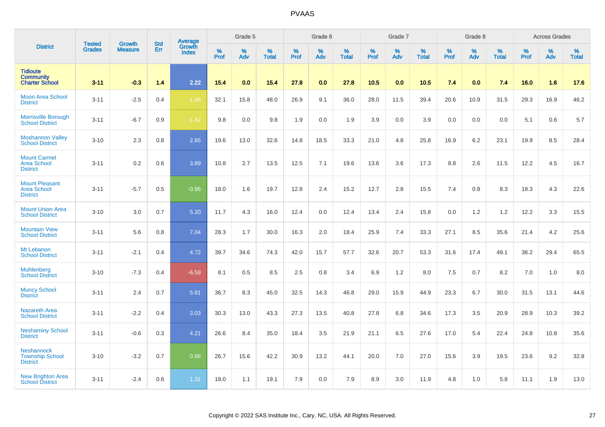|                                                                | <b>Tested</b> | <b>Growth</b>  | <b>Std</b> | Average                |              | Grade 5  |                   |           | Grade 6  |                   |           | Grade 7  |                   |           | Grade 8  |                   |           | <b>Across Grades</b> |                   |
|----------------------------------------------------------------|---------------|----------------|------------|------------------------|--------------|----------|-------------------|-----------|----------|-------------------|-----------|----------|-------------------|-----------|----------|-------------------|-----------|----------------------|-------------------|
| <b>District</b>                                                | <b>Grades</b> | <b>Measure</b> | Err        | Growth<br><b>Index</b> | $\%$<br>Prof | %<br>Adv | %<br><b>Total</b> | %<br>Prof | %<br>Adv | %<br><b>Total</b> | %<br>Prof | %<br>Adv | %<br><b>Total</b> | %<br>Prof | %<br>Adv | %<br><b>Total</b> | %<br>Prof | %<br>Adv             | %<br><b>Total</b> |
| <b>Tidioute</b><br><b>Community</b><br><b>Charter School</b>   | $3 - 11$      | $-0.3$         | 1.4        | 2.22                   | 15.4         | 0.0      | 15.4              | 27.8      | 0.0      | 27.8              | 10.5      | 0.0      | 10.5              | 7.4       | 0.0      | 7.4               | 16.0      | 1.6                  | 17.6              |
| <b>Moon Area School</b><br><b>District</b>                     | $3 - 11$      | $-2.5$         | 0.4        | $-1.68$                | 32.1         | 15.8     | 48.0              | 26.9      | 9.1      | 36.0              | 28.0      | 11.5     | 39.4              | 20.6      | 10.9     | 31.5              | 29.3      | 16.9                 | 46.2              |
| <b>Morrisville Borough</b><br><b>School District</b>           | $3 - 11$      | $-6.7$         | 0.9        | $-1.42$                | 9.8          | 0.0      | 9.8               | 1.9       | 0.0      | 1.9               | 3.9       | 0.0      | 3.9               | 0.0       | 0.0      | 0.0               | 5.1       | 0.6                  | 5.7               |
| <b>Moshannon Valley</b><br><b>School District</b>              | $3 - 10$      | 2.3            | 0.8        | 2.85                   | 19.6         | 13.0     | 32.6              | 14.8      | 18.5     | 33.3              | 21.0      | 4.8      | 25.8              | 16.9      | 6.2      | 23.1              | 19.9      | 8.5                  | 28.4              |
| <b>Mount Carmel</b><br><b>Area School</b><br><b>District</b>   | $3 - 11$      | 0.2            | 0.6        | 3.89                   | 10.8         | 2.7      | 13.5              | 12.5      | 7.1      | 19.6              | 13.6      | 3.6      | 17.3              | 8.8       | 2.6      | 11.5              | 12.2      | 4.5                  | 16.7              |
| <b>Mount Pleasant</b><br><b>Area School</b><br><b>District</b> | $3 - 11$      | $-5.7$         | 0.5        | $-0.96$                | 18.0         | 1.6      | 19.7              | 12.8      | 2.4      | 15.2              | 12.7      | 2.8      | 15.5              | 7.4       | 0.8      | 8.3               | 18.3      | 4.3                  | 22.6              |
| <b>Mount Union Area</b><br><b>School District</b>              | $3 - 10$      | 3.0            | 0.7        | 5.20                   | 11.7         | 4.3      | 16.0              | 12.4      | 0.0      | 12.4              | 13.4      | 2.4      | 15.8              | 0.0       | 1.2      | 1.2               | 12.2      | 3.3                  | 15.5              |
| <b>Mountain View</b><br><b>School District</b>                 | $3 - 11$      | 5.6            | 0.8        | 7.04                   | 28.3         | 1.7      | 30.0              | 16.3      | 2.0      | 18.4              | 25.9      | 7.4      | 33.3              | 27.1      | 8.5      | 35.6              | 21.4      | 4.2                  | 25.6              |
| Mt Lebanon<br><b>School District</b>                           | $3 - 11$      | $-2.1$         | 0.4        | 4.72                   | 39.7         | 34.6     | 74.3              | 42.0      | 15.7     | 57.7              | 32.6      | 20.7     | 53.3              | 31.6      | 17.4     | 49.1              | 36.2      | 29.4                 | 65.5              |
| <b>Muhlenberg</b><br><b>School District</b>                    | $3 - 10$      | $-7.3$         | 0.4        | $-6.59$                | 8.1          | 0.5      | 8.5               | 2.5       | 0.8      | 3.4               | 6.9       | 1.2      | 8.0               | 7.5       | 0.7      | 8.2               | 7.0       | 1.0                  | 8.0               |
| <b>Muncy School</b><br><b>District</b>                         | $3 - 11$      | 2.4            | 0.7        | 5.81                   | 36.7         | 8.3      | 45.0              | 32.5      | 14.3     | 46.8              | 29.0      | 15.9     | 44.9              | 23.3      | 6.7      | 30.0              | 31.5      | 13.1                 | 44.6              |
| <b>Nazareth Area</b><br><b>School District</b>                 | $3 - 11$      | $-2.2$         | 0.4        | 3.03                   | 30.3         | 13.0     | 43.3              | 27.3      | 13.5     | 40.8              | 27.8      | 6.8      | 34.6              | 17.3      | 3.5      | 20.9              | 28.9      | 10.3                 | 39.2              |
| <b>Neshaminy School</b><br><b>District</b>                     | $3 - 11$      | $-0.6$         | 0.3        | 4.21                   | 26.6         | 8.4      | 35.0              | 18.4      | 3.5      | 21.9              | 21.1      | 6.5      | 27.6              | 17.0      | 5.4      | 22.4              | 24.8      | 10.8                 | 35.6              |
| <b>Neshannock</b><br><b>Township School</b><br><b>District</b> | $3 - 10$      | $-3.2$         | 0.7        | 0.96                   | 26.7         | 15.6     | 42.2              | 30.9      | 13.2     | 44.1              | 20.0      | 7.0      | 27.0              | 15.6      | 3.9      | 19.5              | 23.6      | 9.2                  | 32.8              |
| <b>New Brighton Area</b><br><b>School District</b>             | $3 - 11$      | $-2.4$         | 0.6        | 1.31                   | 18.0         | 1.1      | 19.1              | 7.9       | 0.0      | 7.9               | 8.9       | 3.0      | 11.9              | 4.8       | 1.0      | 5.8               | 11.1      | 1.9                  | 13.0              |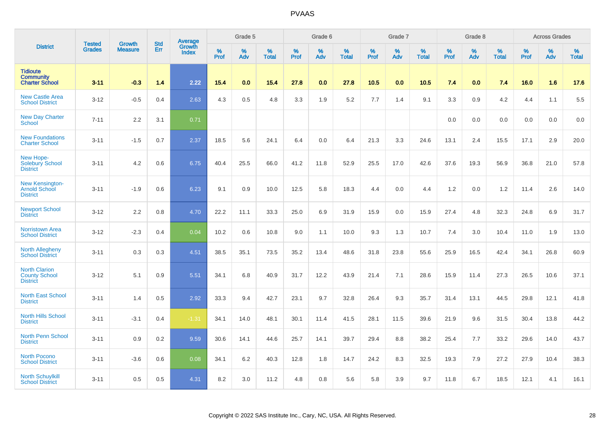|                                                                 |                                | <b>Growth</b>  | <b>Std</b> | Average         |              | Grade 5  |                   |           | Grade 6  |                   |              | Grade 7  |                   |           | Grade 8  |                   |              | <b>Across Grades</b> |                   |
|-----------------------------------------------------------------|--------------------------------|----------------|------------|-----------------|--------------|----------|-------------------|-----------|----------|-------------------|--------------|----------|-------------------|-----------|----------|-------------------|--------------|----------------------|-------------------|
| <b>District</b>                                                 | <b>Tested</b><br><b>Grades</b> | <b>Measure</b> | Err        | Growth<br>Index | $\%$<br>Prof | %<br>Adv | %<br><b>Total</b> | %<br>Prof | %<br>Adv | %<br><b>Total</b> | $\%$<br>Prof | %<br>Adv | %<br><b>Total</b> | %<br>Prof | %<br>Adv | %<br><b>Total</b> | $\%$<br>Prof | $\%$<br>Adv          | %<br><b>Total</b> |
| <b>Tidioute</b><br><b>Community</b><br><b>Charter School</b>    | $3 - 11$                       | $-0.3$         | 1.4        | 2.22            | 15.4         | 0.0      | 15.4              | 27.8      | 0.0      | 27.8              | 10.5         | 0.0      | 10.5              | 7.4       | 0.0      | 7.4               | 16.0         | 1.6                  | 17.6              |
| <b>New Castle Area</b><br><b>School District</b>                | $3 - 12$                       | $-0.5$         | 0.4        | 2.63            | 4.3          | 0.5      | 4.8               | 3.3       | 1.9      | 5.2               | 7.7          | 1.4      | 9.1               | 3.3       | 0.9      | 4.2               | 4.4          | 1.1                  | 5.5               |
| <b>New Day Charter</b><br><b>School</b>                         | $7 - 11$                       | 2.2            | 3.1        | 0.71            |              |          |                   |           |          |                   |              |          |                   | 0.0       | 0.0      | 0.0               | 0.0          | 0.0                  | 0.0               |
| <b>New Foundations</b><br><b>Charter School</b>                 | $3 - 11$                       | $-1.5$         | 0.7        | 2.37            | 18.5         | 5.6      | 24.1              | 6.4       | 0.0      | 6.4               | 21.3         | 3.3      | 24.6              | 13.1      | 2.4      | 15.5              | 17.1         | 2.9                  | 20.0              |
| New Hope-<br><b>Solebury School</b><br><b>District</b>          | $3 - 11$                       | 4.2            | 0.6        | 6.75            | 40.4         | 25.5     | 66.0              | 41.2      | 11.8     | 52.9              | 25.5         | 17.0     | 42.6              | 37.6      | 19.3     | 56.9              | 36.8         | 21.0                 | 57.8              |
| New Kensington-<br><b>Arnold School</b><br><b>District</b>      | $3 - 11$                       | $-1.9$         | 0.6        | 6.23            | 9.1          | 0.9      | 10.0              | 12.5      | 5.8      | 18.3              | 4.4          | 0.0      | 4.4               | 1.2       | 0.0      | 1.2               | 11.4         | 2.6                  | 14.0              |
| <b>Newport School</b><br><b>District</b>                        | $3 - 12$                       | 2.2            | 0.8        | 4.70            | 22.2         | 11.1     | 33.3              | 25.0      | 6.9      | 31.9              | 15.9         | 0.0      | 15.9              | 27.4      | 4.8      | 32.3              | 24.8         | 6.9                  | 31.7              |
| <b>Norristown Area</b><br><b>School District</b>                | $3 - 12$                       | $-2.3$         | 0.4        | 0.04            | 10.2         | 0.6      | 10.8              | 9.0       | 1.1      | 10.0              | 9.3          | 1.3      | 10.7              | 7.4       | 3.0      | 10.4              | 11.0         | 1.9                  | 13.0              |
| <b>North Allegheny</b><br><b>School District</b>                | $3 - 11$                       | 0.3            | 0.3        | 4.51            | 38.5         | 35.1     | 73.5              | 35.2      | 13.4     | 48.6              | 31.8         | 23.8     | 55.6              | 25.9      | 16.5     | 42.4              | 34.1         | 26.8                 | 60.9              |
| <b>North Clarion</b><br><b>County School</b><br><b>District</b> | $3 - 12$                       | 5.1            | 0.9        | 5.51            | 34.1         | 6.8      | 40.9              | 31.7      | 12.2     | 43.9              | 21.4         | 7.1      | 28.6              | 15.9      | 11.4     | 27.3              | 26.5         | 10.6                 | 37.1              |
| <b>North East School</b><br><b>District</b>                     | $3 - 11$                       | 1.4            | 0.5        | 2.92            | 33.3         | 9.4      | 42.7              | 23.1      | 9.7      | 32.8              | 26.4         | 9.3      | 35.7              | 31.4      | 13.1     | 44.5              | 29.8         | 12.1                 | 41.8              |
| <b>North Hills School</b><br><b>District</b>                    | $3 - 11$                       | $-3.1$         | 0.4        | $-1.31$         | 34.1         | 14.0     | 48.1              | 30.1      | 11.4     | 41.5              | 28.1         | 11.5     | 39.6              | 21.9      | 9.6      | 31.5              | 30.4         | 13.8                 | 44.2              |
| <b>North Penn School</b><br><b>District</b>                     | $3 - 11$                       | 0.9            | 0.2        | 9.59            | 30.6         | 14.1     | 44.6              | 25.7      | 14.1     | 39.7              | 29.4         | 8.8      | 38.2              | 25.4      | 7.7      | 33.2              | 29.6         | 14.0                 | 43.7              |
| <b>North Pocono</b><br><b>School District</b>                   | $3 - 11$                       | $-3.6$         | 0.6        | 0.08            | 34.1         | 6.2      | 40.3              | 12.8      | 1.8      | 14.7              | 24.2         | 8.3      | 32.5              | 19.3      | 7.9      | 27.2              | 27.9         | 10.4                 | 38.3              |
| <b>North Schuylkill</b><br><b>School District</b>               | $3 - 11$                       | 0.5            | 0.5        | 4.31            | 8.2          | 3.0      | 11.2              | 4.8       | 0.8      | 5.6               | 5.8          | 3.9      | 9.7               | 11.8      | 6.7      | 18.5              | 12.1         | 4.1                  | 16.1              |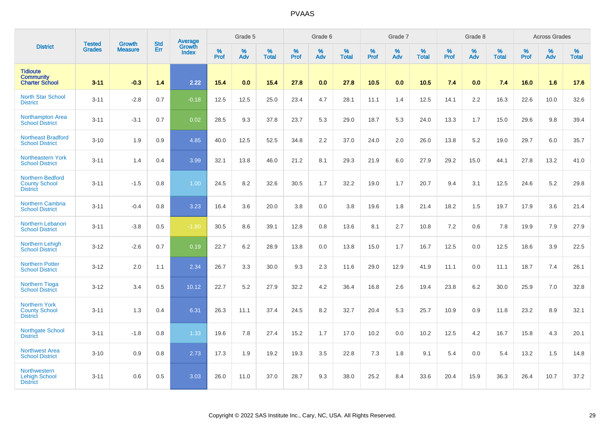|                                                                    |                                |                                 | <b>Std</b> | <b>Average</b>         |           | Grade 5  |                   |           | Grade 6  |                   |           | Grade 7  |                   |           | Grade 8  |                   |                  | <b>Across Grades</b> |                   |
|--------------------------------------------------------------------|--------------------------------|---------------------------------|------------|------------------------|-----------|----------|-------------------|-----------|----------|-------------------|-----------|----------|-------------------|-----------|----------|-------------------|------------------|----------------------|-------------------|
| <b>District</b>                                                    | <b>Tested</b><br><b>Grades</b> | <b>Growth</b><br><b>Measure</b> | Err        | Growth<br><b>Index</b> | %<br>Prof | %<br>Adv | %<br><b>Total</b> | %<br>Prof | %<br>Adv | %<br><b>Total</b> | %<br>Prof | %<br>Adv | %<br><b>Total</b> | %<br>Prof | %<br>Adv | %<br><b>Total</b> | %<br><b>Prof</b> | %<br>Adv             | %<br><b>Total</b> |
| <b>Tidioute</b><br><b>Community</b><br><b>Charter School</b>       | $3 - 11$                       | $-0.3$                          | 1.4        | 2.22                   | 15.4      | 0.0      | 15.4              | 27.8      | 0.0      | 27.8              | 10.5      | 0.0      | 10.5              | 7.4       | 0.0      | 7.4               | 16.0             | 1.6                  | 17.6              |
| <b>North Star School</b><br><b>District</b>                        | $3 - 11$                       | $-2.8$                          | 0.7        | $-0.18$                | 12.5      | 12.5     | 25.0              | 23.4      | 4.7      | 28.1              | 11.1      | 1.4      | 12.5              | 14.1      | 2.2      | 16.3              | 22.6             | 10.0                 | 32.6              |
| <b>Northampton Area</b><br><b>School District</b>                  | $3 - 11$                       | $-3.1$                          | 0.7        | 0.02                   | 28.5      | 9.3      | 37.8              | 23.7      | 5.3      | 29.0              | 18.7      | 5.3      | 24.0              | 13.3      | 1.7      | 15.0              | 29.6             | 9.8                  | 39.4              |
| Northeast Bradford<br><b>School District</b>                       | $3 - 10$                       | 1.9                             | 0.9        | 4.85                   | 40.0      | 12.5     | 52.5              | 34.8      | 2.2      | 37.0              | 24.0      | 2.0      | 26.0              | 13.8      | 5.2      | 19.0              | 29.7             | 6.0                  | 35.7              |
| <b>Northeastern York</b><br><b>School District</b>                 | $3 - 11$                       | 1.4                             | 0.4        | 3.99                   | 32.1      | 13.8     | 46.0              | 21.2      | 8.1      | 29.3              | 21.9      | 6.0      | 27.9              | 29.2      | 15.0     | 44.1              | 27.8             | 13.2                 | 41.0              |
| <b>Northern Bedford</b><br><b>County School</b><br><b>District</b> | $3 - 11$                       | $-1.5$                          | 0.8        | 1.00                   | 24.5      | 8.2      | 32.6              | 30.5      | 1.7      | 32.2              | 19.0      | 1.7      | 20.7              | 9.4       | 3.1      | 12.5              | 24.6             | 5.2                  | 29.8              |
| <b>Northern Cambria</b><br><b>School District</b>                  | $3 - 11$                       | $-0.4$                          | 0.8        | 3.23                   | 16.4      | 3.6      | 20.0              | 3.8       | 0.0      | 3.8               | 19.6      | 1.8      | 21.4              | 18.2      | 1.5      | 19.7              | 17.9             | 3.6                  | 21.4              |
| <b>Northern Lebanon</b><br><b>School District</b>                  | $3 - 11$                       | $-3.8$                          | 0.5        | $-1.80$                | 30.5      | 8.6      | 39.1              | 12.8      | 0.8      | 13.6              | 8.1       | 2.7      | 10.8              | 7.2       | 0.6      | 7.8               | 19.9             | 7.9                  | 27.9              |
| Northern Lehigh<br><b>School District</b>                          | $3 - 12$                       | $-2.6$                          | 0.7        | 0.19                   | 22.7      | 6.2      | 28.9              | 13.8      | 0.0      | 13.8              | 15.0      | 1.7      | 16.7              | 12.5      | 0.0      | 12.5              | 18.6             | 3.9                  | 22.5              |
| <b>Northern Potter</b><br><b>School District</b>                   | $3 - 12$                       | 2.0                             | 1.1        | 2.34                   | 26.7      | 3.3      | 30.0              | 9.3       | 2.3      | 11.6              | 29.0      | 12.9     | 41.9              | 11.1      | 0.0      | 11.1              | 18.7             | 7.4                  | 26.1              |
| <b>Northern Tioga</b><br><b>School District</b>                    | $3 - 12$                       | 3.4                             | 0.5        | 10.12                  | 22.7      | 5.2      | 27.9              | 32.2      | 4.2      | 36.4              | 16.8      | 2.6      | 19.4              | 23.8      | 6.2      | 30.0              | 25.9             | 7.0                  | 32.8              |
| <b>Northern York</b><br><b>County School</b><br><b>District</b>    | $3 - 11$                       | 1.3                             | 0.4        | 6.31                   | 26.3      | 11.1     | 37.4              | 24.5      | 8.2      | 32.7              | 20.4      | 5.3      | 25.7              | 10.9      | 0.9      | 11.8              | 23.2             | 8.9                  | 32.1              |
| <b>Northgate School</b><br><b>District</b>                         | $3 - 11$                       | $-1.8$                          | 0.8        | 1.33                   | 19.6      | 7.8      | 27.4              | 15.2      | 1.7      | 17.0              | 10.2      | 0.0      | 10.2              | 12.5      | 4.2      | 16.7              | 15.8             | 4.3                  | 20.1              |
| <b>Northwest Area</b><br><b>School District</b>                    | $3 - 10$                       | 0.9                             | 0.8        | 2.73                   | 17.3      | 1.9      | 19.2              | 19.3      | 3.5      | 22.8              | 7.3       | 1.8      | 9.1               | 5.4       | 0.0      | 5.4               | 13.2             | 1.5                  | 14.8              |
| <b>Northwestern</b><br><b>Lehigh School</b><br><b>District</b>     | $3 - 11$                       | 0.6                             | 0.5        | 3.03                   | 26.0      | 11.0     | 37.0              | 28.7      | 9.3      | 38.0              | 25.2      | 8.4      | 33.6              | 20.4      | 15.9     | 36.3              | 26.4             | 10.7                 | 37.2              |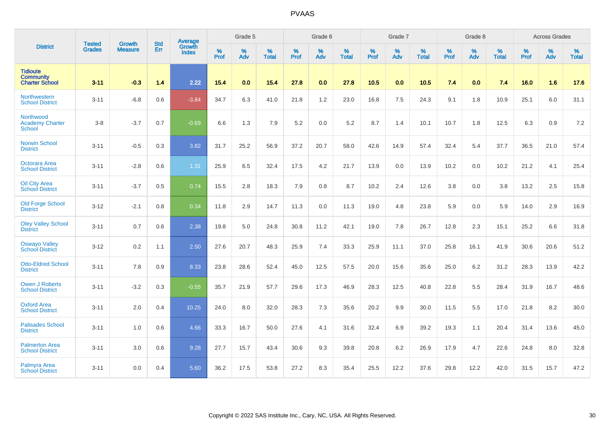|                                                              | <b>Tested</b> | <b>Growth</b>  | <b>Std</b> | <b>Average</b>         |                  | Grade 5  |                   |           | Grade 6  |                   |           | Grade 7  |                   |           | Grade 8  |                   |                  | <b>Across Grades</b> |                   |
|--------------------------------------------------------------|---------------|----------------|------------|------------------------|------------------|----------|-------------------|-----------|----------|-------------------|-----------|----------|-------------------|-----------|----------|-------------------|------------------|----------------------|-------------------|
| <b>District</b>                                              | <b>Grades</b> | <b>Measure</b> | <b>Err</b> | Growth<br><b>Index</b> | %<br><b>Prof</b> | %<br>Adv | %<br><b>Total</b> | %<br>Prof | %<br>Adv | %<br><b>Total</b> | %<br>Prof | %<br>Adv | %<br><b>Total</b> | %<br>Prof | %<br>Adv | %<br><b>Total</b> | %<br><b>Prof</b> | %<br>Adv             | %<br><b>Total</b> |
| <b>Tidioute</b><br><b>Community</b><br><b>Charter School</b> | $3 - 11$      | $-0.3$         | 1.4        | 2.22                   | 15.4             | 0.0      | 15.4              | 27.8      | 0.0      | 27.8              | 10.5      | 0.0      | 10.5              | 7.4       | 0.0      | 7.4               | 16.0             | 1.6                  | 17.6              |
| Northwestern<br><b>School District</b>                       | $3 - 11$      | $-6.8$         | 0.6        | $-3.84$                | 34.7             | 6.3      | 41.0              | 21.8      | 1.2      | 23.0              | 16.8      | 7.5      | 24.3              | 9.1       | 1.8      | 10.9              | 25.1             | 6.0                  | 31.1              |
| Northwood<br><b>Academy Charter</b><br><b>School</b>         | $3-8$         | $-3.7$         | 0.7        | $-0.69$                | 6.6              | 1.3      | 7.9               | 5.2       | 0.0      | 5.2               | 8.7       | 1.4      | 10.1              | 10.7      | 1.8      | 12.5              | 6.3              | 0.9                  | 7.2               |
| <b>Norwin School</b><br><b>District</b>                      | $3 - 11$      | $-0.5$         | 0.3        | 3.82                   | 31.7             | 25.2     | 56.9              | 37.2      | 20.7     | 58.0              | 42.6      | 14.9     | 57.4              | 32.4      | 5.4      | 37.7              | 36.5             | 21.0                 | 57.4              |
| Octorara Area<br><b>School District</b>                      | $3 - 11$      | $-2.8$         | 0.6        | 1.31                   | 25.9             | 6.5      | 32.4              | 17.5      | 4.2      | 21.7              | 13.9      | 0.0      | 13.9              | 10.2      | 0.0      | 10.2              | 21.2             | 4.1                  | 25.4              |
| <b>Oil City Area</b><br><b>School District</b>               | $3 - 11$      | $-3.7$         | 0.5        | 0.74                   | 15.5             | 2.8      | 18.3              | 7.9       | 0.8      | 8.7               | 10.2      | 2.4      | 12.6              | 3.8       | 0.0      | 3.8               | 13.2             | 2.5                  | 15.8              |
| <b>Old Forge School</b><br><b>District</b>                   | $3 - 12$      | $-2.1$         | 0.8        | 0.34                   | 11.8             | 2.9      | 14.7              | 11.3      | 0.0      | 11.3              | 19.0      | 4.8      | 23.8              | 5.9       | 0.0      | 5.9               | 14.0             | 2.9                  | 16.9              |
| <b>Oley Valley School</b><br><b>District</b>                 | $3 - 11$      | 0.7            | 0.6        | 2.38                   | 19.8             | 5.0      | 24.8              | 30.8      | 11.2     | 42.1              | 19.0      | 7.8      | 26.7              | 12.8      | 2.3      | 15.1              | 25.2             | 6.6                  | 31.8              |
| <b>Oswayo Valley</b><br><b>School District</b>               | $3 - 12$      | 0.2            | 1.1        | 2.50                   | 27.6             | 20.7     | 48.3              | 25.9      | 7.4      | 33.3              | 25.9      | 11.1     | 37.0              | 25.8      | 16.1     | 41.9              | 30.6             | 20.6                 | 51.2              |
| <b>Otto-Eldred School</b><br><b>District</b>                 | $3 - 11$      | 7.8            | 0.9        | 8.33                   | 23.8             | 28.6     | 52.4              | 45.0      | 12.5     | 57.5              | 20.0      | 15.6     | 35.6              | 25.0      | 6.2      | 31.2              | 28.3             | 13.9                 | 42.2              |
| Owen J Roberts<br><b>School District</b>                     | $3 - 11$      | $-3.2$         | 0.3        | $-0.55$                | 35.7             | 21.9     | 57.7              | 29.6      | 17.3     | 46.9              | 28.3      | 12.5     | 40.8              | 22.8      | 5.5      | 28.4              | 31.9             | 16.7                 | 48.6              |
| <b>Oxford Area</b><br><b>School District</b>                 | $3 - 11$      | 2.0            | 0.4        | 10.25                  | 24.0             | 8.0      | 32.0              | 28.3      | 7.3      | 35.6              | 20.2      | 9.9      | 30.0              | 11.5      | 5.5      | 17.0              | 21.8             | 8.2                  | 30.0              |
| <b>Palisades School</b><br><b>District</b>                   | $3 - 11$      | 1.0            | 0.6        | 4.66                   | 33.3             | 16.7     | 50.0              | 27.6      | 4.1      | 31.6              | 32.4      | 6.9      | 39.2              | 19.3      | 1.1      | 20.4              | 31.4             | 13.6                 | 45.0              |
| <b>Palmerton Area</b><br><b>School District</b>              | $3 - 11$      | 3.0            | 0.6        | 9.28                   | 27.7             | 15.7     | 43.4              | 30.6      | 9.3      | 39.8              | 20.8      | 6.2      | 26.9              | 17.9      | 4.7      | 22.6              | 24.8             | 8.0                  | 32.8              |
| <b>Palmyra Area</b><br><b>School District</b>                | $3 - 11$      | 0.0            | 0.4        | 5.60                   | 36.2             | 17.5     | 53.8              | 27.2      | 8.3      | 35.4              | 25.5      | 12.2     | 37.6              | 29.8      | 12.2     | 42.0              | 31.5             | 15.7                 | 47.2              |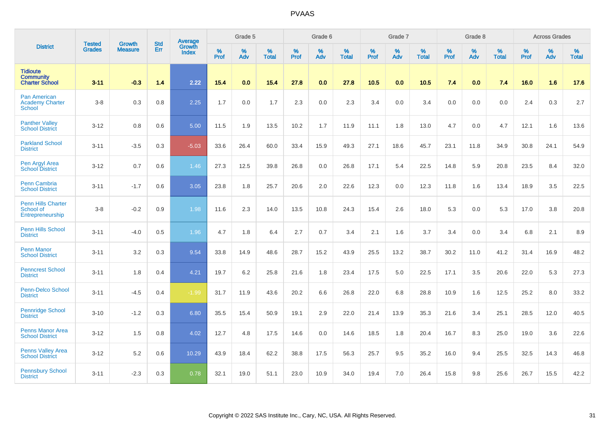|                                                                |                                |                                 | <b>Std</b> | Average                       |              | Grade 5  |                   |           | Grade 6  |                   |           | Grade 7  |                   |           | Grade 8  |                   |           | <b>Across Grades</b> |                   |
|----------------------------------------------------------------|--------------------------------|---------------------------------|------------|-------------------------------|--------------|----------|-------------------|-----------|----------|-------------------|-----------|----------|-------------------|-----------|----------|-------------------|-----------|----------------------|-------------------|
| <b>District</b>                                                | <b>Tested</b><br><b>Grades</b> | <b>Growth</b><br><b>Measure</b> | Err        | <b>Growth</b><br><b>Index</b> | $\%$<br>Prof | %<br>Adv | %<br><b>Total</b> | %<br>Prof | %<br>Adv | %<br><b>Total</b> | %<br>Prof | %<br>Adv | %<br><b>Total</b> | %<br>Prof | %<br>Adv | %<br><b>Total</b> | %<br>Prof | %<br>Adv             | %<br><b>Total</b> |
| <b>Tidioute</b><br><b>Community</b><br><b>Charter School</b>   | $3 - 11$                       | $-0.3$                          | 1.4        | 2.22                          | 15.4         | 0.0      | 15.4              | 27.8      | 0.0      | 27.8              | 10.5      | 0.0      | 10.5              | 7.4       | 0.0      | 7.4               | 16.0      | 1.6                  | 17.6              |
| <b>Pan American</b><br><b>Academy Charter</b><br><b>School</b> | $3 - 8$                        | 0.3                             | 0.8        | 2.25                          | 1.7          | 0.0      | 1.7               | 2.3       | 0.0      | 2.3               | 3.4       | 0.0      | 3.4               | 0.0       | 0.0      | 0.0               | 2.4       | 0.3                  | 2.7               |
| <b>Panther Valley</b><br><b>School District</b>                | $3 - 12$                       | 0.8                             | 0.6        | 5.00                          | 11.5         | 1.9      | 13.5              | 10.2      | 1.7      | 11.9              | 11.1      | 1.8      | 13.0              | 4.7       | 0.0      | 4.7               | 12.1      | 1.6                  | 13.6              |
| <b>Parkland School</b><br><b>District</b>                      | $3 - 11$                       | $-3.5$                          | 0.3        | $-5.03$                       | 33.6         | 26.4     | 60.0              | 33.4      | 15.9     | 49.3              | 27.1      | 18.6     | 45.7              | 23.1      | 11.8     | 34.9              | 30.8      | 24.1                 | 54.9              |
| Pen Argyl Area<br><b>School District</b>                       | $3 - 12$                       | 0.7                             | 0.6        | 1.46                          | 27.3         | 12.5     | 39.8              | 26.8      | 0.0      | 26.8              | 17.1      | 5.4      | 22.5              | 14.8      | 5.9      | 20.8              | 23.5      | 8.4                  | 32.0              |
| <b>Penn Cambria</b><br><b>School District</b>                  | $3 - 11$                       | $-1.7$                          | 0.6        | 3.05                          | 23.8         | 1.8      | 25.7              | 20.6      | 2.0      | 22.6              | 12.3      | 0.0      | 12.3              | 11.8      | 1.6      | 13.4              | 18.9      | 3.5                  | 22.5              |
| <b>Penn Hills Charter</b><br>School of<br>Entrepreneurship     | $3 - 8$                        | $-0.2$                          | 0.9        | 1.98                          | 11.6         | 2.3      | 14.0              | 13.5      | 10.8     | 24.3              | 15.4      | 2.6      | 18.0              | 5.3       | 0.0      | 5.3               | 17.0      | 3.8                  | 20.8              |
| <b>Penn Hills School</b><br><b>District</b>                    | $3 - 11$                       | $-4.0$                          | 0.5        | 1.96                          | 4.7          | 1.8      | 6.4               | 2.7       | 0.7      | 3.4               | 2.1       | 1.6      | 3.7               | 3.4       | 0.0      | 3.4               | 6.8       | 2.1                  | 8.9               |
| <b>Penn Manor</b><br><b>School District</b>                    | $3 - 11$                       | 3.2                             | 0.3        | 9.54                          | 33.8         | 14.9     | 48.6              | 28.7      | 15.2     | 43.9              | 25.5      | 13.2     | 38.7              | 30.2      | 11.0     | 41.2              | 31.4      | 16.9                 | 48.2              |
| <b>Penncrest School</b><br><b>District</b>                     | $3 - 11$                       | 1.8                             | 0.4        | 4.21                          | 19.7         | 6.2      | 25.8              | 21.6      | 1.8      | 23.4              | 17.5      | 5.0      | 22.5              | 17.1      | 3.5      | 20.6              | 22.0      | 5.3                  | 27.3              |
| Penn-Delco School<br><b>District</b>                           | $3 - 11$                       | $-4.5$                          | 0.4        | $-1.99$                       | 31.7         | 11.9     | 43.6              | 20.2      | 6.6      | 26.8              | 22.0      | 6.8      | 28.8              | 10.9      | 1.6      | 12.5              | 25.2      | 8.0                  | 33.2              |
| Pennridge School<br><b>District</b>                            | $3 - 10$                       | $-1.2$                          | 0.3        | 6.80                          | 35.5         | 15.4     | 50.9              | 19.1      | 2.9      | 22.0              | 21.4      | 13.9     | 35.3              | 21.6      | 3.4      | 25.1              | 28.5      | 12.0                 | 40.5              |
| <b>Penns Manor Area</b><br><b>School District</b>              | $3 - 12$                       | 1.5                             | 0.8        | 4.02                          | 12.7         | 4.8      | 17.5              | 14.6      | 0.0      | 14.6              | 18.5      | 1.8      | 20.4              | 16.7      | 8.3      | 25.0              | 19.0      | 3.6                  | 22.6              |
| <b>Penns Valley Area</b><br><b>School District</b>             | $3 - 12$                       | 5.2                             | 0.6        | 10.29                         | 43.9         | 18.4     | 62.2              | 38.8      | 17.5     | 56.3              | 25.7      | 9.5      | 35.2              | 16.0      | 9.4      | 25.5              | 32.5      | 14.3                 | 46.8              |
| <b>Pennsbury School</b><br><b>District</b>                     | $3 - 11$                       | $-2.3$                          | 0.3        | 0.78                          | 32.1         | 19.0     | 51.1              | 23.0      | 10.9     | 34.0              | 19.4      | 7.0      | 26.4              | 15.8      | 9.8      | 25.6              | 26.7      | 15.5                 | 42.2              |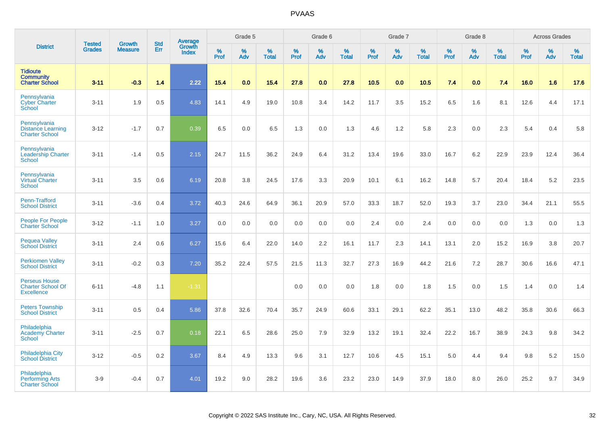|                                                                       |                         | <b>Growth</b>  |                   | Average                |                     | Grade 5  |                      |              | Grade 6  |                   |                  | Grade 7  |                      |                     | Grade 8     |                      |           | <b>Across Grades</b> |                   |
|-----------------------------------------------------------------------|-------------------------|----------------|-------------------|------------------------|---------------------|----------|----------------------|--------------|----------|-------------------|------------------|----------|----------------------|---------------------|-------------|----------------------|-----------|----------------------|-------------------|
| <b>District</b>                                                       | <b>Tested</b><br>Grades | <b>Measure</b> | <b>Std</b><br>Err | Growth<br><b>Index</b> | $\%$<br><b>Prof</b> | %<br>Adv | $\%$<br><b>Total</b> | $\%$<br>Prof | %<br>Adv | %<br><b>Total</b> | %<br><b>Prof</b> | %<br>Adv | $\%$<br><b>Total</b> | $\%$<br><b>Prof</b> | $\%$<br>Adv | $\%$<br><b>Total</b> | %<br>Prof | %<br>Adv             | %<br><b>Total</b> |
| <b>Tidioute</b><br><b>Community</b><br><b>Charter School</b>          | $3 - 11$                | $-0.3$         | 1.4               | 2.22                   | 15.4                | 0.0      | 15.4                 | 27.8         | 0.0      | 27.8              | 10.5             | 0.0      | 10.5                 | 7.4                 | 0.0         | 7.4                  | 16.0      | 1.6                  | 17.6              |
| Pennsylvania<br><b>Cyber Charter</b><br>School                        | $3 - 11$                | 1.9            | 0.5               | 4.83                   | 14.1                | 4.9      | 19.0                 | 10.8         | 3.4      | 14.2              | 11.7             | 3.5      | 15.2                 | 6.5                 | 1.6         | 8.1                  | 12.6      | 4.4                  | 17.1              |
| Pennsylvania<br><b>Distance Learning</b><br><b>Charter School</b>     | $3 - 12$                | $-1.7$         | 0.7               | 0.39                   | 6.5                 | 0.0      | 6.5                  | 1.3          | 0.0      | 1.3               | 4.6              | $1.2$    | 5.8                  | 2.3                 | 0.0         | 2.3                  | 5.4       | 0.4                  | 5.8               |
| Pennsylvania<br><b>Leadership Charter</b><br><b>School</b>            | $3 - 11$                | $-1.4$         | 0.5               | 2.15                   | 24.7                | 11.5     | 36.2                 | 24.9         | 6.4      | 31.2              | 13.4             | 19.6     | 33.0                 | 16.7                | 6.2         | 22.9                 | 23.9      | 12.4                 | 36.4              |
| Pennsylvania<br><b>Virtual Charter</b><br><b>School</b>               | $3 - 11$                | 3.5            | 0.6               | 6.19                   | 20.8                | 3.8      | 24.5                 | 17.6         | 3.3      | 20.9              | 10.1             | 6.1      | 16.2                 | 14.8                | 5.7         | 20.4                 | 18.4      | 5.2                  | 23.5              |
| Penn-Trafford<br><b>School District</b>                               | $3 - 11$                | $-3.6$         | 0.4               | 3.72                   | 40.3                | 24.6     | 64.9                 | 36.1         | 20.9     | 57.0              | 33.3             | 18.7     | 52.0                 | 19.3                | 3.7         | 23.0                 | 34.4      | 21.1                 | 55.5              |
| People For People<br><b>Charter School</b>                            | $3 - 12$                | $-1.1$         | 1.0               | 3.27                   | 0.0                 | 0.0      | 0.0                  | 0.0          | 0.0      | 0.0               | 2.4              | 0.0      | 2.4                  | 0.0                 | 0.0         | 0.0                  | 1.3       | 0.0                  | 1.3               |
| <b>Pequea Valley</b><br><b>School District</b>                        | $3 - 11$                | 2.4            | 0.6               | 6.27                   | 15.6                | 6.4      | 22.0                 | 14.0         | 2.2      | 16.1              | 11.7             | 2.3      | 14.1                 | 13.1                | 2.0         | 15.2                 | 16.9      | 3.8                  | 20.7              |
| <b>Perkiomen Valley</b><br><b>School District</b>                     | $3 - 11$                | $-0.2$         | 0.3               | 7.20                   | 35.2                | 22.4     | 57.5                 | 21.5         | 11.3     | 32.7              | 27.3             | 16.9     | 44.2                 | 21.6                | 7.2         | 28.7                 | 30.6      | 16.6                 | 47.1              |
| <b>Perseus House</b><br><b>Charter School Of</b><br><b>Excellence</b> | $6 - 11$                | $-4.8$         | 1.1               | $-1.31$                |                     |          |                      | 0.0          | 0.0      | 0.0               | 1.8              | 0.0      | 1.8                  | 1.5                 | 0.0         | 1.5                  | 1.4       | 0.0                  | 1.4               |
| <b>Peters Township</b><br><b>School District</b>                      | $3 - 11$                | 0.5            | 0.4               | 5.86                   | 37.8                | 32.6     | 70.4                 | 35.7         | 24.9     | 60.6              | 33.1             | 29.1     | 62.2                 | 35.1                | 13.0        | 48.2                 | 35.8      | 30.6                 | 66.3              |
| Philadelphia<br><b>Academy Charter</b><br><b>School</b>               | $3 - 11$                | $-2.5$         | 0.7               | 0.18                   | 22.1                | 6.5      | 28.6                 | 25.0         | 7.9      | 32.9              | 13.2             | 19.1     | 32.4                 | 22.2                | 16.7        | 38.9                 | 24.3      | 9.8                  | 34.2              |
| <b>Philadelphia City</b><br><b>School District</b>                    | $3 - 12$                | $-0.5$         | 0.2               | 3.67                   | 8.4                 | 4.9      | 13.3                 | 9.6          | 3.1      | 12.7              | 10.6             | 4.5      | 15.1                 | 5.0                 | 4.4         | 9.4                  | $9.8\,$   | 5.2                  | 15.0              |
| Philadelphia<br><b>Performing Arts</b><br><b>Charter School</b>       | $3-9$                   | $-0.4$         | 0.7               | 4.01                   | 19.2                | 9.0      | 28.2                 | 19.6         | 3.6      | 23.2              | 23.0             | 14.9     | 37.9                 | 18.0                | 8.0         | 26.0                 | 25.2      | 9.7                  | 34.9              |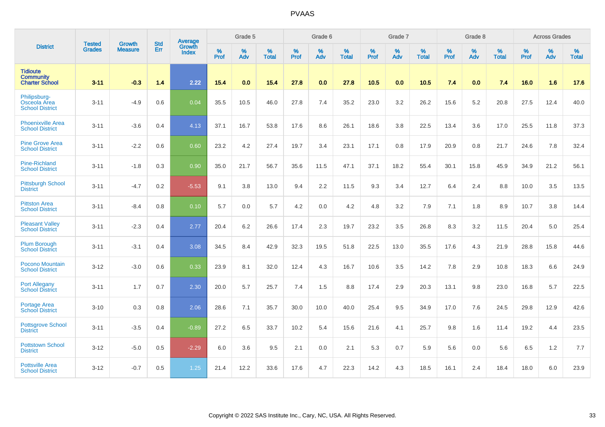|                                                              |                                |                                 | <b>Std</b> | Average                |           | Grade 5  |                   |           | Grade 6  |                   |           | Grade 7  |                   |           | Grade 8  |                   |           | <b>Across Grades</b> |                   |
|--------------------------------------------------------------|--------------------------------|---------------------------------|------------|------------------------|-----------|----------|-------------------|-----------|----------|-------------------|-----------|----------|-------------------|-----------|----------|-------------------|-----------|----------------------|-------------------|
| <b>District</b>                                              | <b>Tested</b><br><b>Grades</b> | <b>Growth</b><br><b>Measure</b> | Err        | Growth<br><b>Index</b> | %<br>Prof | %<br>Adv | %<br><b>Total</b> | %<br>Prof | %<br>Adv | %<br><b>Total</b> | %<br>Prof | %<br>Adv | %<br><b>Total</b> | %<br>Prof | %<br>Adv | %<br><b>Total</b> | %<br>Prof | %<br>Adv             | %<br><b>Total</b> |
| <b>Tidioute</b><br><b>Community</b><br><b>Charter School</b> | $3 - 11$                       | $-0.3$                          | 1.4        | 2.22                   | 15.4      | 0.0      | 15.4              | 27.8      | 0.0      | 27.8              | 10.5      | 0.0      | 10.5              | 7.4       | 0.0      | 7.4               | 16.0      | 1.6                  | 17.6              |
| Philipsburg-<br>Osceola Area<br><b>School District</b>       | $3 - 11$                       | $-4.9$                          | 0.6        | 0.04                   | 35.5      | 10.5     | 46.0              | 27.8      | 7.4      | 35.2              | 23.0      | 3.2      | 26.2              | 15.6      | 5.2      | 20.8              | 27.5      | 12.4                 | 40.0              |
| <b>Phoenixville Area</b><br><b>School District</b>           | $3 - 11$                       | $-3.6$                          | 0.4        | 4.13                   | 37.1      | 16.7     | 53.8              | 17.6      | 8.6      | 26.1              | 18.6      | 3.8      | 22.5              | 13.4      | 3.6      | 17.0              | 25.5      | 11.8                 | 37.3              |
| <b>Pine Grove Area</b><br><b>School District</b>             | $3 - 11$                       | $-2.2$                          | 0.6        | 0.60                   | 23.2      | 4.2      | 27.4              | 19.7      | 3.4      | 23.1              | 17.1      | 0.8      | 17.9              | 20.9      | 0.8      | 21.7              | 24.6      | 7.8                  | 32.4              |
| Pine-Richland<br><b>School District</b>                      | $3 - 11$                       | $-1.8$                          | 0.3        | 0.90                   | 35.0      | 21.7     | 56.7              | 35.6      | 11.5     | 47.1              | 37.1      | 18.2     | 55.4              | 30.1      | 15.8     | 45.9              | 34.9      | 21.2                 | 56.1              |
| <b>Pittsburgh School</b><br><b>District</b>                  | $3 - 11$                       | $-4.7$                          | 0.2        | $-5.53$                | 9.1       | 3.8      | 13.0              | 9.4       | 2.2      | 11.5              | 9.3       | 3.4      | 12.7              | 6.4       | 2.4      | 8.8               | 10.0      | 3.5                  | 13.5              |
| <b>Pittston Area</b><br><b>School District</b>               | $3 - 11$                       | $-8.4$                          | 0.8        | 0.10                   | 5.7       | 0.0      | 5.7               | 4.2       | 0.0      | 4.2               | 4.8       | 3.2      | 7.9               | 7.1       | 1.8      | 8.9               | 10.7      | 3.8                  | 14.4              |
| <b>Pleasant Valley</b><br><b>School District</b>             | $3 - 11$                       | $-2.3$                          | 0.4        | 2.77                   | 20.4      | 6.2      | 26.6              | 17.4      | 2.3      | 19.7              | 23.2      | 3.5      | 26.8              | 8.3       | 3.2      | 11.5              | 20.4      | 5.0                  | 25.4              |
| <b>Plum Borough</b><br><b>School District</b>                | $3 - 11$                       | $-3.1$                          | 0.4        | 3.08                   | 34.5      | 8.4      | 42.9              | 32.3      | 19.5     | 51.8              | 22.5      | 13.0     | 35.5              | 17.6      | 4.3      | 21.9              | 28.8      | 15.8                 | 44.6              |
| Pocono Mountain<br><b>School District</b>                    | $3 - 12$                       | $-3.0$                          | 0.6        | 0.33                   | 23.9      | 8.1      | 32.0              | 12.4      | 4.3      | 16.7              | 10.6      | 3.5      | 14.2              | 7.8       | 2.9      | 10.8              | 18.3      | 6.6                  | 24.9              |
| <b>Port Allegany</b><br><b>School District</b>               | $3 - 11$                       | 1.7                             | 0.7        | 2.30                   | 20.0      | 5.7      | 25.7              | 7.4       | 1.5      | 8.8               | 17.4      | 2.9      | 20.3              | 13.1      | 9.8      | 23.0              | 16.8      | 5.7                  | 22.5              |
| Portage Area<br><b>School District</b>                       | $3 - 10$                       | 0.3                             | 0.8        | 2.06                   | 28.6      | 7.1      | 35.7              | 30.0      | 10.0     | 40.0              | 25.4      | 9.5      | 34.9              | 17.0      | 7.6      | 24.5              | 29.8      | 12.9                 | 42.6              |
| <b>Pottsgrove School</b><br><b>District</b>                  | $3 - 11$                       | $-3.5$                          | 0.4        | $-0.89$                | 27.2      | 6.5      | 33.7              | 10.2      | 5.4      | 15.6              | 21.6      | 4.1      | 25.7              | 9.8       | 1.6      | 11.4              | 19.2      | 4.4                  | 23.5              |
| <b>Pottstown School</b><br><b>District</b>                   | $3 - 12$                       | $-5.0$                          | 0.5        | $-2.29$                | 6.0       | 3.6      | 9.5               | 2.1       | 0.0      | 2.1               | 5.3       | 0.7      | 5.9               | 5.6       | 0.0      | 5.6               | 6.5       | 1.2                  | 7.7               |
| <b>Pottsville Area</b><br><b>School District</b>             | $3 - 12$                       | $-0.7$                          | 0.5        | 1.25                   | 21.4      | 12.2     | 33.6              | 17.6      | 4.7      | 22.3              | 14.2      | 4.3      | 18.5              | 16.1      | 2.4      | 18.4              | 18.0      | 6.0                  | 23.9              |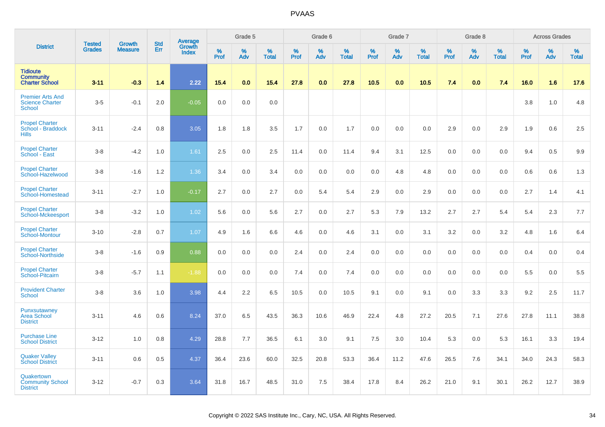|                                                                    | <b>Tested</b> | <b>Growth</b>  | <b>Std</b> | Average         |           | Grade 5  |                   |           | Grade 6  |                   |           | Grade 7  |                   |           | Grade 8  |                   |           | <b>Across Grades</b> |                   |
|--------------------------------------------------------------------|---------------|----------------|------------|-----------------|-----------|----------|-------------------|-----------|----------|-------------------|-----------|----------|-------------------|-----------|----------|-------------------|-----------|----------------------|-------------------|
| <b>District</b>                                                    | <b>Grades</b> | <b>Measure</b> | Err        | Growth<br>Index | %<br>Prof | %<br>Adv | %<br><b>Total</b> | %<br>Prof | %<br>Adv | %<br><b>Total</b> | %<br>Prof | %<br>Adv | %<br><b>Total</b> | %<br>Prof | %<br>Adv | %<br><b>Total</b> | %<br>Prof | %<br>Adv             | %<br><b>Total</b> |
| <b>Tidioute</b><br><b>Community</b><br><b>Charter School</b>       | $3 - 11$      | $-0.3$         | 1.4        | 2.22            | 15.4      | 0.0      | 15.4              | 27.8      | 0.0      | 27.8              | 10.5      | 0.0      | 10.5              | 7.4       | 0.0      | 7.4               | 16.0      | 1.6                  | 17.6              |
| <b>Premier Arts And</b><br><b>Science Charter</b><br><b>School</b> | $3-5$         | $-0.1$         | 2.0        | $-0.05$         | 0.0       | 0.0      | 0.0               |           |          |                   |           |          |                   |           |          |                   | 3.8       | 1.0                  | 4.8               |
| <b>Propel Charter</b><br>School - Braddock<br><b>Hills</b>         | $3 - 11$      | $-2.4$         | 0.8        | 3.05            | 1.8       | 1.8      | 3.5               | 1.7       | 0.0      | 1.7               | 0.0       | 0.0      | 0.0               | 2.9       | 0.0      | 2.9               | 1.9       | 0.6                  | 2.5               |
| <b>Propel Charter</b><br>School - East                             | $3-8$         | $-4.2$         | 1.0        | 1.61            | 2.5       | 0.0      | 2.5               | 11.4      | 0.0      | 11.4              | 9.4       | 3.1      | 12.5              | 0.0       | 0.0      | 0.0               | 9.4       | 0.5                  | 9.9               |
| <b>Propel Charter</b><br>School-Hazelwood                          | $3-8$         | $-1.6$         | 1.2        | 1.36            | 3.4       | 0.0      | 3.4               | 0.0       | 0.0      | 0.0               | 0.0       | 4.8      | 4.8               | 0.0       | 0.0      | 0.0               | 0.6       | 0.6                  | 1.3               |
| <b>Propel Charter</b><br>School-Homestead                          | $3 - 11$      | $-2.7$         | 1.0        | $-0.17$         | 2.7       | 0.0      | 2.7               | 0.0       | 5.4      | 5.4               | 2.9       | 0.0      | 2.9               | 0.0       | 0.0      | 0.0               | 2.7       | 1.4                  | 4.1               |
| <b>Propel Charter</b><br><b>School-Mckeesport</b>                  | $3-8$         | $-3.2$         | 1.0        | 1.02            | 5.6       | 0.0      | 5.6               | 2.7       | 0.0      | 2.7               | 5.3       | 7.9      | 13.2              | 2.7       | 2.7      | 5.4               | 5.4       | 2.3                  | 7.7               |
| <b>Propel Charter</b><br><b>School-Montour</b>                     | $3 - 10$      | $-2.8$         | 0.7        | 1.07            | 4.9       | 1.6      | 6.6               | 4.6       | 0.0      | 4.6               | 3.1       | 0.0      | 3.1               | 3.2       | 0.0      | 3.2               | 4.8       | 1.6                  | 6.4               |
| <b>Propel Charter</b><br>School-Northside                          | $3-8$         | $-1.6$         | 0.9        | 0.88            | 0.0       | 0.0      | 0.0               | 2.4       | 0.0      | 2.4               | 0.0       | 0.0      | 0.0               | 0.0       | 0.0      | 0.0               | 0.4       | 0.0                  | 0.4               |
| <b>Propel Charter</b><br>School-Pitcairn                           | $3-8$         | $-5.7$         | 1.1        | $-1.88$         | 0.0       | 0.0      | 0.0               | 7.4       | 0.0      | 7.4               | 0.0       | 0.0      | 0.0               | 0.0       | 0.0      | 0.0               | 5.5       | 0.0                  | 5.5               |
| <b>Provident Charter</b><br><b>School</b>                          | $3-8$         | 3.6            | 1.0        | 3.98            | 4.4       | 2.2      | 6.5               | 10.5      | 0.0      | 10.5              | 9.1       | 0.0      | 9.1               | 0.0       | 3.3      | 3.3               | 9.2       | 2.5                  | 11.7              |
| Punxsutawney<br><b>Area School</b><br><b>District</b>              | $3 - 11$      | 4.6            | 0.6        | 8.24            | 37.0      | 6.5      | 43.5              | 36.3      | 10.6     | 46.9              | 22.4      | 4.8      | 27.2              | 20.5      | 7.1      | 27.6              | 27.8      | 11.1                 | 38.8              |
| <b>Purchase Line</b><br><b>School District</b>                     | $3 - 12$      | 1.0            | 0.8        | 4.29            | 28.8      | 7.7      | 36.5              | 6.1       | 3.0      | 9.1               | 7.5       | 3.0      | 10.4              | 5.3       | 0.0      | 5.3               | 16.1      | 3.3                  | 19.4              |
| <b>Quaker Valley</b><br><b>School District</b>                     | $3 - 11$      | 0.6            | 0.5        | 4.37            | 36.4      | 23.6     | 60.0              | 32.5      | 20.8     | 53.3              | 36.4      | 11.2     | 47.6              | 26.5      | 7.6      | 34.1              | 34.0      | 24.3                 | 58.3              |
| Quakertown<br><b>Community School</b><br><b>District</b>           | $3 - 12$      | $-0.7$         | 0.3        | 3.64            | 31.8      | 16.7     | 48.5              | 31.0      | 7.5      | 38.4              | 17.8      | 8.4      | 26.2              | 21.0      | 9.1      | 30.1              | 26.2      | 12.7                 | 38.9              |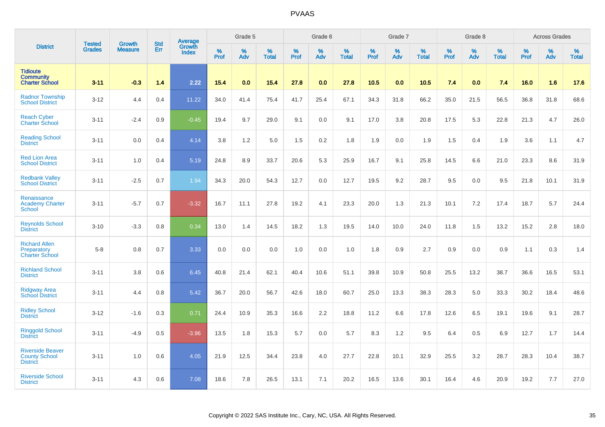|                                                                    |                                | <b>Growth</b>  | <b>Std</b> | Average                |              | Grade 5  |                   |           | Grade 6  |                   |              | Grade 7  |                   |           | Grade 8  |                   |           | <b>Across Grades</b> |                   |
|--------------------------------------------------------------------|--------------------------------|----------------|------------|------------------------|--------------|----------|-------------------|-----------|----------|-------------------|--------------|----------|-------------------|-----------|----------|-------------------|-----------|----------------------|-------------------|
| <b>District</b>                                                    | <b>Tested</b><br><b>Grades</b> | <b>Measure</b> | Err        | Growth<br><b>Index</b> | $\%$<br>Prof | %<br>Adv | %<br><b>Total</b> | %<br>Prof | %<br>Adv | %<br><b>Total</b> | $\%$<br>Prof | %<br>Adv | %<br><b>Total</b> | %<br>Prof | %<br>Adv | %<br><b>Total</b> | %<br>Prof | %<br>Adv             | %<br><b>Total</b> |
| <b>Tidioute</b><br><b>Community</b><br><b>Charter School</b>       | $3 - 11$                       | $-0.3$         | 1.4        | 2.22                   | 15.4         | 0.0      | 15.4              | 27.8      | 0.0      | 27.8              | 10.5         | 0.0      | 10.5              | 7.4       | 0.0      | 7.4               | 16.0      | 1.6                  | 17.6              |
| <b>Radnor Township</b><br><b>School District</b>                   | $3 - 12$                       | 4.4            | 0.4        | 11.22                  | 34.0         | 41.4     | 75.4              | 41.7      | 25.4     | 67.1              | 34.3         | 31.8     | 66.2              | 35.0      | 21.5     | 56.5              | 36.8      | 31.8                 | 68.6              |
| <b>Reach Cyber</b><br><b>Charter School</b>                        | $3 - 11$                       | $-2.4$         | 0.9        | $-0.45$                | 19.4         | 9.7      | 29.0              | 9.1       | 0.0      | 9.1               | 17.0         | 3.8      | 20.8              | 17.5      | 5.3      | 22.8              | 21.3      | 4.7                  | 26.0              |
| <b>Reading School</b><br><b>District</b>                           | $3 - 11$                       | 0.0            | 0.4        | 4.14                   | 3.8          | 1.2      | 5.0               | 1.5       | 0.2      | 1.8               | 1.9          | 0.0      | 1.9               | 1.5       | 0.4      | 1.9               | 3.6       | 1.1                  | 4.7               |
| <b>Red Lion Area</b><br><b>School District</b>                     | $3 - 11$                       | 1.0            | 0.4        | 5.19                   | 24.8         | 8.9      | 33.7              | 20.6      | 5.3      | 25.9              | 16.7         | 9.1      | 25.8              | 14.5      | 6.6      | 21.0              | 23.3      | 8.6                  | 31.9              |
| <b>Redbank Valley</b><br><b>School District</b>                    | $3 - 11$                       | $-2.5$         | 0.7        | 1.94                   | 34.3         | 20.0     | 54.3              | 12.7      | 0.0      | 12.7              | 19.5         | 9.2      | 28.7              | 9.5       | 0.0      | 9.5               | 21.8      | 10.1                 | 31.9              |
| Renaissance<br><b>Academy Charter</b><br><b>School</b>             | $3 - 11$                       | $-5.7$         | 0.7        | $-3.32$                | 16.7         | 11.1     | 27.8              | 19.2      | 4.1      | 23.3              | 20.0         | 1.3      | 21.3              | 10.1      | 7.2      | 17.4              | 18.7      | 5.7                  | 24.4              |
| <b>Reynolds School</b><br><b>District</b>                          | $3 - 10$                       | $-3.3$         | 0.8        | 0.34                   | 13.0         | 1.4      | 14.5              | 18.2      | 1.3      | 19.5              | 14.0         | 10.0     | 24.0              | 11.8      | 1.5      | 13.2              | 15.2      | 2.8                  | 18.0              |
| <b>Richard Allen</b><br>Preparatory<br><b>Charter School</b>       | $5 - 8$                        | 0.8            | 0.7        | 3.33                   | 0.0          | 0.0      | 0.0               | 1.0       | 0.0      | 1.0               | 1.8          | 0.9      | 2.7               | 0.9       | 0.0      | 0.9               | 1.1       | 0.3                  | 1.4               |
| <b>Richland School</b><br><b>District</b>                          | $3 - 11$                       | 3.8            | 0.6        | 6.45                   | 40.8         | 21.4     | 62.1              | 40.4      | 10.6     | 51.1              | 39.8         | 10.9     | 50.8              | 25.5      | 13.2     | 38.7              | 36.6      | 16.5                 | 53.1              |
| <b>Ridgway Area</b><br><b>School District</b>                      | $3 - 11$                       | 4.4            | 0.8        | 5.42                   | 36.7         | 20.0     | 56.7              | 42.6      | 18.0     | 60.7              | 25.0         | 13.3     | 38.3              | 28.3      | 5.0      | 33.3              | 30.2      | 18.4                 | 48.6              |
| <b>Ridley School</b><br><b>District</b>                            | $3 - 12$                       | $-1.6$         | 0.3        | 0.71                   | 24.4         | 10.9     | 35.3              | 16.6      | 2.2      | 18.8              | 11.2         | 6.6      | 17.8              | 12.6      | 6.5      | 19.1              | 19.6      | 9.1                  | 28.7              |
| <b>Ringgold School</b><br><b>District</b>                          | $3 - 11$                       | $-4.9$         | 0.5        | $-3.96$                | 13.5         | 1.8      | 15.3              | 5.7       | 0.0      | 5.7               | 8.3          | $1.2$    | 9.5               | 6.4       | 0.5      | 6.9               | 12.7      | 1.7                  | 14.4              |
| <b>Riverside Beaver</b><br><b>County School</b><br><b>District</b> | $3 - 11$                       | 1.0            | 0.6        | 4.05                   | 21.9         | 12.5     | 34.4              | 23.8      | 4.0      | 27.7              | 22.8         | 10.1     | 32.9              | 25.5      | 3.2      | 28.7              | 28.3      | 10.4                 | 38.7              |
| <b>Riverside School</b><br><b>District</b>                         | $3 - 11$                       | 4.3            | 0.6        | 7.08                   | 18.6         | 7.8      | 26.5              | 13.1      | 7.1      | 20.2              | 16.5         | 13.6     | 30.1              | 16.4      | 4.6      | 20.9              | 19.2      | 7.7                  | 27.0              |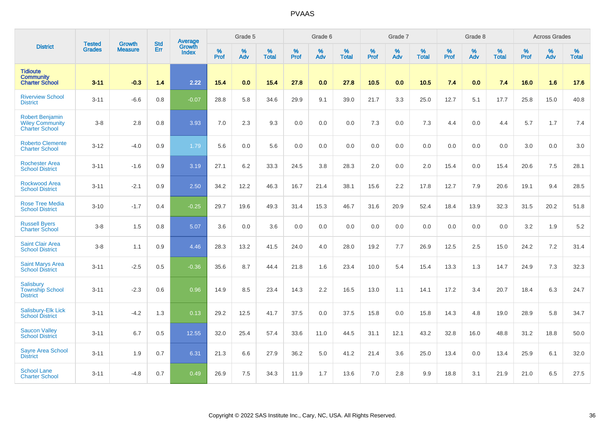|                                                                           | <b>Tested</b> | <b>Growth</b>  | <b>Std</b> | Average                       |              | Grade 5  |                   |           | Grade 6  |                   |           | Grade 7  |                   |           | Grade 8  |                   |           | <b>Across Grades</b> |                   |
|---------------------------------------------------------------------------|---------------|----------------|------------|-------------------------------|--------------|----------|-------------------|-----------|----------|-------------------|-----------|----------|-------------------|-----------|----------|-------------------|-----------|----------------------|-------------------|
| <b>District</b>                                                           | <b>Grades</b> | <b>Measure</b> | Err        | <b>Growth</b><br><b>Index</b> | $\%$<br>Prof | %<br>Adv | %<br><b>Total</b> | %<br>Prof | %<br>Adv | %<br><b>Total</b> | %<br>Prof | %<br>Adv | %<br><b>Total</b> | %<br>Prof | %<br>Adv | %<br><b>Total</b> | %<br>Prof | %<br>Adv             | %<br><b>Total</b> |
| <b>Tidioute</b><br><b>Community</b><br><b>Charter School</b>              | $3 - 11$      | $-0.3$         | 1.4        | 2.22                          | 15.4         | 0.0      | 15.4              | 27.8      | 0.0      | 27.8              | 10.5      | 0.0      | 10.5              | 7.4       | 0.0      | 7.4               | 16.0      | 1.6                  | 17.6              |
| <b>Riverview School</b><br><b>District</b>                                | $3 - 11$      | $-6.6$         | 0.8        | $-0.07$                       | 28.8         | 5.8      | 34.6              | 29.9      | 9.1      | 39.0              | 21.7      | 3.3      | 25.0              | 12.7      | 5.1      | 17.7              | 25.8      | 15.0                 | 40.8              |
| <b>Robert Benjamin</b><br><b>Wiley Community</b><br><b>Charter School</b> | $3-8$         | 2.8            | 0.8        | 3.93                          | 7.0          | 2.3      | 9.3               | 0.0       | 0.0      | 0.0               | 7.3       | 0.0      | 7.3               | 4.4       | 0.0      | 4.4               | 5.7       | 1.7                  | 7.4               |
| <b>Roberto Clemente</b><br><b>Charter School</b>                          | $3 - 12$      | $-4.0$         | 0.9        | 1.79                          | 5.6          | 0.0      | 5.6               | 0.0       | 0.0      | 0.0               | 0.0       | 0.0      | 0.0               | 0.0       | 0.0      | 0.0               | 3.0       | 0.0                  | 3.0               |
| <b>Rochester Area</b><br><b>School District</b>                           | $3 - 11$      | $-1.6$         | 0.9        | 3.19                          | 27.1         | 6.2      | 33.3              | 24.5      | 3.8      | 28.3              | 2.0       | 0.0      | 2.0               | 15.4      | 0.0      | 15.4              | 20.6      | 7.5                  | 28.1              |
| <b>Rockwood Area</b><br><b>School District</b>                            | $3 - 11$      | $-2.1$         | 0.9        | 2.50                          | 34.2         | 12.2     | 46.3              | 16.7      | 21.4     | 38.1              | 15.6      | 2.2      | 17.8              | 12.7      | 7.9      | 20.6              | 19.1      | 9.4                  | 28.5              |
| <b>Rose Tree Media</b><br><b>School District</b>                          | $3 - 10$      | $-1.7$         | 0.4        | $-0.25$                       | 29.7         | 19.6     | 49.3              | 31.4      | 15.3     | 46.7              | 31.6      | 20.9     | 52.4              | 18.4      | 13.9     | 32.3              | 31.5      | 20.2                 | 51.8              |
| <b>Russell Byers</b><br><b>Charter School</b>                             | $3-8$         | 1.5            | 0.8        | 5.07                          | 3.6          | 0.0      | 3.6               | 0.0       | 0.0      | 0.0               | 0.0       | 0.0      | 0.0               | 0.0       | 0.0      | 0.0               | 3.2       | 1.9                  | 5.2               |
| <b>Saint Clair Area</b><br><b>School District</b>                         | $3 - 8$       | 1.1            | 0.9        | 4.46                          | 28.3         | 13.2     | 41.5              | 24.0      | 4.0      | 28.0              | 19.2      | 7.7      | 26.9              | 12.5      | 2.5      | 15.0              | 24.2      | 7.2                  | 31.4              |
| <b>Saint Marys Area</b><br><b>School District</b>                         | $3 - 11$      | $-2.5$         | 0.5        | $-0.36$                       | 35.6         | 8.7      | 44.4              | 21.8      | 1.6      | 23.4              | 10.0      | 5.4      | 15.4              | 13.3      | 1.3      | 14.7              | 24.9      | 7.3                  | 32.3              |
| Salisbury<br><b>Township School</b><br><b>District</b>                    | $3 - 11$      | $-2.3$         | 0.6        | 0.96                          | 14.9         | 8.5      | 23.4              | 14.3      | 2.2      | 16.5              | 13.0      | 1.1      | 14.1              | 17.2      | 3.4      | 20.7              | 18.4      | 6.3                  | 24.7              |
| Salisbury-Elk Lick<br><b>School District</b>                              | $3 - 11$      | $-4.2$         | 1.3        | 0.13                          | 29.2         | 12.5     | 41.7              | 37.5      | 0.0      | 37.5              | 15.8      | 0.0      | 15.8              | 14.3      | 4.8      | 19.0              | 28.9      | 5.8                  | 34.7              |
| <b>Saucon Valley</b><br><b>School District</b>                            | $3 - 11$      | 6.7            | 0.5        | 12.55                         | 32.0         | 25.4     | 57.4              | 33.6      | 11.0     | 44.5              | 31.1      | 12.1     | 43.2              | 32.8      | 16.0     | 48.8              | 31.2      | 18.8                 | 50.0              |
| <b>Sayre Area School</b><br><b>District</b>                               | $3 - 11$      | 1.9            | 0.7        | 6.31                          | 21.3         | 6.6      | 27.9              | 36.2      | 5.0      | 41.2              | 21.4      | 3.6      | 25.0              | 13.4      | 0.0      | 13.4              | 25.9      | 6.1                  | 32.0              |
| <b>School Lane</b><br><b>Charter School</b>                               | $3 - 11$      | $-4.8$         | 0.7        | 0.49                          | 26.9         | 7.5      | 34.3              | 11.9      | 1.7      | 13.6              | 7.0       | 2.8      | 9.9               | 18.8      | 3.1      | 21.9              | 21.0      | 6.5                  | 27.5              |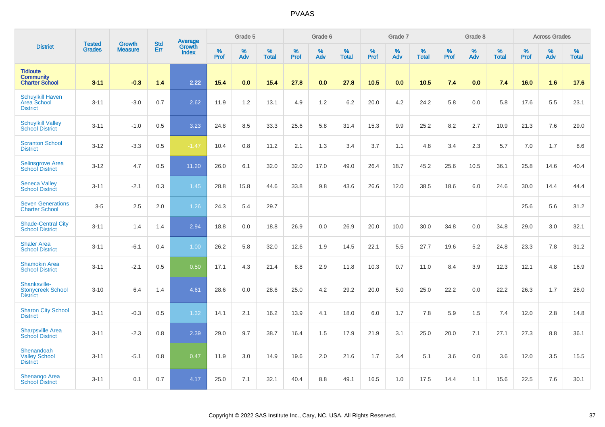|                                                              |                                | <b>Growth</b>  | <b>Std</b> | Average                |              | Grade 5  |                   |              | Grade 6  |                   |              | Grade 7  |                   |              | Grade 8  |                   |           | <b>Across Grades</b> |                   |
|--------------------------------------------------------------|--------------------------------|----------------|------------|------------------------|--------------|----------|-------------------|--------------|----------|-------------------|--------------|----------|-------------------|--------------|----------|-------------------|-----------|----------------------|-------------------|
| <b>District</b>                                              | <b>Tested</b><br><b>Grades</b> | <b>Measure</b> | Err        | Growth<br><b>Index</b> | $\%$<br>Prof | %<br>Adv | %<br><b>Total</b> | $\%$<br>Prof | %<br>Adv | %<br><b>Total</b> | $\%$<br>Prof | %<br>Adv | %<br><b>Total</b> | $\%$<br>Prof | %<br>Adv | %<br><b>Total</b> | %<br>Prof | %<br>Adv             | %<br><b>Total</b> |
| <b>Tidioute</b><br><b>Community</b><br><b>Charter School</b> | $3 - 11$                       | $-0.3$         | 1.4        | 2.22                   | 15.4         | 0.0      | 15.4              | 27.8         | 0.0      | 27.8              | 10.5         | 0.0      | 10.5              | 7.4          | 0.0      | 7.4               | 16.0      | 1.6                  | 17.6              |
| <b>Schuylkill Haven</b><br>Area School<br><b>District</b>    | $3 - 11$                       | $-3.0$         | 0.7        | 2.62                   | 11.9         | 1.2      | 13.1              | 4.9          | $1.2$    | 6.2               | 20.0         | 4.2      | 24.2              | 5.8          | 0.0      | 5.8               | 17.6      | 5.5                  | 23.1              |
| <b>Schuylkill Valley</b><br><b>School District</b>           | $3 - 11$                       | $-1.0$         | 0.5        | 3.23                   | 24.8         | 8.5      | 33.3              | 25.6         | 5.8      | 31.4              | 15.3         | 9.9      | 25.2              | 8.2          | 2.7      | 10.9              | 21.3      | 7.6                  | 29.0              |
| <b>Scranton School</b><br><b>District</b>                    | $3 - 12$                       | $-3.3$         | 0.5        | $-1.47$                | 10.4         | 0.8      | 11.2              | 2.1          | 1.3      | 3.4               | 3.7          | 1.1      | 4.8               | 3.4          | 2.3      | 5.7               | 7.0       | 1.7                  | 8.6               |
| Selinsgrove Area<br><b>School District</b>                   | $3 - 12$                       | 4.7            | 0.5        | 11.20                  | 26.0         | 6.1      | 32.0              | 32.0         | 17.0     | 49.0              | 26.4         | 18.7     | 45.2              | 25.6         | 10.5     | 36.1              | 25.8      | 14.6                 | 40.4              |
| <b>Seneca Valley</b><br><b>School District</b>               | $3 - 11$                       | $-2.1$         | 0.3        | 1.45                   | 28.8         | 15.8     | 44.6              | 33.8         | 9.8      | 43.6              | 26.6         | 12.0     | 38.5              | 18.6         | 6.0      | 24.6              | 30.0      | 14.4                 | 44.4              |
| <b>Seven Generations</b><br><b>Charter School</b>            | $3-5$                          | 2.5            | 2.0        | 1.26                   | 24.3         | 5.4      | 29.7              |              |          |                   |              |          |                   |              |          |                   | 25.6      | 5.6                  | 31.2              |
| <b>Shade-Central City</b><br><b>School District</b>          | $3 - 11$                       | 1.4            | 1.4        | 2.94                   | 18.8         | 0.0      | 18.8              | 26.9         | 0.0      | 26.9              | 20.0         | 10.0     | 30.0              | 34.8         | 0.0      | 34.8              | 29.0      | 3.0                  | 32.1              |
| <b>Shaler Area</b><br><b>School District</b>                 | $3 - 11$                       | $-6.1$         | 0.4        | 1.00                   | 26.2         | 5.8      | 32.0              | 12.6         | 1.9      | 14.5              | 22.1         | 5.5      | 27.7              | 19.6         | $5.2\,$  | 24.8              | 23.3      | 7.8                  | 31.2              |
| <b>Shamokin Area</b><br><b>School District</b>               | $3 - 11$                       | $-2.1$         | 0.5        | 0.50                   | 17.1         | 4.3      | 21.4              | 8.8          | 2.9      | 11.8              | 10.3         | 0.7      | 11.0              | 8.4          | 3.9      | 12.3              | 12.1      | 4.8                  | 16.9              |
| Shanksville-<br><b>Stonycreek School</b><br><b>District</b>  | $3 - 10$                       | 6.4            | 1.4        | 4.61                   | 28.6         | 0.0      | 28.6              | 25.0         | 4.2      | 29.2              | 20.0         | 5.0      | 25.0              | 22.2         | 0.0      | 22.2              | 26.3      | 1.7                  | 28.0              |
| <b>Sharon City School</b><br><b>District</b>                 | $3 - 11$                       | $-0.3$         | 0.5        | 1.32                   | 14.1         | 2.1      | 16.2              | 13.9         | 4.1      | 18.0              | 6.0          | 1.7      | 7.8               | 5.9          | 1.5      | 7.4               | 12.0      | 2.8                  | 14.8              |
| <b>Sharpsville Area</b><br><b>School District</b>            | $3 - 11$                       | $-2.3$         | 0.8        | 2.39                   | 29.0         | 9.7      | 38.7              | 16.4         | 1.5      | 17.9              | 21.9         | 3.1      | 25.0              | 20.0         | 7.1      | 27.1              | 27.3      | 8.8                  | 36.1              |
| Shenandoah<br><b>Valley School</b><br><b>District</b>        | $3 - 11$                       | $-5.1$         | 0.8        | 0.47                   | 11.9         | 3.0      | 14.9              | 19.6         | 2.0      | 21.6              | 1.7          | 3.4      | 5.1               | 3.6          | 0.0      | 3.6               | 12.0      | 3.5                  | 15.5              |
| Shenango Area<br><b>School District</b>                      | $3 - 11$                       | 0.1            | 0.7        | 4.17                   | 25.0         | 7.1      | 32.1              | 40.4         | 8.8      | 49.1              | 16.5         | 1.0      | 17.5              | 14.4         | 1.1      | 15.6              | 22.5      | 7.6                  | 30.1              |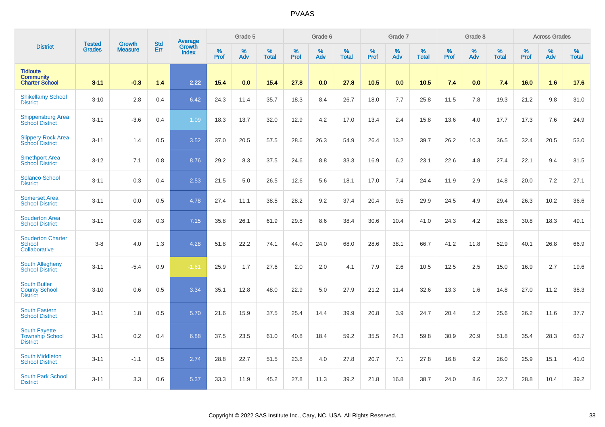|                                                                   |                                |                                 | <b>Std</b> | Average                |              | Grade 5  |                   |           | Grade 6  |                   |           | Grade 7  |                   |           | Grade 8  |                   |           | <b>Across Grades</b> |                   |
|-------------------------------------------------------------------|--------------------------------|---------------------------------|------------|------------------------|--------------|----------|-------------------|-----------|----------|-------------------|-----------|----------|-------------------|-----------|----------|-------------------|-----------|----------------------|-------------------|
| <b>District</b>                                                   | <b>Tested</b><br><b>Grades</b> | <b>Growth</b><br><b>Measure</b> | Err        | Growth<br><b>Index</b> | $\%$<br>Prof | %<br>Adv | %<br><b>Total</b> | %<br>Prof | %<br>Adv | %<br><b>Total</b> | %<br>Prof | %<br>Adv | %<br><b>Total</b> | %<br>Prof | %<br>Adv | %<br><b>Total</b> | %<br>Prof | %<br>Adv             | %<br><b>Total</b> |
| <b>Tidioute</b><br><b>Community</b><br><b>Charter School</b>      | $3 - 11$                       | $-0.3$                          | 1.4        | 2.22                   | 15.4         | 0.0      | 15.4              | 27.8      | 0.0      | 27.8              | 10.5      | 0.0      | 10.5              | $7.4$     | 0.0      | 7.4               | 16.0      | 1.6                  | 17.6              |
| <b>Shikellamy School</b><br><b>District</b>                       | $3 - 10$                       | 2.8                             | 0.4        | 6.42                   | 24.3         | 11.4     | 35.7              | 18.3      | 8.4      | 26.7              | 18.0      | 7.7      | 25.8              | 11.5      | 7.8      | 19.3              | 21.2      | 9.8                  | 31.0              |
| <b>Shippensburg Area</b><br><b>School District</b>                | $3 - 11$                       | $-3.6$                          | 0.4        | 1.09                   | 18.3         | 13.7     | 32.0              | 12.9      | 4.2      | 17.0              | 13.4      | 2.4      | 15.8              | 13.6      | 4.0      | 17.7              | 17.3      | 7.6                  | 24.9              |
| <b>Slippery Rock Area</b><br><b>School District</b>               | $3 - 11$                       | 1.4                             | 0.5        | 3.52                   | 37.0         | 20.5     | 57.5              | 28.6      | 26.3     | 54.9              | 26.4      | 13.2     | 39.7              | 26.2      | 10.3     | 36.5              | 32.4      | 20.5                 | 53.0              |
| <b>Smethport Area</b><br><b>School District</b>                   | $3 - 12$                       | 7.1                             | 0.8        | 8.76                   | 29.2         | 8.3      | 37.5              | 24.6      | 8.8      | 33.3              | 16.9      | 6.2      | 23.1              | 22.6      | 4.8      | 27.4              | 22.1      | 9.4                  | 31.5              |
| <b>Solanco School</b><br><b>District</b>                          | $3 - 11$                       | 0.3                             | 0.4        | 2.53                   | 21.5         | 5.0      | 26.5              | 12.6      | 5.6      | 18.1              | 17.0      | 7.4      | 24.4              | 11.9      | 2.9      | 14.8              | 20.0      | 7.2                  | 27.1              |
| <b>Somerset Area</b><br><b>School District</b>                    | $3 - 11$                       | 0.0                             | 0.5        | 4.78                   | 27.4         | 11.1     | 38.5              | 28.2      | 9.2      | 37.4              | 20.4      | 9.5      | 29.9              | 24.5      | 4.9      | 29.4              | 26.3      | 10.2                 | 36.6              |
| <b>Souderton Area</b><br><b>School District</b>                   | $3 - 11$                       | 0.8                             | 0.3        | 7.15                   | 35.8         | 26.1     | 61.9              | 29.8      | 8.6      | 38.4              | 30.6      | 10.4     | 41.0              | 24.3      | 4.2      | 28.5              | 30.8      | 18.3                 | 49.1              |
| <b>Souderton Charter</b><br><b>School</b><br>Collaborative        | $3-8$                          | 4.0                             | 1.3        | 4.28                   | 51.8         | 22.2     | 74.1              | 44.0      | 24.0     | 68.0              | 28.6      | 38.1     | 66.7              | 41.2      | 11.8     | 52.9              | 40.1      | 26.8                 | 66.9              |
| South Allegheny<br><b>School District</b>                         | $3 - 11$                       | $-5.4$                          | 0.9        | $-1.61$                | 25.9         | 1.7      | 27.6              | 2.0       | 2.0      | 4.1               | 7.9       | 2.6      | 10.5              | 12.5      | 2.5      | 15.0              | 16.9      | 2.7                  | 19.6              |
| <b>South Butler</b><br><b>County School</b><br><b>District</b>    | $3 - 10$                       | 0.6                             | 0.5        | 3.34                   | 35.1         | 12.8     | 48.0              | 22.9      | 5.0      | 27.9              | 21.2      | 11.4     | 32.6              | 13.3      | 1.6      | 14.8              | 27.0      | 11.2                 | 38.3              |
| <b>South Eastern</b><br><b>School District</b>                    | $3 - 11$                       | 1.8                             | 0.5        | 5.70                   | 21.6         | 15.9     | 37.5              | 25.4      | 14.4     | 39.9              | 20.8      | 3.9      | 24.7              | 20.4      | 5.2      | 25.6              | 26.2      | 11.6                 | 37.7              |
| <b>South Fayette</b><br><b>Township School</b><br><b>District</b> | $3 - 11$                       | 0.2                             | 0.4        | 6.88                   | 37.5         | 23.5     | 61.0              | 40.8      | 18.4     | 59.2              | 35.5      | 24.3     | 59.8              | 30.9      | 20.9     | 51.8              | 35.4      | 28.3                 | 63.7              |
| <b>South Middleton</b><br><b>School District</b>                  | $3 - 11$                       | $-1.1$                          | 0.5        | 2.74                   | 28.8         | 22.7     | 51.5              | 23.8      | 4.0      | 27.8              | 20.7      | 7.1      | 27.8              | 16.8      | 9.2      | 26.0              | 25.9      | 15.1                 | 41.0              |
| South Park School<br><b>District</b>                              | $3 - 11$                       | 3.3                             | 0.6        | 5.37                   | 33.3         | 11.9     | 45.2              | 27.8      | 11.3     | 39.2              | 21.8      | 16.8     | 38.7              | 24.0      | 8.6      | 32.7              | 28.8      | 10.4                 | 39.2              |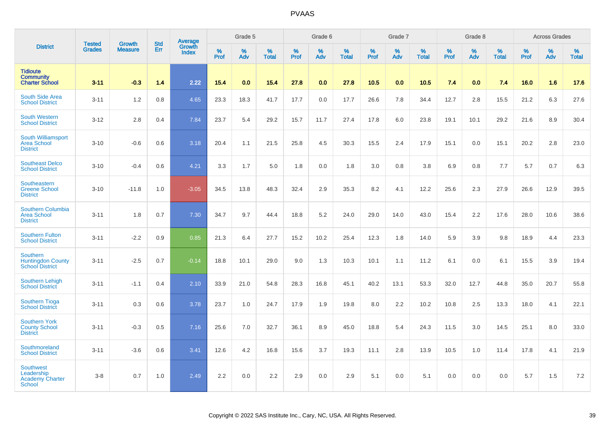|                                                                           | <b>Tested</b> | <b>Growth</b>  | <b>Std</b> | Average                |                     | Grade 5     |                   |           | Grade 6  |                   |              | Grade 7  |                   |              | Grade 8  |                   |              | <b>Across Grades</b> |                   |
|---------------------------------------------------------------------------|---------------|----------------|------------|------------------------|---------------------|-------------|-------------------|-----------|----------|-------------------|--------------|----------|-------------------|--------------|----------|-------------------|--------------|----------------------|-------------------|
| <b>District</b>                                                           | <b>Grades</b> | <b>Measure</b> | Err        | Growth<br><b>Index</b> | $\%$<br><b>Prof</b> | $\%$<br>Adv | %<br><b>Total</b> | %<br>Prof | %<br>Adv | %<br><b>Total</b> | $\%$<br>Prof | %<br>Adv | %<br><b>Total</b> | $\%$<br>Prof | %<br>Adv | %<br><b>Total</b> | $\%$<br>Prof | $\%$<br>Adv          | %<br><b>Total</b> |
| <b>Tidioute</b><br><b>Community</b><br><b>Charter School</b>              | $3 - 11$      | $-0.3$         | 1.4        | 2.22                   | 15.4                | 0.0         | 15.4              | 27.8      | 0.0      | 27.8              | $10.5$       | 0.0      | 10.5              | 7.4          | 0.0      | 7.4               | 16.0         | 1.6                  | 17.6              |
| South Side Area<br><b>School District</b>                                 | $3 - 11$      | 1.2            | 0.8        | 4.65                   | 23.3                | 18.3        | 41.7              | 17.7      | 0.0      | 17.7              | 26.6         | 7.8      | 34.4              | 12.7         | 2.8      | 15.5              | 21.2         | 6.3                  | 27.6              |
| <b>South Western</b><br><b>School District</b>                            | $3 - 12$      | 2.8            | 0.4        | 7.84                   | 23.7                | 5.4         | 29.2              | 15.7      | 11.7     | 27.4              | 17.8         | 6.0      | 23.8              | 19.1         | 10.1     | 29.2              | 21.6         | 8.9                  | 30.4              |
| <b>South Williamsport</b><br><b>Area School</b><br><b>District</b>        | $3 - 10$      | $-0.6$         | 0.6        | 3.18                   | 20.4                | 1.1         | 21.5              | 25.8      | 4.5      | 30.3              | 15.5         | 2.4      | 17.9              | 15.1         | 0.0      | 15.1              | 20.2         | 2.8                  | 23.0              |
| <b>Southeast Delco</b><br><b>School District</b>                          | $3 - 10$      | $-0.4$         | 0.6        | 4.21                   | 3.3                 | 1.7         | 5.0               | 1.8       | 0.0      | 1.8               | 3.0          | 0.8      | 3.8               | 6.9          | 0.8      | 7.7               | 5.7          | 0.7                  | 6.3               |
| Southeastern<br><b>Greene School</b><br><b>District</b>                   | $3 - 10$      | $-11.8$        | 1.0        | $-3.05$                | 34.5                | 13.8        | 48.3              | 32.4      | 2.9      | 35.3              | 8.2          | 4.1      | 12.2              | 25.6         | 2.3      | 27.9              | 26.6         | 12.9                 | 39.5              |
| Southern Columbia<br><b>Area School</b><br><b>District</b>                | $3 - 11$      | 1.8            | 0.7        | 7.30                   | 34.7                | 9.7         | 44.4              | 18.8      | 5.2      | 24.0              | 29.0         | 14.0     | 43.0              | 15.4         | 2.2      | 17.6              | 28.0         | 10.6                 | 38.6              |
| <b>Southern Fulton</b><br><b>School District</b>                          | $3 - 11$      | $-2.2$         | 0.9        | 0.85                   | 21.3                | 6.4         | 27.7              | 15.2      | 10.2     | 25.4              | 12.3         | 1.8      | 14.0              | 5.9          | 3.9      | 9.8               | 18.9         | 4.4                  | 23.3              |
| <b>Southern</b><br><b>Huntingdon County</b><br><b>School District</b>     | $3 - 11$      | $-2.5$         | 0.7        | $-0.14$                | 18.8                | 10.1        | 29.0              | 9.0       | 1.3      | 10.3              | 10.1         | 1.1      | 11.2              | 6.1          | 0.0      | 6.1               | 15.5         | 3.9                  | 19.4              |
| <b>Southern Lehigh</b><br><b>School District</b>                          | $3 - 11$      | $-1.1$         | 0.4        | 2.10                   | 33.9                | 21.0        | 54.8              | 28.3      | 16.8     | 45.1              | 40.2         | 13.1     | 53.3              | 32.0         | 12.7     | 44.8              | 35.0         | 20.7                 | 55.8              |
| <b>Southern Tioga</b><br><b>School District</b>                           | $3 - 11$      | 0.3            | 0.6        | 3.78                   | 23.7                | 1.0         | 24.7              | 17.9      | 1.9      | 19.8              | 8.0          | 2.2      | 10.2              | 10.8         | 2.5      | 13.3              | 18.0         | 4.1                  | 22.1              |
| <b>Southern York</b><br><b>County School</b><br><b>District</b>           | $3 - 11$      | $-0.3$         | 0.5        | 7.16                   | 25.6                | 7.0         | 32.7              | 36.1      | 8.9      | 45.0              | 18.8         | 5.4      | 24.3              | 11.5         | 3.0      | 14.5              | 25.1         | 8.0                  | 33.0              |
| Southmoreland<br><b>School District</b>                                   | $3 - 11$      | $-3.6$         | 0.6        | 3.41                   | 12.6                | 4.2         | 16.8              | 15.6      | 3.7      | 19.3              | 11.1         | 2.8      | 13.9              | 10.5         | 1.0      | 11.4              | 17.8         | 4.1                  | 21.9              |
| <b>Southwest</b><br>Leadership<br><b>Academy Charter</b><br><b>School</b> | $3 - 8$       | 0.7            | 1.0        | 2.49                   | 2.2                 | 0.0         | 2.2               | 2.9       | 0.0      | 2.9               | 5.1          | 0.0      | 5.1               | 0.0          | 0.0      | 0.0               | 5.7          | 1.5                  | 7.2               |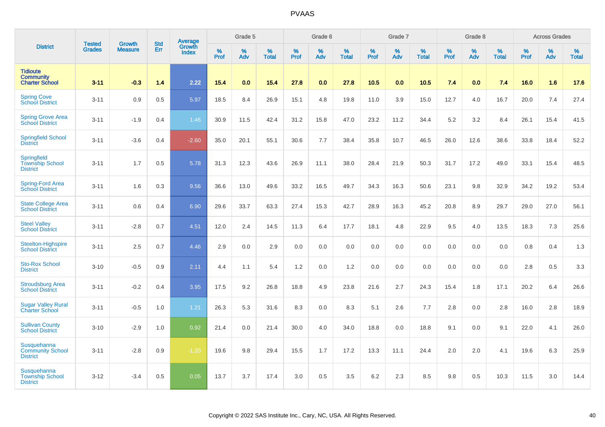|                                                              |                                |                                 | <b>Std</b> | Average                |                     | Grade 5  |                   |                  | Grade 6  |                   |                  | Grade 7  |                   |           | Grade 8  |                   |           | <b>Across Grades</b> |                   |
|--------------------------------------------------------------|--------------------------------|---------------------------------|------------|------------------------|---------------------|----------|-------------------|------------------|----------|-------------------|------------------|----------|-------------------|-----------|----------|-------------------|-----------|----------------------|-------------------|
| <b>District</b>                                              | <b>Tested</b><br><b>Grades</b> | <b>Growth</b><br><b>Measure</b> | Err        | Growth<br><b>Index</b> | $\%$<br><b>Prof</b> | %<br>Adv | %<br><b>Total</b> | %<br><b>Prof</b> | %<br>Adv | %<br><b>Total</b> | %<br><b>Prof</b> | %<br>Adv | %<br><b>Total</b> | %<br>Prof | %<br>Adv | %<br><b>Total</b> | %<br>Prof | %<br>Adv             | %<br><b>Total</b> |
| <b>Tidioute</b><br><b>Community</b><br><b>Charter School</b> | $3 - 11$                       | $-0.3$                          | 1.4        | 2.22                   | 15.4                | 0.0      | 15.4              | 27.8             | 0.0      | 27.8              | 10.5             | 0.0      | 10.5              | 7.4       | 0.0      | 7.4               | 16.0      | 1.6                  | 17.6              |
| <b>Spring Cove</b><br>School District                        | $3 - 11$                       | 0.9                             | 0.5        | 5.97                   | 18.5                | 8.4      | 26.9              | 15.1             | 4.8      | 19.8              | 11.0             | 3.9      | 15.0              | 12.7      | 4.0      | 16.7              | 20.0      | 7.4                  | 27.4              |
| <b>Spring Grove Area</b><br><b>School District</b>           | $3 - 11$                       | $-1.9$                          | 0.4        | 1.46                   | 30.9                | 11.5     | 42.4              | 31.2             | 15.8     | 47.0              | 23.2             | 11.2     | 34.4              | $5.2\,$   | 3.2      | 8.4               | 26.1      | 15.4                 | 41.5              |
| <b>Springfield School</b><br><b>District</b>                 | $3 - 11$                       | $-3.6$                          | 0.4        | $-2.60$                | 35.0                | 20.1     | 55.1              | 30.6             | 7.7      | 38.4              | 35.8             | 10.7     | 46.5              | 26.0      | 12.6     | 38.6              | 33.8      | 18.4                 | 52.2              |
| Springfield<br><b>Township School</b><br><b>District</b>     | $3 - 11$                       | 1.7                             | 0.5        | 5.78                   | 31.3                | 12.3     | 43.6              | 26.9             | 11.1     | 38.0              | 28.4             | 21.9     | 50.3              | 31.7      | 17.2     | 49.0              | 33.1      | 15.4                 | 48.5              |
| Spring-Ford Area<br><b>School District</b>                   | $3 - 11$                       | 1.6                             | 0.3        | 9.56                   | 36.6                | 13.0     | 49.6              | 33.2             | 16.5     | 49.7              | 34.3             | 16.3     | 50.6              | 23.1      | 9.8      | 32.9              | 34.2      | 19.2                 | 53.4              |
| <b>State College Area</b><br><b>School District</b>          | $3 - 11$                       | 0.6                             | 0.4        | 6.90                   | 29.6                | 33.7     | 63.3              | 27.4             | 15.3     | 42.7              | 28.9             | 16.3     | 45.2              | 20.8      | 8.9      | 29.7              | 29.0      | 27.0                 | 56.1              |
| <b>Steel Valley</b><br><b>School District</b>                | $3 - 11$                       | $-2.8$                          | 0.7        | 4.51                   | 12.0                | 2.4      | 14.5              | 11.3             | 6.4      | 17.7              | 18.1             | 4.8      | 22.9              | 9.5       | 4.0      | 13.5              | 18.3      | 7.3                  | 25.6              |
| Steelton-Highspire<br><b>School District</b>                 | $3 - 11$                       | 2.5                             | 0.7        | 4.46                   | 2.9                 | 0.0      | 2.9               | 0.0              | 0.0      | 0.0               | 0.0              | 0.0      | 0.0               | 0.0       | 0.0      | 0.0               | 0.8       | 0.4                  | 1.3               |
| <b>Sto-Rox School</b><br><b>District</b>                     | $3 - 10$                       | $-0.5$                          | 0.9        | 2.11                   | 4.4                 | 1.1      | 5.4               | 1.2              | 0.0      | 1.2               | 0.0              | 0.0      | 0.0               | 0.0       | 0.0      | 0.0               | 2.8       | 0.5                  | 3.3               |
| <b>Stroudsburg Area</b><br><b>School District</b>            | $3 - 11$                       | $-0.2$                          | 0.4        | 3.95                   | 17.5                | 9.2      | 26.8              | 18.8             | 4.9      | 23.8              | 21.6             | 2.7      | 24.3              | 15.4      | 1.8      | 17.1              | 20.2      | 6.4                  | 26.6              |
| <b>Sugar Valley Rural</b><br><b>Charter School</b>           | $3 - 11$                       | $-0.5$                          | 1.0        | 1.21                   | 26.3                | 5.3      | 31.6              | 8.3              | 0.0      | 8.3               | 5.1              | 2.6      | 7.7               | 2.8       | 0.0      | 2.8               | 16.0      | 2.8                  | 18.9              |
| <b>Sullivan County</b><br><b>School District</b>             | $3 - 10$                       | $-2.9$                          | 1.0        | 0.92                   | 21.4                | 0.0      | 21.4              | 30.0             | 4.0      | 34.0              | 18.8             | 0.0      | 18.8              | 9.1       | 0.0      | 9.1               | 22.0      | 4.1                  | 26.0              |
| Susquehanna<br><b>Community School</b><br><b>District</b>    | $3 - 11$                       | $-2.8$                          | 0.9        | $-1.20$                | 19.6                | 9.8      | 29.4              | 15.5             | 1.7      | 17.2              | 13.3             | 11.1     | 24.4              | 2.0       | 2.0      | 4.1               | 19.6      | 6.3                  | 25.9              |
| Susquehanna<br><b>Township School</b><br><b>District</b>     | $3 - 12$                       | $-3.4$                          | 0.5        | 0.05                   | 13.7                | 3.7      | 17.4              | 3.0              | 0.5      | 3.5               | 6.2              | 2.3      | 8.5               | 9.8       | 0.5      | 10.3              | 11.5      | 3.0                  | 14.4              |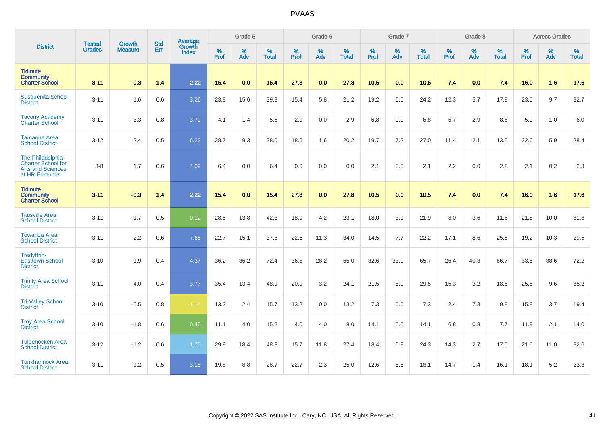|                                                                                            |                                | <b>Growth</b>  | <b>Std</b> | Average                |                     | Grade 5  |                   |                     | Grade 6  |                   |                     | Grade 7     |                   |                     | Grade 8  |                   |                     | <b>Across Grades</b> |                   |
|--------------------------------------------------------------------------------------------|--------------------------------|----------------|------------|------------------------|---------------------|----------|-------------------|---------------------|----------|-------------------|---------------------|-------------|-------------------|---------------------|----------|-------------------|---------------------|----------------------|-------------------|
| <b>District</b>                                                                            | <b>Tested</b><br><b>Grades</b> | <b>Measure</b> | Err        | Growth<br><b>Index</b> | $\%$<br><b>Prof</b> | %<br>Adv | %<br><b>Total</b> | $\%$<br><b>Prof</b> | %<br>Adv | %<br><b>Total</b> | $\%$<br><b>Prof</b> | $\%$<br>Adv | %<br><b>Total</b> | $\%$<br><b>Prof</b> | %<br>Adv | %<br><b>Total</b> | $\%$<br><b>Prof</b> | %<br>Adv             | %<br><b>Total</b> |
| <b>Tidioute</b><br><b>Community</b><br><b>Charter School</b>                               | $3 - 11$                       | $-0.3$         | 1.4        | 2.22                   | 15.4                | 0.0      | $15.4$            | 27.8                | 0.0      | 27.8              | 10.5                | 0.0         | 10.5              | 7.4                 | 0.0      | 7.4               | 16.0                | 1.6                  | 17.6              |
| <b>Susquenita School</b><br><b>District</b>                                                | $3 - 11$                       | 1.6            | 0.6        | 3.26                   | 23.8                | 15.6     | 39.3              | 15.4                | 5.8      | 21.2              | 19.2                | 5.0         | 24.2              | 12.3                | 5.7      | 17.9              | 23.0                | 9.7                  | 32.7              |
| <b>Tacony Academy</b><br><b>Charter School</b>                                             | $3 - 11$                       | $-3.3$         | 0.8        | 3.79                   | 4.1                 | 1.4      | 5.5               | 2.9                 | 0.0      | 2.9               | 6.8                 | 0.0         | 6.8               | 5.7                 | 2.9      | 8.6               | 5.0                 | 1.0                  | 6.0               |
| <b>Tamaqua Area</b><br><b>School District</b>                                              | $3 - 12$                       | 2.4            | 0.5        | 6.23                   | 28.7                | 9.3      | 38.0              | 18.6                | 1.6      | 20.2              | 19.7                | 7.2         | 27.0              | 11.4                | 2.1      | 13.5              | 22.6                | 5.9                  | 28.4              |
| The Philadelphia<br><b>Charter School for</b><br><b>Arts and Sciences</b><br>at HR Edmunds | $3 - 8$                        | 1.7            | 0.6        | 4.09                   | 6.4                 | 0.0      | 6.4               | 0.0                 | 0.0      | 0.0               | 2.1                 | 0.0         | 2.1               | 2.2                 | 0.0      | 2.2               | 2.1                 | 0.2                  | 2.3               |
| <b>Tidioute</b><br><b>Community</b><br><b>Charter School</b>                               | $3 - 11$                       | $-0.3$         | 1.4        | 2.22                   | 15.4                | 0.0      | 15.4              | 27.8                | 0.0      | 27.8              | 10.5                | 0.0         | 10.5              | 7.4                 | 0.0      | 7.4               | 16.0                | 1.6                  | 17.6              |
| <b>Titusville Area</b><br><b>School District</b>                                           | $3 - 11$                       | $-1.7$         | 0.5        | 0.12                   | 28.5                | 13.8     | 42.3              | 18.9                | 4.2      | 23.1              | 18.0                | 3.9         | 21.9              | 8.0                 | 3.6      | 11.6              | 21.8                | 10.0                 | 31.8              |
| <b>Towanda Area</b><br><b>School District</b>                                              | $3 - 11$                       | 2.2            | 0.6        | 7.65                   | 22.7                | 15.1     | 37.8              | 22.6                | 11.3     | 34.0              | 14.5                | 7.7         | 22.2              | 17.1                | 8.6      | 25.6              | 19.2                | 10.3                 | 29.5              |
| Tredyffrin-<br><b>Easttown School</b><br><b>District</b>                                   | $3 - 10$                       | 1.9            | 0.4        | 4.37                   | 36.2                | 36.2     | 72.4              | 36.8                | 28.2     | 65.0              | 32.6                | 33.0        | 65.7              | 26.4                | 40.3     | 66.7              | 33.6                | 38.6                 | 72.2              |
| <b>Trinity Area School</b><br><b>District</b>                                              | $3 - 11$                       | $-4.0$         | 0.4        | 3.77                   | 35.4                | 13.4     | 48.9              | 20.9                | 3.2      | 24.1              | 21.5                | 8.0         | 29.5              | 15.3                | 3.2      | 18.6              | 25.6                | 9.6                  | 35.2              |
| <b>Tri-Valley School</b><br><b>District</b>                                                | $3 - 10$                       | $-6.5$         | 0.8        | $-1.14$                | 13.2                | 2.4      | 15.7              | 13.2                | 0.0      | 13.2              | 7.3                 | 0.0         | 7.3               | 2.4                 | 7.3      | 9.8               | 15.8                | 3.7                  | 19.4              |
| <b>Troy Area School</b><br><b>District</b>                                                 | $3 - 10$                       | $-1.8$         | 0.6        | 0.45                   | 11.1                | 4.0      | 15.2              | 4.0                 | 4.0      | 8.0               | 14.1                | 0.0         | 14.1              | 6.8                 | 0.8      | 7.7               | 11.9                | 2.1                  | 14.0              |
| <b>Tulpehocken Area</b><br><b>School District</b>                                          | $3 - 12$                       | $-1.2$         | 0.6        | 1.70                   | 29.9                | 18.4     | 48.3              | 15.7                | 11.8     | 27.4              | 18.4                | 5.8         | 24.3              | 14.3                | 2.7      | 17.0              | 21.6                | 11.0                 | 32.6              |
| <b>Tunkhannock Area</b><br><b>School District</b>                                          | $3 - 11$                       | 1.2            | 0.5        | 3.18                   | 19.8                | 8.8      | 28.7              | 22.7                | 2.3      | 25.0              | 12.6                | 5.5         | 18.1              | 14.7                | 1.4      | 16.1              | 18.1                | 5.2                  | 23.3              |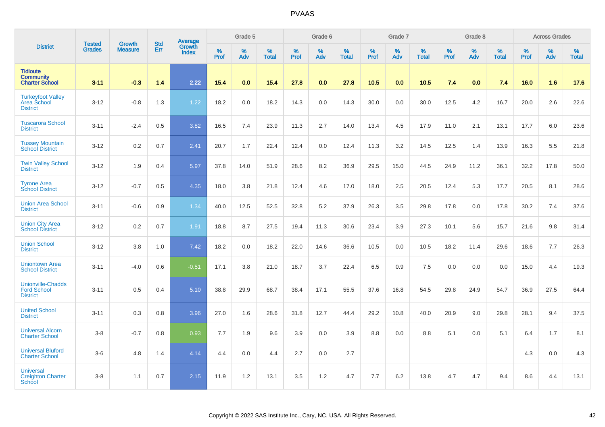|                                                                   |                                |                                 |                   | Average                |           | Grade 5  |                   |           | Grade 6  |                   |           | Grade 7  |                   |           | Grade 8  |                   |           | <b>Across Grades</b> |                   |
|-------------------------------------------------------------------|--------------------------------|---------------------------------|-------------------|------------------------|-----------|----------|-------------------|-----------|----------|-------------------|-----------|----------|-------------------|-----------|----------|-------------------|-----------|----------------------|-------------------|
| <b>District</b>                                                   | <b>Tested</b><br><b>Grades</b> | <b>Growth</b><br><b>Measure</b> | <b>Std</b><br>Err | Growth<br><b>Index</b> | %<br>Prof | %<br>Adv | %<br><b>Total</b> | %<br>Prof | %<br>Adv | %<br><b>Total</b> | %<br>Prof | %<br>Adv | %<br><b>Total</b> | %<br>Prof | %<br>Adv | %<br><b>Total</b> | %<br>Prof | %<br>Adv             | %<br><b>Total</b> |
| <b>Tidioute</b><br><b>Community</b><br><b>Charter School</b>      | $3 - 11$                       | $-0.3$                          | 1.4               | 2.22                   | 15.4      | 0.0      | 15.4              | 27.8      | 0.0      | 27.8              | 10.5      | 0.0      | 10.5              | 7.4       | 0.0      | 7.4               | 16.0      | 1.6                  | 17.6              |
| <b>Turkeyfoot Valley</b><br>Area School<br><b>District</b>        | $3-12$                         | $-0.8$                          | 1.3               | 1.22                   | 18.2      | 0.0      | 18.2              | 14.3      | 0.0      | 14.3              | 30.0      | 0.0      | 30.0              | 12.5      | 4.2      | 16.7              | 20.0      | 2.6                  | 22.6              |
| <b>Tuscarora School</b><br><b>District</b>                        | $3 - 11$                       | $-2.4$                          | 0.5               | 3.82                   | 16.5      | 7.4      | 23.9              | 11.3      | 2.7      | 14.0              | 13.4      | 4.5      | 17.9              | 11.0      | 2.1      | 13.1              | 17.7      | 6.0                  | 23.6              |
| <b>Tussey Mountain</b><br><b>School District</b>                  | $3 - 12$                       | 0.2                             | 0.7               | 2.41                   | 20.7      | 1.7      | 22.4              | 12.4      | 0.0      | 12.4              | 11.3      | 3.2      | 14.5              | 12.5      | 1.4      | 13.9              | 16.3      | 5.5                  | 21.8              |
| <b>Twin Valley School</b><br><b>District</b>                      | $3 - 12$                       | 1.9                             | 0.4               | 5.97                   | 37.8      | 14.0     | 51.9              | 28.6      | 8.2      | 36.9              | 29.5      | 15.0     | 44.5              | 24.9      | 11.2     | 36.1              | 32.2      | 17.8                 | 50.0              |
| <b>Tyrone Area</b><br><b>School District</b>                      | $3 - 12$                       | $-0.7$                          | 0.5               | 4.35                   | 18.0      | 3.8      | 21.8              | 12.4      | 4.6      | 17.0              | 18.0      | 2.5      | 20.5              | 12.4      | 5.3      | 17.7              | 20.5      | 8.1                  | 28.6              |
| <b>Union Area School</b><br><b>District</b>                       | $3 - 11$                       | $-0.6$                          | 0.9               | 1.34                   | 40.0      | 12.5     | 52.5              | 32.8      | 5.2      | 37.9              | 26.3      | 3.5      | 29.8              | 17.8      | 0.0      | 17.8              | 30.2      | 7.4                  | 37.6              |
| <b>Union City Area</b><br><b>School District</b>                  | $3 - 12$                       | 0.2                             | 0.7               | 1.91                   | 18.8      | 8.7      | 27.5              | 19.4      | 11.3     | 30.6              | 23.4      | 3.9      | 27.3              | 10.1      | 5.6      | 15.7              | 21.6      | 9.8                  | 31.4              |
| <b>Union School</b><br><b>District</b>                            | $3 - 12$                       | 3.8                             | 1.0               | 7.42                   | 18.2      | 0.0      | 18.2              | 22.0      | 14.6     | 36.6              | 10.5      | 0.0      | 10.5              | 18.2      | 11.4     | 29.6              | 18.6      | 7.7                  | 26.3              |
| <b>Uniontown Area</b><br><b>School District</b>                   | $3 - 11$                       | $-4.0$                          | 0.6               | $-0.51$                | 17.1      | 3.8      | 21.0              | 18.7      | 3.7      | 22.4              | 6.5       | 0.9      | 7.5               | 0.0       | 0.0      | 0.0               | 15.0      | 4.4                  | 19.3              |
| <b>Unionville-Chadds</b><br><b>Ford School</b><br><b>District</b> | $3 - 11$                       | 0.5                             | 0.4               | 5.10                   | 38.8      | 29.9     | 68.7              | 38.4      | 17.1     | 55.5              | 37.6      | 16.8     | 54.5              | 29.8      | 24.9     | 54.7              | 36.9      | 27.5                 | 64.4              |
| <b>United School</b><br><b>District</b>                           | $3 - 11$                       | 0.3                             | 0.8               | 3.96                   | 27.0      | 1.6      | 28.6              | 31.8      | 12.7     | 44.4              | 29.2      | 10.8     | 40.0              | 20.9      | 9.0      | 29.8              | 28.1      | 9.4                  | 37.5              |
| <b>Universal Alcorn</b><br><b>Charter School</b>                  | $3-8$                          | $-0.7$                          | 0.8               | 0.93                   | 7.7       | 1.9      | 9.6               | 3.9       | 0.0      | 3.9               | 8.8       | 0.0      | 8.8               | 5.1       | 0.0      | 5.1               | 6.4       | 1.7                  | 8.1               |
| <b>Universal Bluford</b><br><b>Charter School</b>                 | $3-6$                          | 4.8                             | 1.4               | 4.14                   | 4.4       | 0.0      | 4.4               | 2.7       | 0.0      | 2.7               |           |          |                   |           |          |                   | 4.3       | 0.0                  | 4.3               |
| <b>Universal</b><br><b>Creighton Charter</b><br><b>School</b>     | $3-8$                          | 1.1                             | 0.7               | 2.15                   | 11.9      | 1.2      | 13.1              | 3.5       | 1.2      | 4.7               | 7.7       | 6.2      | 13.8              | 4.7       | 4.7      | 9.4               | 8.6       | 4.4                  | 13.1              |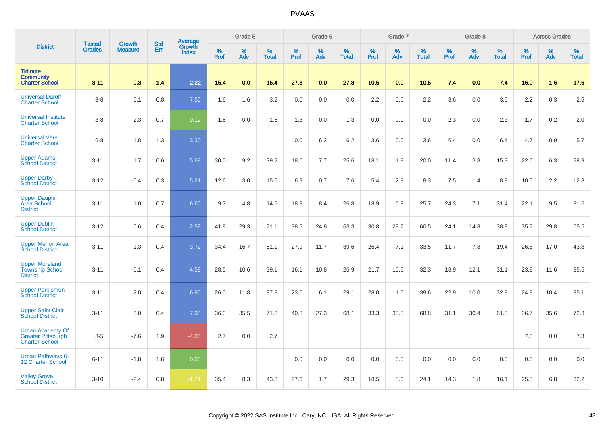|                                                                               |                                | <b>Growth</b>  | <b>Std</b> | Average                |              | Grade 5  |                   |           | Grade 6  |                   |           | Grade 7  |                   |           | Grade 8  |                   |           | <b>Across Grades</b> |                   |
|-------------------------------------------------------------------------------|--------------------------------|----------------|------------|------------------------|--------------|----------|-------------------|-----------|----------|-------------------|-----------|----------|-------------------|-----------|----------|-------------------|-----------|----------------------|-------------------|
| <b>District</b>                                                               | <b>Tested</b><br><b>Grades</b> | <b>Measure</b> | Err        | Growth<br><b>Index</b> | $\%$<br>Prof | %<br>Adv | %<br><b>Total</b> | %<br>Prof | %<br>Adv | %<br><b>Total</b> | %<br>Prof | %<br>Adv | %<br><b>Total</b> | %<br>Prof | %<br>Adv | %<br><b>Total</b> | %<br>Prof | %<br>Adv             | %<br><b>Total</b> |
| <b>Tidioute</b><br><b>Community</b><br><b>Charter School</b>                  | $3 - 11$                       | $-0.3$         | 1.4        | 2.22                   | 15.4         | 0.0      | 15.4              | 27.8      | 0.0      | 27.8              | 10.5      | 0.0      | 10.5              | 7.4       | 0.0      | 7.4               | 16.0      | 1.6                  | 17.6              |
| <b>Universal Daroff</b><br><b>Charter School</b>                              | $3-8$                          | 6.1            | 0.8        | 7.55                   | 1.6          | 1.6      | 3.2               | 0.0       | 0.0      | 0.0               | 2.2       | 0.0      | 2.2               | 3.6       | 0.0      | 3.6               | 2.2       | 0.3                  | 2.5               |
| <b>Universal Institute</b><br><b>Charter School</b>                           | $3-8$                          | $-2.3$         | 0.7        | 0.12                   | 1.5          | 0.0      | 1.5               | 1.3       | 0.0      | 1.3               | 0.0       | 0.0      | 0.0               | 2.3       | 0.0      | 2.3               | 1.7       | 0.2                  | 2.0               |
| <b>Universal Vare</b><br><b>Charter School</b>                                | $6-8$                          | 1.8            | 1.3        | 3.30                   |              |          |                   | 0.0       | 6.2      | 6.2               | 3.6       | 0.0      | 3.6               | 6.4       | 0.0      | 6.4               | 4.7       | 0.9                  | 5.7               |
| <b>Upper Adams</b><br><b>School District</b>                                  | $3 - 11$                       | 1.7            | 0.6        | 5.68                   | 30.0         | 9.2      | 39.2              | 18.0      | 7.7      | 25.6              | 18.1      | 1.9      | 20.0              | 11.4      | 3.8      | 15.3              | 22.6      | 6.3                  | 28.9              |
| <b>Upper Darby</b><br><b>School District</b>                                  | $3 - 12$                       | $-0.4$         | 0.3        | 5.21                   | 12.6         | 3.0      | 15.6              | 6.9       | 0.7      | 7.6               | 5.4       | 2.9      | 8.3               | 7.5       | 1.4      | 8.8               | 10.5      | 2.2                  | 12.8              |
| <b>Upper Dauphin</b><br><b>Area School</b><br><b>District</b>                 | $3 - 11$                       | 1.0            | 0.7        | 6.60                   | 9.7          | 4.8      | 14.5              | 18.3      | 8.4      | 26.8              | 18.9      | 6.8      | 25.7              | 24.3      | 7.1      | 31.4              | 22.1      | 9.5                  | 31.6              |
| <b>Upper Dublin</b><br><b>School District</b>                                 | $3 - 12$                       | 0.6            | 0.4        | 2.59                   | 41.8         | 29.3     | 71.1              | 38.5      | 24.8     | 63.3              | 30.8      | 29.7     | 60.5              | 24.1      | 14.8     | 38.9              | 35.7      | 29.8                 | 65.5              |
| <b>Upper Merion Area</b><br><b>School District</b>                            | $3 - 11$                       | $-1.3$         | 0.4        | 3.72                   | 34.4         | 16.7     | 51.1              | 27.9      | 11.7     | 39.6              | 26.4      | 7.1      | 33.5              | 11.7      | 7.8      | 19.4              | 26.8      | 17.0                 | 43.8              |
| <b>Upper Moreland</b><br><b>Township School</b><br><b>District</b>            | $3 - 11$                       | $-0.1$         | 0.4        | 4.58                   | 28.5         | 10.6     | 39.1              | 16.1      | 10.8     | 26.9              | 21.7      | 10.6     | 32.3              | 18.9      | 12.1     | 31.1              | 23.9      | 11.6                 | 35.5              |
| <b>Upper Perkiomen</b><br><b>School District</b>                              | $3 - 11$                       | 2.0            | 0.4        | 6.80                   | 26.0         | 11.8     | 37.8              | 23.0      | 6.1      | 29.1              | 28.0      | 11.6     | 39.6              | 22.9      | 10.0     | 32.8              | 24.8      | 10.4                 | 35.1              |
| <b>Upper Saint Clair</b><br><b>School District</b>                            | $3 - 11$                       | 3.0            | 0.4        | 7.98                   | 36.3         | 35.5     | 71.8              | 40.8      | 27.3     | 68.1              | 33.3      | 35.5     | 68.8              | 31.1      | 30.4     | 61.5              | 36.7      | 35.6                 | 72.3              |
| <b>Urban Academy Of</b><br><b>Greater Pittsburgh</b><br><b>Charter School</b> | $3-5$                          | $-7.6$         | 1.9        | $-4.05$                | 2.7          | 0.0      | 2.7               |           |          |                   |           |          |                   |           |          |                   | 7.3       | 0.0                  | 7.3               |
| <b>Urban Pathways 6-</b><br>12 Charter School                                 | $6 - 11$                       | $-1.8$         | 1.6        | 0.00                   |              |          |                   | 0.0       | 0.0      | 0.0               | 0.0       | 0.0      | 0.0               | 0.0       | 0.0      | 0.0               | 0.0       | 0.0                  | 0.0               |
| <b>Valley Grove</b><br><b>School District</b>                                 | $3 - 10$                       | $-2.4$         | 0.8        | $-1.21$                | 35.4         | 8.3      | 43.8              | 27.6      | 1.7      | 29.3              | 18.5      | 5.6      | 24.1              | 14.3      | 1.8      | 16.1              | 25.5      | 6.8                  | 32.2              |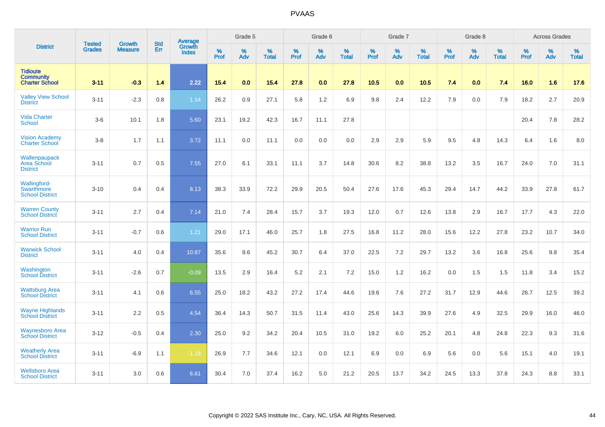|                                                              | <b>Tested</b> | <b>Growth</b>  | <b>Std</b> | Average                       |           | Grade 5  |                   |           | Grade 6  |                   |           | Grade 7  |                   |           | Grade 8  |                   |           | <b>Across Grades</b> |                   |
|--------------------------------------------------------------|---------------|----------------|------------|-------------------------------|-----------|----------|-------------------|-----------|----------|-------------------|-----------|----------|-------------------|-----------|----------|-------------------|-----------|----------------------|-------------------|
| <b>District</b>                                              | <b>Grades</b> | <b>Measure</b> | Err        | <b>Growth</b><br><b>Index</b> | %<br>Prof | %<br>Adv | %<br><b>Total</b> | %<br>Prof | %<br>Adv | %<br><b>Total</b> | %<br>Prof | %<br>Adv | %<br><b>Total</b> | %<br>Prof | %<br>Adv | %<br><b>Total</b> | %<br>Prof | %<br>Adv             | %<br><b>Total</b> |
| <b>Tidioute</b><br><b>Community</b><br><b>Charter School</b> | $3 - 11$      | $-0.3$         | 1.4        | 2.22                          | 15.4      | 0.0      | 15.4              | 27.8      | 0.0      | 27.8              | 10.5      | 0.0      | 10.5              | 7.4       | 0.0      | 7.4               | 16.0      | 1.6                  | 17.6              |
| <b>Valley View School</b><br><b>District</b>                 | $3 - 11$      | $-2.3$         | 0.8        | 1.14                          | 26.2      | 0.9      | 27.1              | 5.8       | 1.2      | 6.9               | 9.8       | 2.4      | 12.2              | 7.9       | 0.0      | 7.9               | 18.2      | 2.7                  | 20.9              |
| <b>Vida Charter</b><br><b>School</b>                         | $3-6$         | 10.1           | 1.8        | 5.60                          | 23.1      | 19.2     | 42.3              | 16.7      | 11.1     | 27.8              |           |          |                   |           |          |                   | 20.4      | 7.8                  | 28.2              |
| <b>Vision Academy</b><br><b>Charter School</b>               | $3-8$         | 1.7            | 1.1        | 3.72                          | 11.1      | 0.0      | 11.1              | 0.0       | 0.0      | 0.0               | 2.9       | 2.9      | 5.9               | 9.5       | 4.8      | 14.3              | 6.4       | 1.6                  | 8.0               |
| Wallenpaupack<br>Area School<br><b>District</b>              | $3 - 11$      | 0.7            | 0.5        | 7.55                          | 27.0      | 6.1      | 33.1              | 11.1      | 3.7      | 14.8              | 30.6      | 8.2      | 38.8              | 13.2      | 3.5      | 16.7              | 24.0      | 7.0                  | 31.1              |
| <b>Wallingford-</b><br>Swarthmore<br><b>School District</b>  | $3 - 10$      | 0.4            | 0.4        | 8.13                          | 38.3      | 33.9     | 72.2              | 29.9      | 20.5     | 50.4              | 27.6      | 17.6     | 45.3              | 29.4      | 14.7     | 44.2              | 33.9      | 27.8                 | 61.7              |
| <b>Warren County</b><br><b>School District</b>               | $3 - 11$      | 2.7            | 0.4        | 7.14                          | 21.0      | 7.4      | 28.4              | 15.7      | 3.7      | 19.3              | 12.0      | 0.7      | 12.6              | 13.8      | 2.9      | 16.7              | 17.7      | 4.3                  | 22.0              |
| <b>Warrior Run</b><br><b>School District</b>                 | $3 - 11$      | $-0.7$         | 0.6        | 1.21                          | 29.0      | 17.1     | 46.0              | 25.7      | 1.8      | 27.5              | 16.8      | 11.2     | 28.0              | 15.6      | 12.2     | 27.8              | 23.2      | 10.7                 | 34.0              |
| <b>Warwick School</b><br><b>District</b>                     | $3 - 11$      | 4.0            | 0.4        | 10.87                         | 35.6      | 9.6      | 45.2              | 30.7      | 6.4      | 37.0              | 22.5      | 7.2      | 29.7              | 13.2      | 3.6      | 16.8              | 25.6      | 9.8                  | 35.4              |
| Washington<br><b>School District</b>                         | $3 - 11$      | $-2.6$         | 0.7        | $-0.09$                       | 13.5      | 2.9      | 16.4              | 5.2       | 2.1      | 7.2               | 15.0      | 1.2      | 16.2              | 0.0       | 1.5      | 1.5               | 11.8      | 3.4                  | 15.2              |
| <b>Wattsburg Area</b><br><b>School District</b>              | $3 - 11$      | 4.1            | 0.6        | 6.55                          | 25.0      | 18.2     | 43.2              | 27.2      | 17.4     | 44.6              | 19.6      | 7.6      | 27.2              | 31.7      | 12.9     | 44.6              | 26.7      | 12.5                 | 39.2              |
| <b>Wayne Highlands</b><br><b>School District</b>             | $3 - 11$      | 2.2            | 0.5        | 4.54                          | 36.4      | 14.3     | 50.7              | 31.5      | 11.4     | 43.0              | 25.6      | 14.3     | 39.9              | 27.6      | 4.9      | 32.5              | 29.9      | 16.0                 | 46.0              |
| <b>Waynesboro Area</b><br><b>School District</b>             | $3 - 12$      | $-0.5$         | 0.4        | 2.30                          | 25.0      | 9.2      | 34.2              | 20.4      | 10.5     | 31.0              | 19.2      | 6.0      | 25.2              | 20.1      | 4.8      | 24.8              | 22.3      | 9.3                  | 31.6              |
| <b>Weatherly Area</b><br><b>School District</b>              | $3 - 11$      | $-6.9$         | 1.1        | $-1.18$                       | 26.9      | 7.7      | 34.6              | 12.1      | 0.0      | 12.1              | 6.9       | 0.0      | 6.9               | 5.6       | 0.0      | 5.6               | 15.1      | 4.0                  | 19.1              |
| <b>Wellsboro Area</b><br><b>School District</b>              | $3 - 11$      | 3.0            | 0.6        | 6.61                          | 30.4      | 7.0      | 37.4              | 16.2      | 5.0      | 21.2              | 20.5      | 13.7     | 34.2              | 24.5      | 13.3     | 37.8              | 24.3      | 8.8                  | 33.1              |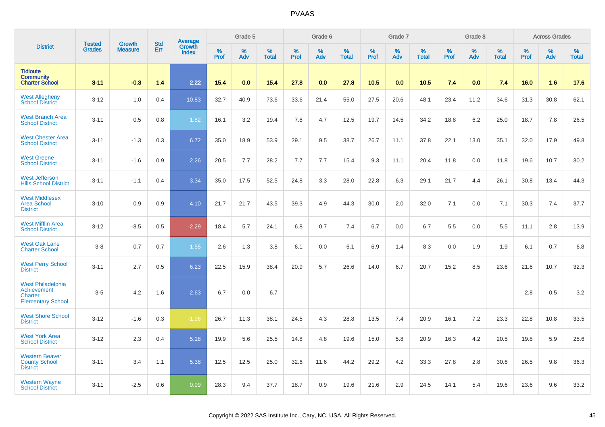|                                                                         |                                | <b>Growth</b>  | <b>Std</b> | <b>Average</b><br>Growth |              | Grade 5  |                   |           | Grade 6  |                   |           | Grade 7  |                   |           | Grade 8  |                   |           | <b>Across Grades</b> |                   |
|-------------------------------------------------------------------------|--------------------------------|----------------|------------|--------------------------|--------------|----------|-------------------|-----------|----------|-------------------|-----------|----------|-------------------|-----------|----------|-------------------|-----------|----------------------|-------------------|
| <b>District</b>                                                         | <b>Tested</b><br><b>Grades</b> | <b>Measure</b> | Err        | <b>Index</b>             | $\%$<br>Prof | %<br>Adv | %<br><b>Total</b> | %<br>Prof | %<br>Adv | %<br><b>Total</b> | %<br>Prof | %<br>Adv | %<br><b>Total</b> | %<br>Prof | %<br>Adv | %<br><b>Total</b> | %<br>Prof | %<br>Adv             | %<br><b>Total</b> |
| <b>Tidioute</b><br><b>Community</b><br><b>Charter School</b>            | $3 - 11$                       | $-0.3$         | 1.4        | 2.22                     | 15.4         | 0.0      | 15.4              | 27.8      | 0.0      | 27.8              | 10.5      | 0.0      | 10.5              | 7.4       | 0.0      | 7.4               | 16.0      | 1.6                  | 17.6              |
| <b>West Allegheny</b><br><b>School District</b>                         | $3 - 12$                       | 1.0            | 0.4        | 10.83                    | 32.7         | 40.9     | 73.6              | 33.6      | 21.4     | 55.0              | 27.5      | 20.6     | 48.1              | 23.4      | 11.2     | 34.6              | 31.3      | 30.8                 | 62.1              |
| <b>West Branch Area</b><br><b>School District</b>                       | $3 - 11$                       | 0.5            | 0.8        | 1.82                     | 16.1         | 3.2      | 19.4              | 7.8       | 4.7      | 12.5              | 19.7      | 14.5     | 34.2              | 18.8      | 6.2      | 25.0              | 18.7      | 7.8                  | 26.5              |
| <b>West Chester Area</b><br><b>School District</b>                      | $3 - 11$                       | $-1.3$         | 0.3        | 6.72                     | 35.0         | 18.9     | 53.9              | 29.1      | 9.5      | 38.7              | 26.7      | 11.1     | 37.8              | 22.1      | 13.0     | 35.1              | 32.0      | 17.9                 | 49.8              |
| <b>West Greene</b><br><b>School District</b>                            | $3 - 11$                       | $-1.6$         | 0.9        | 2.26                     | 20.5         | 7.7      | 28.2              | 7.7       | 7.7      | 15.4              | 9.3       | 11.1     | 20.4              | 11.8      | 0.0      | 11.8              | 19.6      | 10.7                 | 30.2              |
| <b>West Jefferson</b><br><b>Hills School District</b>                   | $3 - 11$                       | $-1.1$         | 0.4        | 3.34                     | 35.0         | 17.5     | 52.5              | 24.8      | 3.3      | 28.0              | 22.8      | 6.3      | 29.1              | 21.7      | 4.4      | 26.1              | 30.8      | 13.4                 | 44.3              |
| <b>West Middlesex</b><br><b>Area School</b><br><b>District</b>          | $3 - 10$                       | 0.9            | 0.9        | 4.10                     | 21.7         | 21.7     | 43.5              | 39.3      | 4.9      | 44.3              | 30.0      | 2.0      | 32.0              | 7.1       | 0.0      | 7.1               | 30.3      | 7.4                  | 37.7              |
| <b>West Mifflin Area</b><br><b>School District</b>                      | $3 - 12$                       | $-8.5$         | 0.5        | $-2.29$                  | 18.4         | 5.7      | 24.1              | 6.8       | 0.7      | 7.4               | 6.7       | 0.0      | 6.7               | 5.5       | 0.0      | 5.5               | 11.1      | 2.8                  | 13.9              |
| <b>West Oak Lane</b><br><b>Charter School</b>                           | $3-8$                          | 0.7            | 0.7        | 1.55                     | 2.6          | 1.3      | 3.8               | 6.1       | 0.0      | 6.1               | 6.9       | 1.4      | 8.3               | 0.0       | 1.9      | 1.9               | 6.1       | 0.7                  | 6.8               |
| <b>West Perry School</b><br><b>District</b>                             | $3 - 11$                       | 2.7            | 0.5        | 6.23                     | 22.5         | 15.9     | 38.4              | 20.9      | 5.7      | 26.6              | 14.0      | 6.7      | 20.7              | 15.2      | 8.5      | 23.6              | 21.6      | 10.7                 | 32.3              |
| West Philadelphia<br>Achievement<br>Charter<br><b>Elementary School</b> | $3-5$                          | 4.2            | 1.6        | 2.63                     | 6.7          | 0.0      | 6.7               |           |          |                   |           |          |                   |           |          |                   | 2.8       | 0.5                  | 3.2               |
| <b>West Shore School</b><br><b>District</b>                             | $3 - 12$                       | $-1.6$         | 0.3        | $-1.96$                  | 26.7         | 11.3     | 38.1              | 24.5      | 4.3      | 28.8              | 13.5      | 7.4      | 20.9              | 16.1      | 7.2      | 23.3              | 22.8      | 10.8                 | 33.5              |
| <b>West York Area</b><br><b>School District</b>                         | $3-12$                         | 2.3            | 0.4        | 5.18                     | 19.9         | 5.6      | 25.5              | 14.8      | 4.8      | 19.6              | 15.0      | 5.8      | 20.9              | 16.3      | 4.2      | 20.5              | 19.8      | 5.9                  | 25.6              |
| <b>Western Beaver</b><br><b>County School</b><br><b>District</b>        | $3 - 11$                       | 3.4            | 1.1        | 5.38                     | 12.5         | 12.5     | 25.0              | 32.6      | 11.6     | 44.2              | 29.2      | 4.2      | 33.3              | 27.8      | 2.8      | 30.6              | 26.5      | 9.8                  | 36.3              |
| <b>Western Wayne</b><br><b>School District</b>                          | $3 - 11$                       | $-2.5$         | 0.6        | 0.99                     | 28.3         | 9.4      | 37.7              | 18.7      | 0.9      | 19.6              | 21.6      | 2.9      | 24.5              | 14.1      | 5.4      | 19.6              | 23.6      | 9.6                  | 33.2              |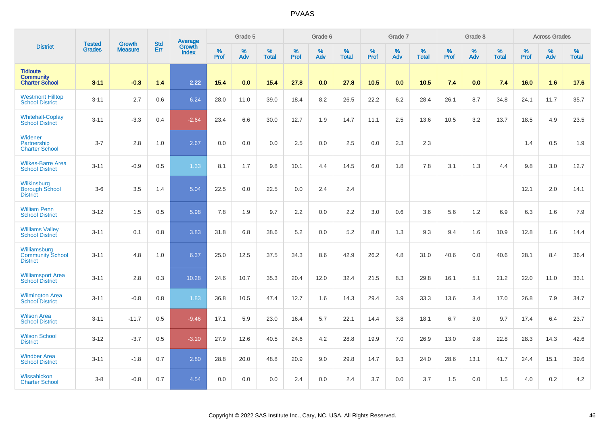|                                                              |                                | <b>Growth</b>  | <b>Std</b> | Average                |              | Grade 5  |                   |           | Grade 6  |                   |           | Grade 7         |                   |           | Grade 8  |                   |           | <b>Across Grades</b> |                   |
|--------------------------------------------------------------|--------------------------------|----------------|------------|------------------------|--------------|----------|-------------------|-----------|----------|-------------------|-----------|-----------------|-------------------|-----------|----------|-------------------|-----------|----------------------|-------------------|
| <b>District</b>                                              | <b>Tested</b><br><b>Grades</b> | <b>Measure</b> | Err        | Growth<br><b>Index</b> | $\%$<br>Prof | %<br>Adv | %<br><b>Total</b> | %<br>Prof | %<br>Adv | %<br><b>Total</b> | %<br>Prof | %<br><b>Adv</b> | %<br><b>Total</b> | %<br>Prof | %<br>Adv | %<br><b>Total</b> | %<br>Prof | %<br>Adv             | %<br><b>Total</b> |
| <b>Tidioute</b><br><b>Community</b><br><b>Charter School</b> | $3 - 11$                       | $-0.3$         | 1.4        | 2.22                   | 15.4         | 0.0      | 15.4              | 27.8      | 0.0      | 27.8              | 10.5      | 0.0             | 10.5              | 7.4       | 0.0      | 7.4               | 16.0      | 1.6                  | 17.6              |
| <b>Westmont Hilltop</b><br><b>School District</b>            | $3 - 11$                       | 2.7            | 0.6        | 6.24                   | 28.0         | 11.0     | 39.0              | 18.4      | 8.2      | 26.5              | 22.2      | $6.2\,$         | 28.4              | 26.1      | 8.7      | 34.8              | 24.1      | 11.7                 | 35.7              |
| <b>Whitehall-Coplay</b><br><b>School District</b>            | $3 - 11$                       | $-3.3$         | 0.4        | $-2.64$                | 23.4         | 6.6      | 30.0              | 12.7      | 1.9      | 14.7              | 11.1      | 2.5             | 13.6              | 10.5      | 3.2      | 13.7              | 18.5      | 4.9                  | 23.5              |
| Widener<br>Partnership<br><b>Charter School</b>              | $3 - 7$                        | 2.8            | 1.0        | 2.67                   | 0.0          | 0.0      | 0.0               | 2.5       | 0.0      | 2.5               | 0.0       | 2.3             | 2.3               |           |          |                   | 1.4       | 0.5                  | 1.9               |
| <b>Wilkes-Barre Area</b><br><b>School District</b>           | $3 - 11$                       | $-0.9$         | 0.5        | 1.33                   | 8.1          | 1.7      | 9.8               | 10.1      | 4.4      | 14.5              | 6.0       | 1.8             | 7.8               | 3.1       | 1.3      | 4.4               | 9.8       | 3.0                  | 12.7              |
| Wilkinsburg<br><b>Borough School</b><br><b>District</b>      | $3-6$                          | 3.5            | 1.4        | 5.04                   | 22.5         | 0.0      | 22.5              | 0.0       | 2.4      | 2.4               |           |                 |                   |           |          |                   | 12.1      | 2.0                  | 14.1              |
| <b>William Penn</b><br><b>School District</b>                | $3 - 12$                       | 1.5            | 0.5        | 5.98                   | 7.8          | 1.9      | 9.7               | 2.2       | 0.0      | 2.2               | 3.0       | 0.6             | 3.6               | 5.6       | 1.2      | 6.9               | 6.3       | 1.6                  | 7.9               |
| <b>Williams Valley</b><br><b>School District</b>             | $3 - 11$                       | 0.1            | 0.8        | 3.83                   | 31.8         | 6.8      | 38.6              | 5.2       | 0.0      | 5.2               | 8.0       | 1.3             | 9.3               | 9.4       | 1.6      | 10.9              | 12.8      | 1.6                  | 14.4              |
| Williamsburg<br><b>Community School</b><br><b>District</b>   | $3 - 11$                       | 4.8            | 1.0        | 6.37                   | 25.0         | 12.5     | 37.5              | 34.3      | 8.6      | 42.9              | 26.2      | 4.8             | 31.0              | 40.6      | 0.0      | 40.6              | 28.1      | 8.4                  | 36.4              |
| <b>Williamsport Area</b><br><b>School District</b>           | $3 - 11$                       | 2.8            | 0.3        | 10.28                  | 24.6         | 10.7     | 35.3              | 20.4      | 12.0     | 32.4              | 21.5      | 8.3             | 29.8              | 16.1      | 5.1      | 21.2              | 22.0      | 11.0                 | 33.1              |
| <b>Wilmington Area</b><br><b>School District</b>             | $3 - 11$                       | $-0.8$         | 0.8        | 1.83                   | 36.8         | 10.5     | 47.4              | 12.7      | 1.6      | 14.3              | 29.4      | 3.9             | 33.3              | 13.6      | 3.4      | 17.0              | 26.8      | 7.9                  | 34.7              |
| <b>Wilson Area</b><br><b>School District</b>                 | $3 - 11$                       | $-11.7$        | 0.5        | $-9.46$                | 17.1         | 5.9      | 23.0              | 16.4      | 5.7      | 22.1              | 14.4      | 3.8             | 18.1              | 6.7       | 3.0      | 9.7               | 17.4      | 6.4                  | 23.7              |
| <b>Wilson School</b><br><b>District</b>                      | $3 - 12$                       | $-3.7$         | 0.5        | $-3.10$                | 27.9         | 12.6     | 40.5              | 24.6      | 4.2      | 28.8              | 19.9      | 7.0             | 26.9              | 13.0      | 9.8      | 22.8              | 28.3      | 14.3                 | 42.6              |
| <b>Windber Area</b><br><b>School District</b>                | $3 - 11$                       | $-1.8$         | 0.7        | 2.80                   | 28.8         | 20.0     | 48.8              | 20.9      | 9.0      | 29.8              | 14.7      | 9.3             | 24.0              | 28.6      | 13.1     | 41.7              | 24.4      | 15.1                 | 39.6              |
| Wissahickon<br><b>Charter School</b>                         | $3-8$                          | $-0.8$         | 0.7        | 4.54                   | 0.0          | 0.0      | 0.0               | 2.4       | 0.0      | 2.4               | 3.7       | 0.0             | 3.7               | 1.5       | 0.0      | 1.5               | 4.0       | 0.2                  | 4.2               |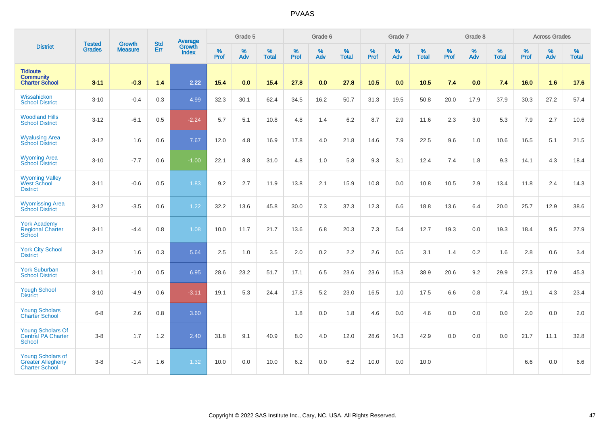|                                                                               |                                | <b>Growth</b>  | <b>Std</b> | Average                |                     | Grade 5  |                   |                     | Grade 6  |                   |                     | Grade 7  |                   |                     | Grade 8     |                   |                     | <b>Across Grades</b> |                   |
|-------------------------------------------------------------------------------|--------------------------------|----------------|------------|------------------------|---------------------|----------|-------------------|---------------------|----------|-------------------|---------------------|----------|-------------------|---------------------|-------------|-------------------|---------------------|----------------------|-------------------|
| <b>District</b>                                                               | <b>Tested</b><br><b>Grades</b> | <b>Measure</b> | Err        | Growth<br><b>Index</b> | $\%$<br><b>Prof</b> | %<br>Adv | %<br><b>Total</b> | $\%$<br><b>Prof</b> | %<br>Adv | %<br><b>Total</b> | $\%$<br><b>Prof</b> | %<br>Adv | %<br><b>Total</b> | $\%$<br><b>Prof</b> | $\%$<br>Adv | %<br><b>Total</b> | $\%$<br><b>Prof</b> | %<br>Adv             | %<br><b>Total</b> |
| <b>Tidioute</b><br><b>Community</b><br><b>Charter School</b>                  | $3 - 11$                       | $-0.3$         | 1.4        | 2.22                   | 15.4                | 0.0      | 15.4              | 27.8                | 0.0      | 27.8              | 10.5                | 0.0      | 10.5              | 7.4                 | 0.0         | 7.4               | 16.0                | 1.6                  | 17.6              |
| Wissahickon<br><b>School District</b>                                         | $3 - 10$                       | $-0.4$         | 0.3        | 4.99                   | 32.3                | 30.1     | 62.4              | 34.5                | 16.2     | 50.7              | 31.3                | 19.5     | 50.8              | 20.0                | 17.9        | 37.9              | 30.3                | 27.2                 | 57.4              |
| <b>Woodland Hills</b><br><b>School District</b>                               | $3 - 12$                       | $-6.1$         | 0.5        | $-2.24$                | 5.7                 | 5.1      | 10.8              | 4.8                 | 1.4      | 6.2               | 8.7                 | 2.9      | 11.6              | 2.3                 | 3.0         | 5.3               | 7.9                 | 2.7                  | 10.6              |
| <b>Wyalusing Area</b><br><b>School District</b>                               | $3 - 12$                       | 1.6            | 0.6        | 7.67                   | 12.0                | 4.8      | 16.9              | 17.8                | 4.0      | 21.8              | 14.6                | 7.9      | 22.5              | 9.6                 | 1.0         | 10.6              | 16.5                | 5.1                  | 21.5              |
| <b>Wyoming Area</b><br><b>School District</b>                                 | $3 - 10$                       | $-7.7$         | 0.6        | $-1.00$                | 22.1                | 8.8      | 31.0              | 4.8                 | 1.0      | 5.8               | 9.3                 | 3.1      | 12.4              | 7.4                 | 1.8         | 9.3               | 14.1                | 4.3                  | 18.4              |
| <b>Wyoming Valley</b><br>West School<br><b>District</b>                       | $3 - 11$                       | $-0.6$         | 0.5        | 1.83                   | 9.2                 | 2.7      | 11.9              | 13.8                | 2.1      | 15.9              | 10.8                | 0.0      | 10.8              | 10.5                | 2.9         | 13.4              | 11.8                | 2.4                  | 14.3              |
| <b>Wyomissing Area</b><br><b>School District</b>                              | $3 - 12$                       | $-3.5$         | 0.6        | 1.22                   | 32.2                | 13.6     | 45.8              | 30.0                | 7.3      | 37.3              | 12.3                | 6.6      | 18.8              | 13.6                | 6.4         | 20.0              | 25.7                | 12.9                 | 38.6              |
| <b>York Academy</b><br><b>Regional Charter</b><br><b>School</b>               | $3 - 11$                       | $-4.4$         | 0.8        | 1.08                   | 10.0                | 11.7     | 21.7              | 13.6                | 6.8      | 20.3              | 7.3                 | 5.4      | 12.7              | 19.3                | 0.0         | 19.3              | 18.4                | 9.5                  | 27.9              |
| <b>York City School</b><br><b>District</b>                                    | $3 - 12$                       | 1.6            | 0.3        | 5.64                   | 2.5                 | 1.0      | 3.5               | 2.0                 | 0.2      | 2.2               | 2.6                 | 0.5      | 3.1               | 1.4                 | 0.2         | 1.6               | 2.8                 | 0.6                  | 3.4               |
| <b>York Suburban</b><br><b>School District</b>                                | $3 - 11$                       | $-1.0$         | 0.5        | 6.95                   | 28.6                | 23.2     | 51.7              | 17.1                | 6.5      | 23.6              | 23.6                | 15.3     | 38.9              | 20.6                | 9.2         | 29.9              | 27.3                | 17.9                 | 45.3              |
| <b>Yough School</b><br><b>District</b>                                        | $3 - 10$                       | $-4.9$         | 0.6        | $-3.11$                | 19.1                | 5.3      | 24.4              | 17.8                | 5.2      | 23.0              | 16.5                | 1.0      | 17.5              | 6.6                 | 0.8         | 7.4               | 19.1                | 4.3                  | 23.4              |
| <b>Young Scholars</b><br><b>Charter School</b>                                | $6-8$                          | 2.6            | 0.8        | 3.60                   |                     |          |                   | 1.8                 | 0.0      | 1.8               | 4.6                 | 0.0      | 4.6               | 0.0                 | 0.0         | 0.0               | 2.0                 | 0.0                  | 2.0               |
| <b>Young Scholars Of</b><br><b>Central PA Charter</b><br><b>School</b>        | $3-8$                          | 1.7            | 1.2        | 2.40                   | 31.8                | 9.1      | 40.9              | 8.0                 | 4.0      | 12.0              | 28.6                | 14.3     | 42.9              | 0.0                 | 0.0         | 0.0               | 21.7                | 11.1                 | 32.8              |
| <b>Young Scholars of</b><br><b>Greater Allegheny</b><br><b>Charter School</b> | $3 - 8$                        | $-1.4$         | 1.6        | 1.32                   | 10.0                | 0.0      | 10.0              | 6.2                 | 0.0      | 6.2               | 10.0                | 0.0      | 10.0              |                     |             |                   | 6.6                 | 0.0                  | 6.6               |